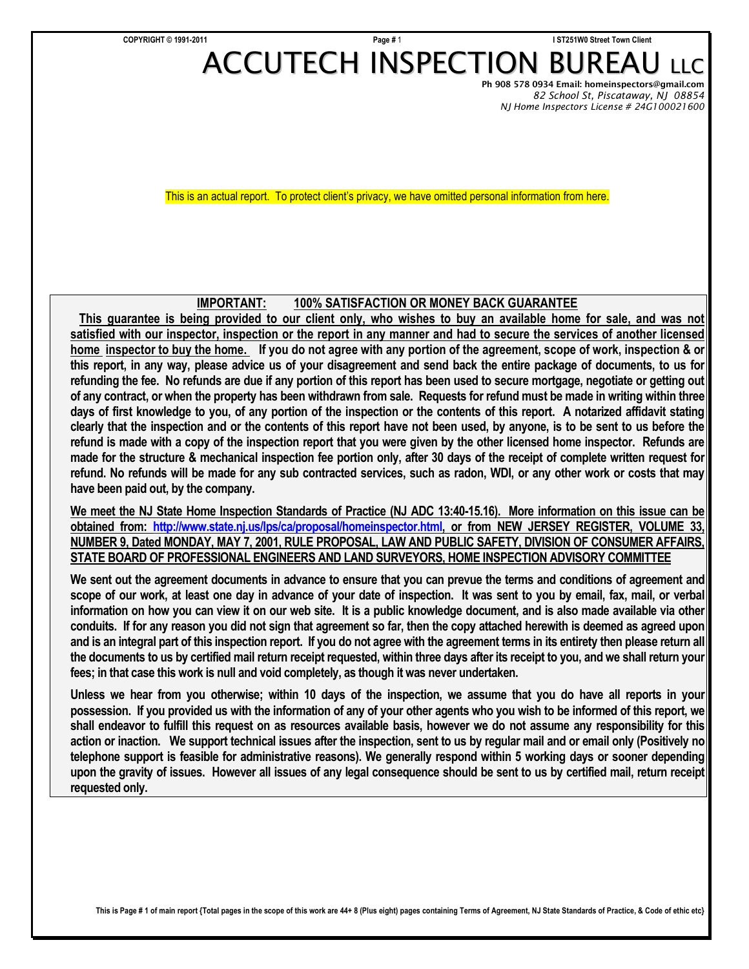**COPYRIGHT © 1991-2011 Page #** 1 **I ST251W0 Street Town Client** 

# **ACCUTECH INSPECTION BUREAU**

**Ph 908 578 0934 Email: homeinspectors@gmail.com**  *82 School St, Piscataway, NJ 08854 NJ Home Inspectors License # 24G100021600*

This is an actual report. To protect client's privacy, we have omitted personal information from here.

## **IMPORTANT: 100% SATISFACTION OR MONEY BACK GUARANTEE**

 **This guarantee is being provided to our client only, who wishes to buy an available home for sale, and was not satisfied with our inspector, inspection or the report in any manner and had to secure the services of another licensed home inspector to buy the home. If you do not agree with any portion of the agreement, scope of work, inspection & or this report, in any way, please advice us of your disagreement and send back the entire package of documents, to us for refunding the fee. No refunds are due if any portion of this report has been used to secure mortgage, negotiate or getting out of any contract, or when the property has been withdrawn from sale. Requests for refund must be made in writing within three days of first knowledge to you, of any portion of the inspection or the contents of this report. A notarized affidavit stating clearly that the inspection and or the contents of this report have not been used, by anyone, is to be sent to us before the refund is made with a copy of the inspection report that you were given by the other licensed home inspector. Refunds are made for the structure & mechanical inspection fee portion only, after 30 days of the receipt of complete written request for refund. No refunds will be made for any sub contracted services, such as radon, WDI, or any other work or costs that may have been paid out, by the company.** 

**We meet the NJ State Home Inspection Standards of Practice (NJ ADC 13:40-15.16). More information on this issue can be obtained from: http://www.state.nj.us/lps/ca/proposal/homeinspector.html, or from NEW JERSEY REGISTER, VOLUME 33, NUMBER 9, Dated MONDAY, MAY 7, 2001, RULE PROPOSAL, LAW AND PUBLIC SAFETY, DIVISION OF CONSUMER AFFAIRS, STATE BOARD OF PROFESSIONAL ENGINEERS AND LAND SURVEYORS, HOME INSPECTION ADVISORY COMMITTEE**

**We sent out the agreement documents in advance to ensure that you can prevue the terms and conditions of agreement and scope of our work, at least one day in advance of your date of inspection. It was sent to you by email, fax, mail, or verbal information on how you can view it on our web site. It is a public knowledge document, and is also made available via other conduits. If for any reason you did not sign that agreement so far, then the copy attached herewith is deemed as agreed upon and is an integral part of this inspection report. If you do not agree with the agreement terms in its entirety then please return all the documents to us by certified mail return receipt requested, within three days after its receipt to you, and we shall return your fees; in that case this work is null and void completely, as though it was never undertaken.** 

**Unless we hear from you otherwise; within 10 days of the inspection, we assume that you do have all reports in your possession. If you provided us with the information of any of your other agents who you wish to be informed of this report, we shall endeavor to fulfill this request on as resources available basis, however we do not assume any responsibility for this action or inaction. We support technical issues after the inspection, sent to us by regular mail and or email only (Positively no telephone support is feasible for administrative reasons). We generally respond within 5 working days or sooner depending upon the gravity of issues. However all issues of any legal consequence should be sent to us by certified mail, return receipt requested only.** 

This is Page # 1 of main report {Total pages in the scope of this work are 44+ 8 (Plus eight) pages containing Terms of Agreement, NJ State Standards of Practice, & Code of ethic etc}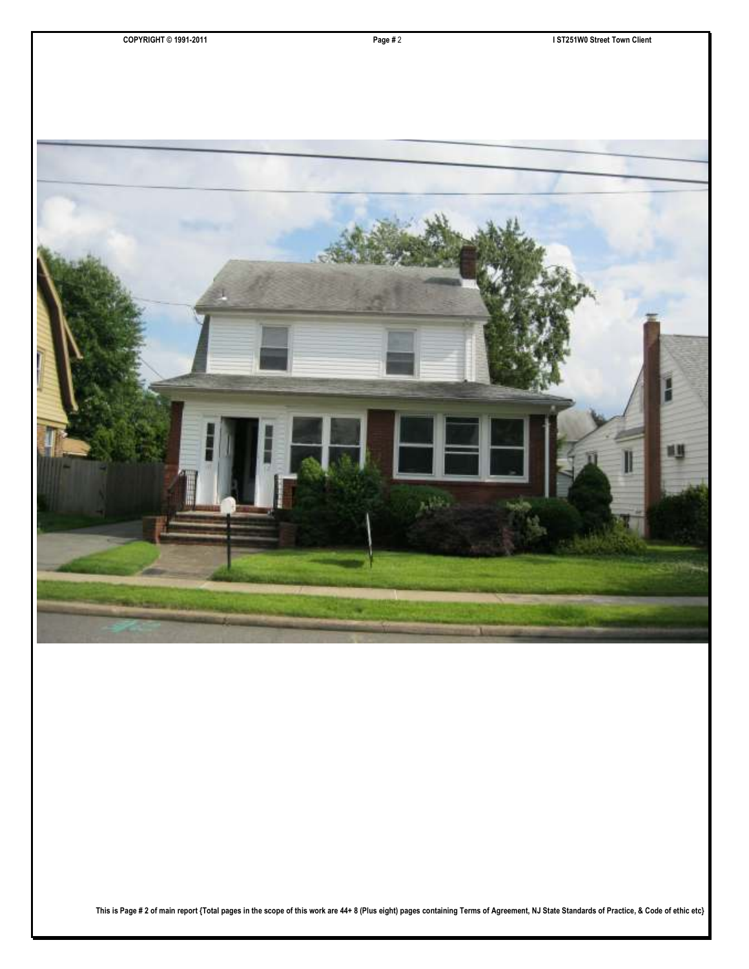



**This is Page # 2 of main report {Total pages in the scope of this work are 44+ 8 (Plus eight) pages containing Terms of Agreement, NJ State Standards of Practice, & Code of ethic etc}**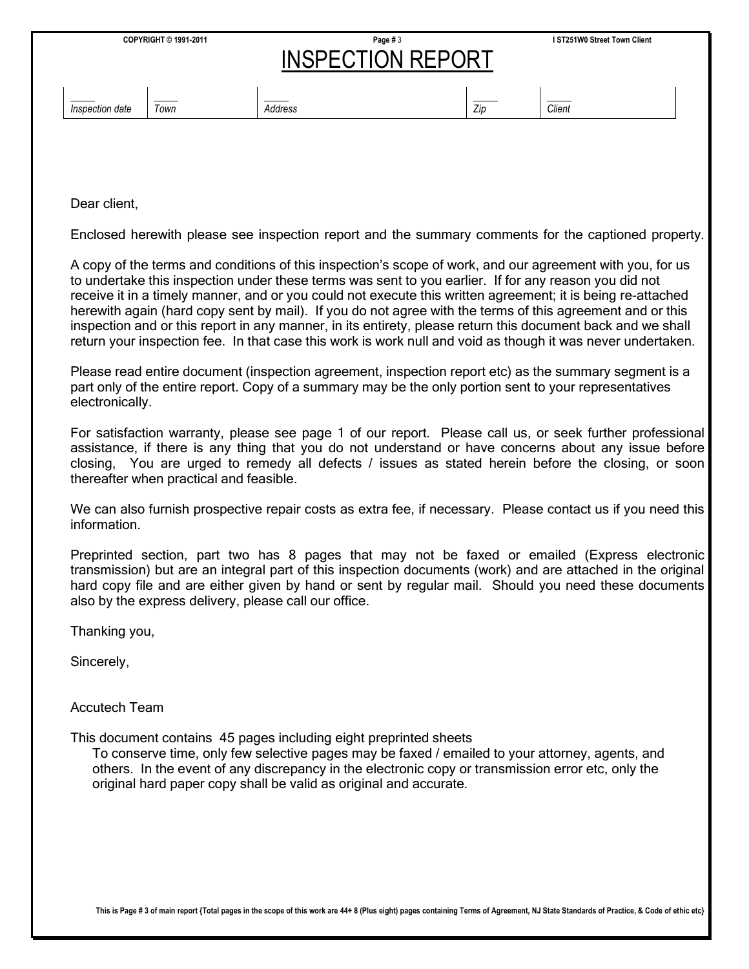|                 | COPYRIGHT © 1991-2011 | Page #3<br>$\bigcap$<br>REPORT |     | I ST251W0 Street Town Client |  |
|-----------------|-----------------------|--------------------------------|-----|------------------------------|--|
| Inspection date | Town                  | Address                        | Zip | Client                       |  |

Dear client.

Enclosed herewith please see inspection report and the summary comments for the captioned property.

A copy of the terms and conditions of this inspection's scope of work, and our agreement with you, for us to undertake this inspection under these terms was sent to you earlier. If for any reason you did not receive it in a timely manner, and or you could not execute this written agreement; it is being re-attached herewith again (hard copy sent by mail). If you do not agree with the terms of this agreement and or this inspection and or this report in any manner, in its entirety, please return this document back and we shall return your inspection fee. In that case this work is work null and void as though it was never undertaken.

Please read entire document (inspection agreement, inspection report etc) as the summary segment is a part only of the entire report. Copy of a summary may be the only portion sent to your representatives electronically.

For satisfaction warranty, please see page 1 of our report. Please call us, or seek further professional assistance, if there is any thing that you do not understand or have concerns about any issue before closing, You are urged to remedy all defects / issues as stated herein before the closing, or soon thereafter when practical and feasible.

We can also furnish prospective repair costs as extra fee, if necessary. Please contact us if you need this information.

Preprinted section, part two has 8 pages that may not be faxed or emailed (Express electronic transmission) but are an integral part of this inspection documents (work) and are attached in the original hard copy file and are either given by hand or sent by regular mail. Should you need these documents also by the express delivery, please call our office.

Thanking you,

Sincerely,

## Accutech Team

This document contains 45 pages including eight preprinted sheets

To conserve time, only few selective pages may be faxed / emailed to your attorney, agents, and others. In the event of any discrepancy in the electronic copy or transmission error etc, only the original hard paper copy shall be valid as original and accurate.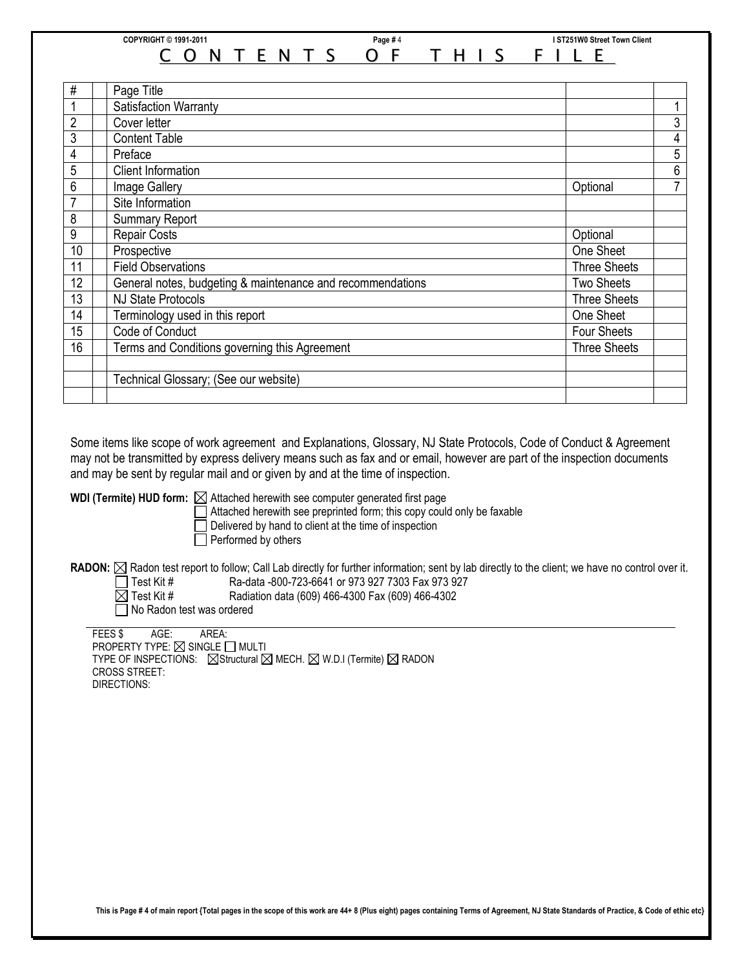| <b>COPYRIGHT ©</b><br>1991-2011 |  |  |  | Page # 4 |  |  |  |  | ST251W0 Street Town Client |
|---------------------------------|--|--|--|----------|--|--|--|--|----------------------------|
|                                 |  |  |  |          |  |  |  |  |                            |

| #              | Page Title                                                                      |   |
|----------------|---------------------------------------------------------------------------------|---|
|                | Satisfaction Warranty                                                           |   |
| $\overline{2}$ | Cover letter                                                                    | 3 |
| 3              | <b>Content Table</b>                                                            | 4 |
| 4              | Preface                                                                         | 5 |
| 5              | <b>Client Information</b>                                                       | 6 |
| 6              | Image Gallery<br>Optional                                                       | 7 |
| 7              | Site Information                                                                |   |
| 8              | <b>Summary Report</b>                                                           |   |
| 9              | Repair Costs<br>Optional                                                        |   |
| 10             | Prospective<br>One Sheet                                                        |   |
| 11             | <b>Field Observations</b><br><b>Three Sheets</b>                                |   |
| 12             | General notes, budgeting & maintenance and recommendations<br><b>Two Sheets</b> |   |
| 13             | NJ State Protocols<br><b>Three Sheets</b>                                       |   |
| 14             | Terminology used in this report<br>One Sheet                                    |   |
| 15             | Code of Conduct<br><b>Four Sheets</b>                                           |   |
| 16             | Terms and Conditions governing this Agreement<br><b>Three Sheets</b>            |   |
|                |                                                                                 |   |
|                | Technical Glossary; (See our website)                                           |   |
|                |                                                                                 |   |

Some items like scope of work agreement and Explanations, Glossary, NJ State Protocols, Code of Conduct & Agreement may not be transmitted by express delivery means such as fax and or email, however are part of the inspection documents and may be sent by regular mail and or given by and at the time of inspection.

WDI (Termite) HUD form:  $\boxtimes$  Attached herewith see computer generated first page

Attached herewith see preprinted form; this copy could only be faxable

 $\Box$  Delivered by hand to client at the time of inspection

 $\Box$  Performed by others

**RADON:**  $\times$  Radon test report to follow; Call Lab directly for further information; sent by lab directly to the client; we have no control over it.<br>
Test Kit # Ra-data -800-723-6641 or 973 927 7303 Fax 973 927

- Test Kit # Ra-data -800-723-6641 or 973 927 7303 Fax 973 927<br>  $\boxtimes$  Test Kit # Radiation data (609) 466-4300 Fax (609) 466-4302
	- Radiation data (609) 466-4300 Fax (609) 466-4302

**No Radon test was ordered** 

FEES \$ AGE: AREA: PROPERTY TYPE:  $\boxtimes$  SINGLE  $\Box$  MULTI TYPE OF INSPECTIONS:  $\boxtimes$  Structural  $\boxtimes$  MECH.  $\boxtimes$  W.D.I (Termite)  $\boxtimes$  RADON CROSS STREET: DIRECTIONS:

This is Page # 4 of main report {Total pages in the scope of this work are 44+ 8 (Plus eight) pages containing Terms of Agreement, NJ State Standards of Practice, & Code of ethic etc}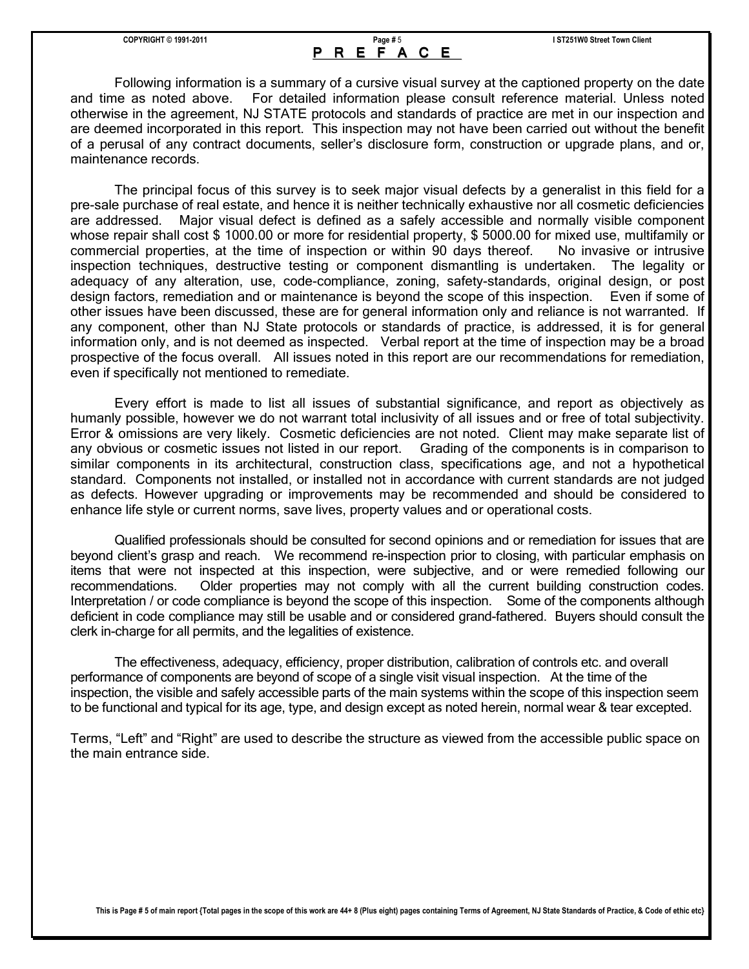#### **COPYRIGHT © 1991-2011 Page #** 5 **I ST251W0 Street Town Client**  P R E F A C E

Following information is a summary of a cursive visual survey at the captioned property on the date and time as noted above. For detailed information please consult reference material. Unless noted otherwise in the agreement, NJ STATE protocols and standards of practice are met in our inspection and are deemed incorporated in this report. This inspection may not have been carried out without the benefit of a perusal of any contract documents, seller's disclosure form, construction or upgrade plans, and or, maintenance records.

The principal focus of this survey is to seek major visual defects by a generalist in this field for a pre-sale purchase of real estate, and hence it is neither technically exhaustive nor all cosmetic deficiencies are addressed. Major visual defect is defined as a safely accessible and normally visible component whose repair shall cost \$1000.00 or more for residential property, \$5000.00 for mixed use, multifamily or commercial properties, at the time of inspection or within 90 days thereof. No invasive or intrusive inspection techniques, destructive testing or component dismantling is undertaken. The legality or adequacy of any alteration, use, code-compliance, zoning, safety-standards, original design, or post design factors, remediation and or maintenance is beyond the scope of this inspection. Even if some of other issues have been discussed, these are for general information only and reliance is not warranted. If any component, other than NJ State protocols or standards of practice, is addressed, it is for general information only, and is not deemed as inspected. Verbal report at the time of inspection may be a broad prospective of the focus overall. All issues noted in this report are our recommendations for remediation, even if specifically not mentioned to remediate.

Every effort is made to list all issues of substantial significance, and report as objectively as humanly possible, however we do not warrant total inclusivity of all issues and or free of total subjectivity. Error & omissions are very likely. Cosmetic deficiencies are not noted. Client may make separate list of any obvious or cosmetic issues not listed in our report. Grading of the components is in comparison to similar components in its architectural, construction class, specifications age, and not a hypothetical standard. Components not installed, or installed not in accordance with current standards are not judged as defects. However upgrading or improvements may be recommended and should be considered to enhance life style or current norms, save lives, property values and or operational costs.

Qualified professionals should be consulted for second opinions and or remediation for issues that are beyond client's grasp and reach. We recommend re-inspection prior to closing, with particular emphasis on items that were not inspected at this inspection, were subjective, and or were remedied following our recommendations. Older properties may not comply with all the current building construction codes. Interpretation / or code compliance is beyond the scope of this inspection. Some of the components although deficient in code compliance may still be usable and or considered grand-fathered. Buyers should consult the clerk in-charge for all permits, and the legalities of existence.

The effectiveness, adequacy, efficiency, proper distribution, calibration of controls etc. and overall performance of components are beyond of scope of a single visit visual inspection. At the time of the inspection, the visible and safely accessible parts of the main systems within the scope of this inspection seem to be functional and typical for its age, type, and design except as noted herein, normal wear & tear excepted.

Terms, "Left" and "Right" are used to describe the structure as viewed from the accessible public space on the main entrance side.

**This is Page # 5 of main report {Total pages in the scope of this work are 44+ 8 (Plus eight) pages containing Terms of Agreement, NJ State Standards of Practice, & Code of ethic etc}**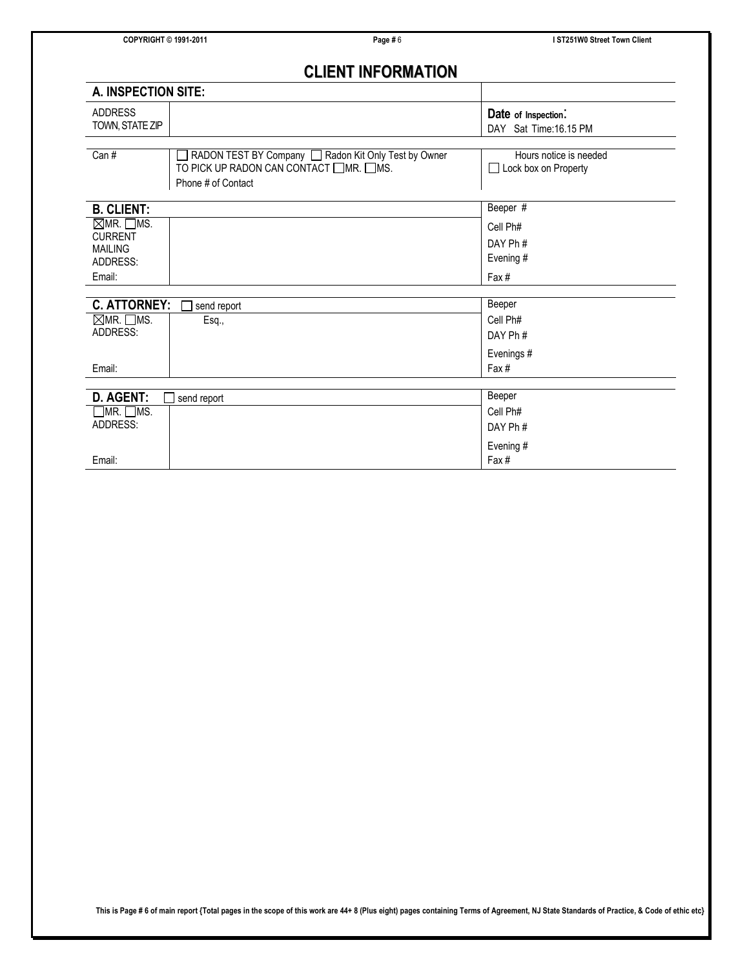# **CLIENT INFORMATION**

| A. INSPECTION SITE:                                                               |                                                                                                                        |                                                       |
|-----------------------------------------------------------------------------------|------------------------------------------------------------------------------------------------------------------------|-------------------------------------------------------|
| <b>ADDRESS</b><br>TOWN, STATE ZIP                                                 |                                                                                                                        | Date of Inspection:<br>DAY Sat Time:16.15 PM          |
| Can#                                                                              | RADON TEST BY Company   Radon Kit Only Test by Owner<br>TO PICK UP RADON CAN CONTACT □ MR. □ MS.<br>Phone # of Contact | Hours notice is needed<br>$\Box$ Lock box on Property |
| <b>B. CLIENT:</b>                                                                 |                                                                                                                        | Beeper #                                              |
| $\boxtimes$ MR. $\Box$ MS.<br><b>CURRENT</b><br><b>MAILING</b><br><b>ADDRESS:</b> |                                                                                                                        | Cell Ph#<br>DAY Ph#<br>Evening #                      |
| Email:                                                                            |                                                                                                                        | Fax#                                                  |
| <b>C. ATTORNEY:</b><br>$\boxtimes$ MR. $\Box$ MS.<br>ADDRESS:                     | send report<br>Esq.,                                                                                                   | Beeper<br>Cell Ph#<br>DAY Ph#                         |
| Email:                                                                            |                                                                                                                        | Evenings#<br>Fax#                                     |
| <b>D. AGENT:</b>                                                                  | send report                                                                                                            | Beeper                                                |
| $\Box$ MR. $\Box$ MS.<br><b>ADDRESS:</b>                                          |                                                                                                                        | Cell Ph#<br>DAY Ph #                                  |
| Email:                                                                            |                                                                                                                        | Evening #<br>Fax#                                     |

**This is Page # 6 of main report {Total pages in the scope of this work are 44+ 8 (Plus eight) pages containing Terms of Agreement, NJ State Standards of Practice, & Code of ethic etc}**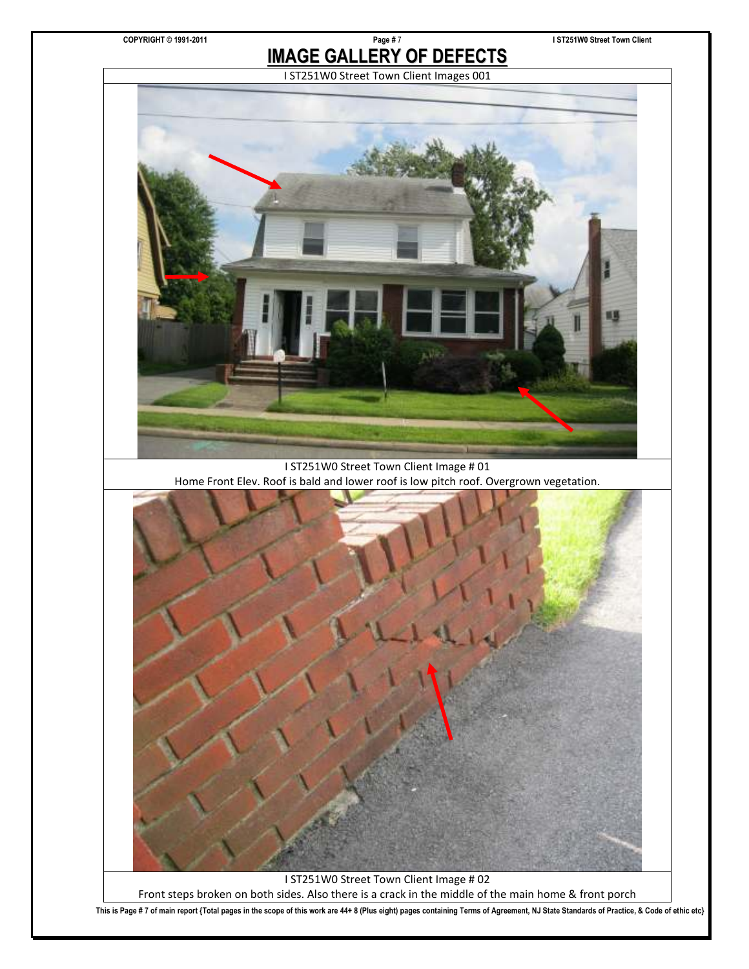

# **COPYRIGHT © 1991-2011 Page #** 7 **I ST251W0 Street Town Client IMAGE GALLERY OF DEFECTS**



**This is Page # 7 of main report {Total pages in the scope of this work are 44+ 8 (Plus eight) pages containing Terms of Agreement, NJ State Standards of Practice, & Code of ethic etc}**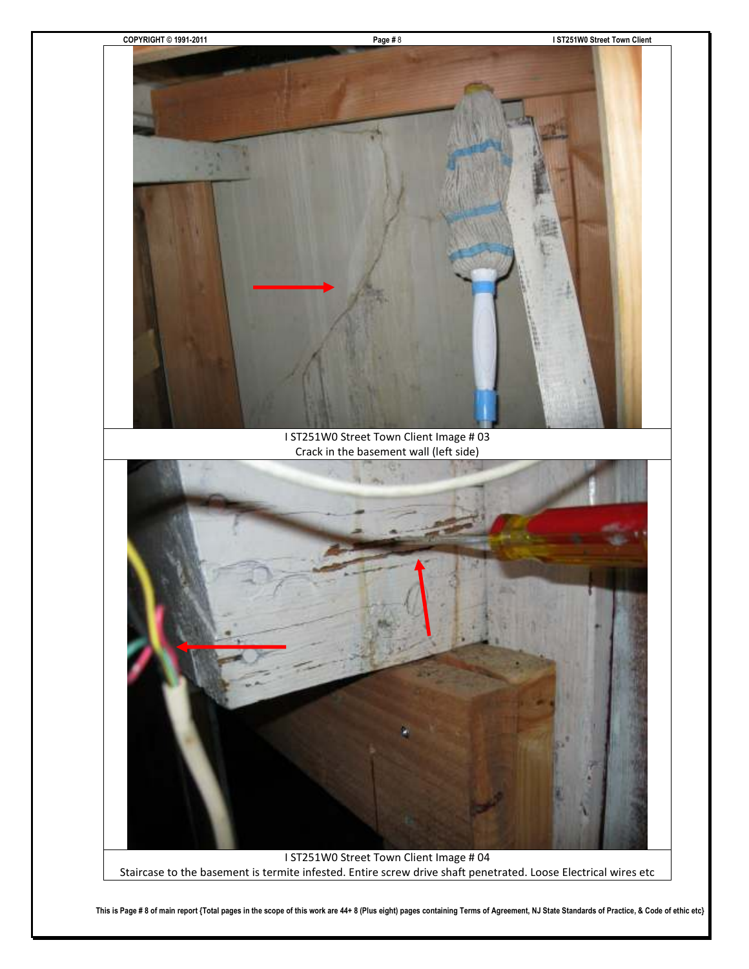

**This is Page # 8 of main report {Total pages in the scope of this work are 44+ 8 (Plus eight) pages containing Terms of Agreement, NJ State Standards of Practice, & Code of ethic etc}**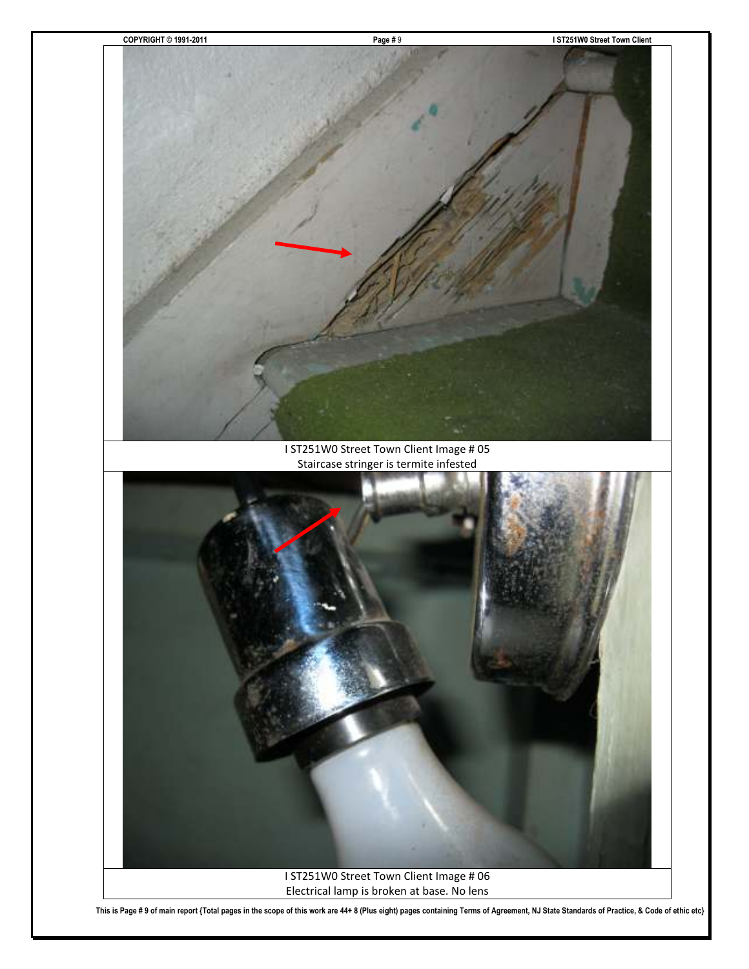

**This is Page # 9 of main report {Total pages in the scope of this work are 44+ 8 (Plus eight) pages containing Terms of Agreement, NJ State Standards of Practice, & Code of ethic etc}**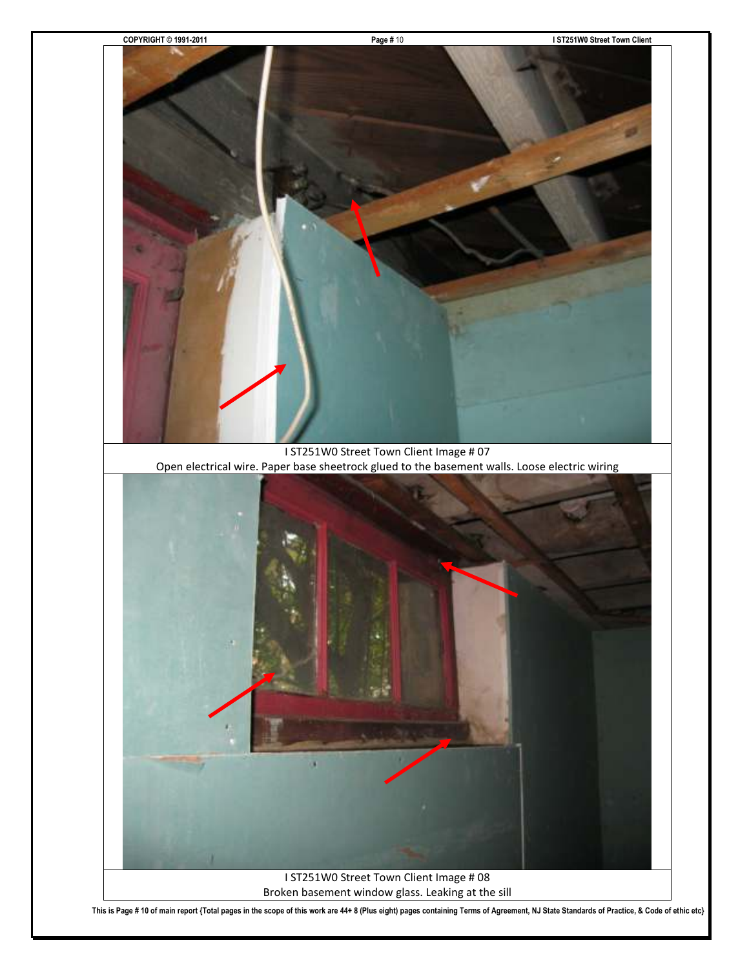

**This is Page # 10 of main report {Total pages in the scope of this work are 44+ 8 (Plus eight) pages containing Terms of Agreement, NJ State Standards of Practice, & Code of ethic etc}**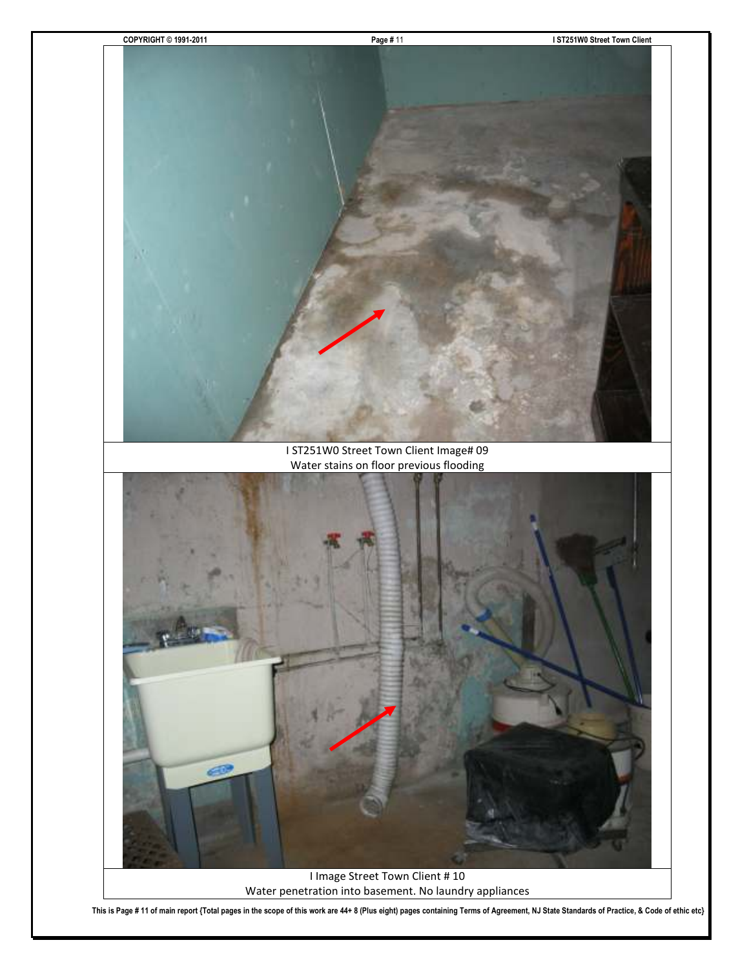

Water penetration into basement. No laundry appliances

**This is Page # 11 of main report {Total pages in the scope of this work are 44+ 8 (Plus eight) pages containing Terms of Agreement, NJ State Standards of Practice, & Code of ethic etc}**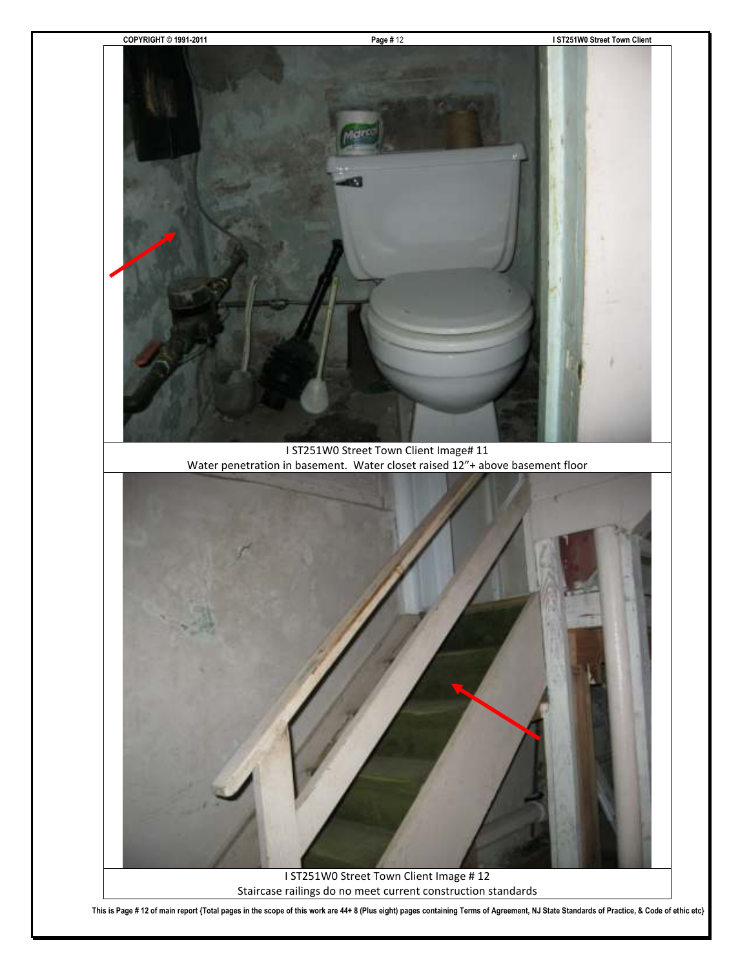

**This is Page # 12 of main report {Total pages in the scope of this work are 44+ 8 (Plus eight) pages containing Terms of Agreement, NJ State Standards of Practice, & Code of ethic etc}**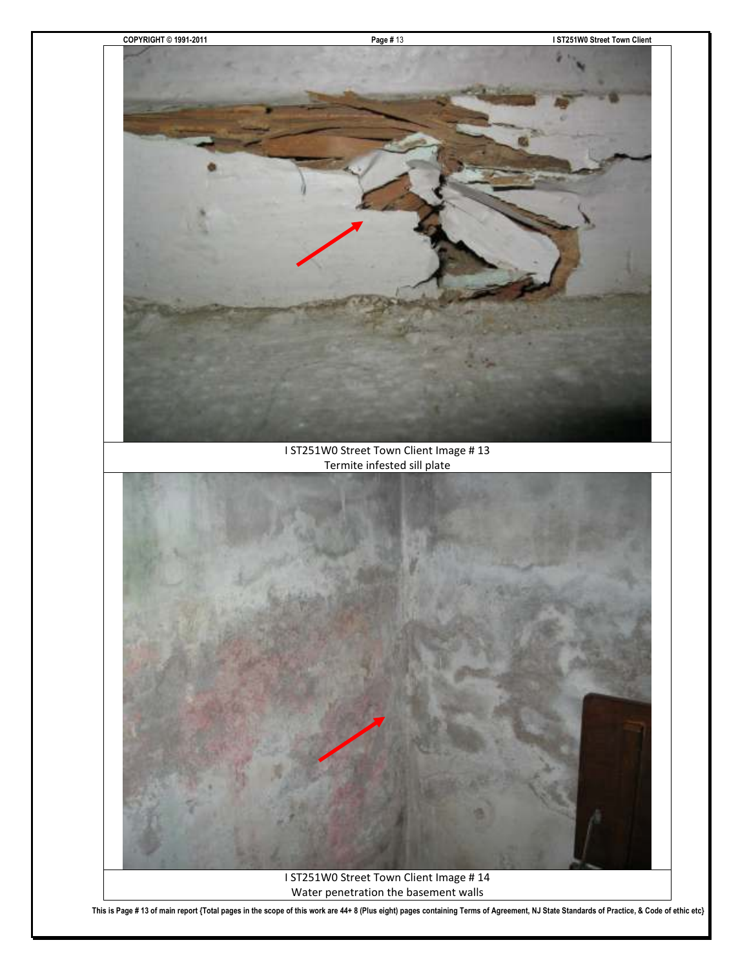

I ST251W0 Street Town Client Image # 14 Water penetration the basement walls

**This is Page # 13 of main report {Total pages in the scope of this work are 44+ 8 (Plus eight) pages containing Terms of Agreement, NJ State Standards of Practice, & Code of ethic etc}**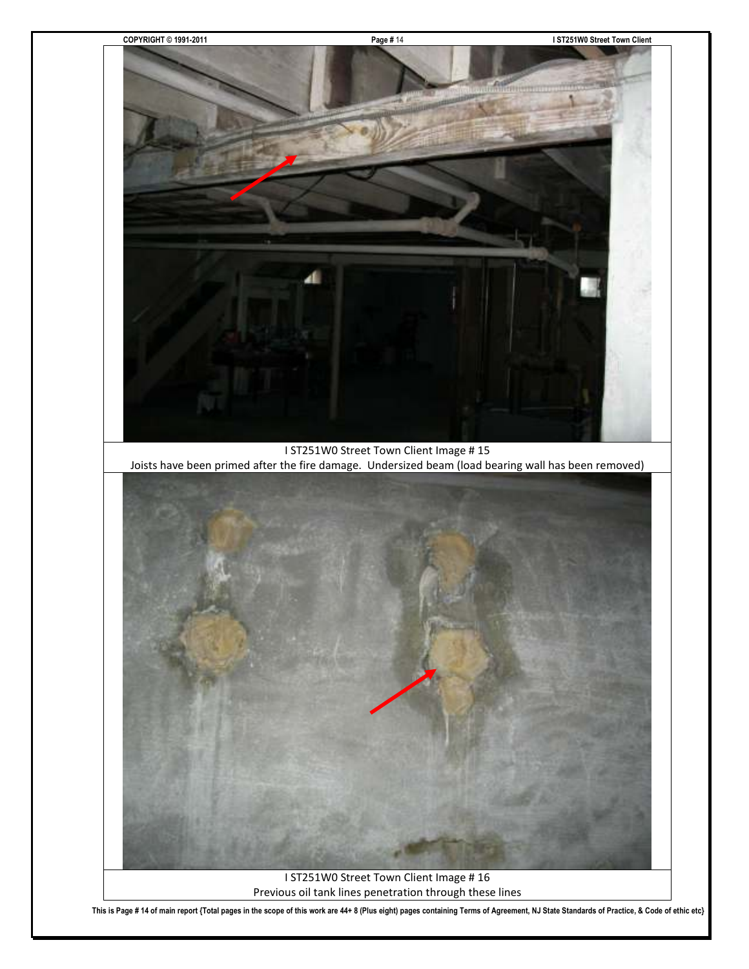



I ST251W0 Street Town Client Image # 16 Previous oil tank lines penetration through these lines

**This is Page # 14 of main report {Total pages in the scope of this work are 44+ 8 (Plus eight) pages containing Terms of Agreement, NJ State Standards of Practice, & Code of ethic etc}**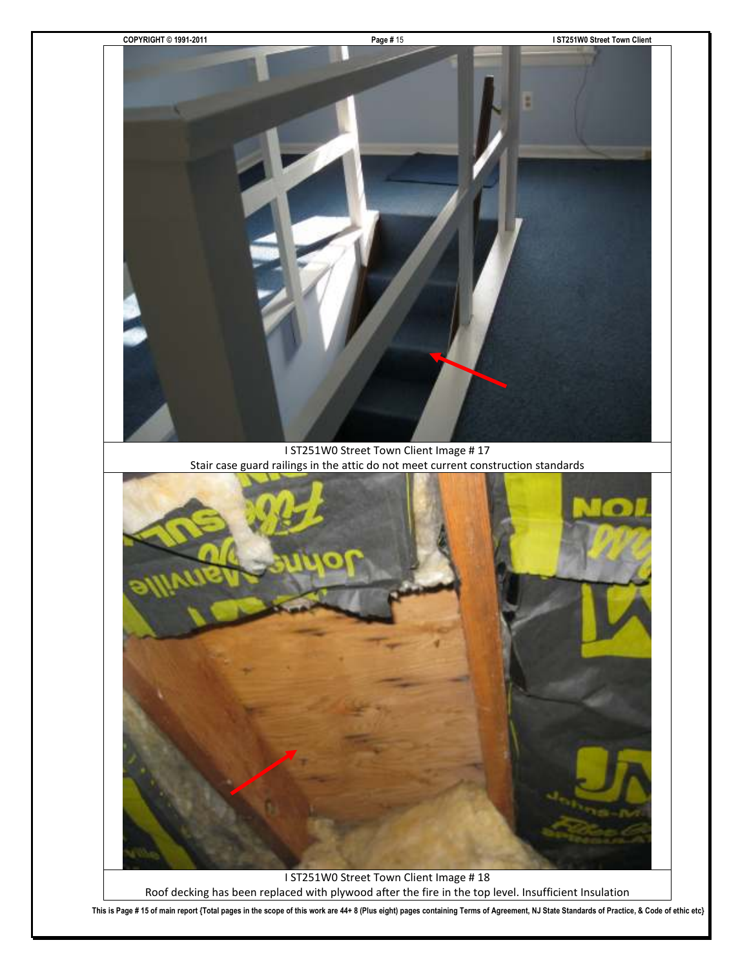

Roof decking has been replaced with plywood after the fire in the top level. Insufficient Insulation

**This is Page # 15 of main report {Total pages in the scope of this work are 44+ 8 (Plus eight) pages containing Terms of Agreement, NJ State Standards of Practice, & Code of ethic etc}**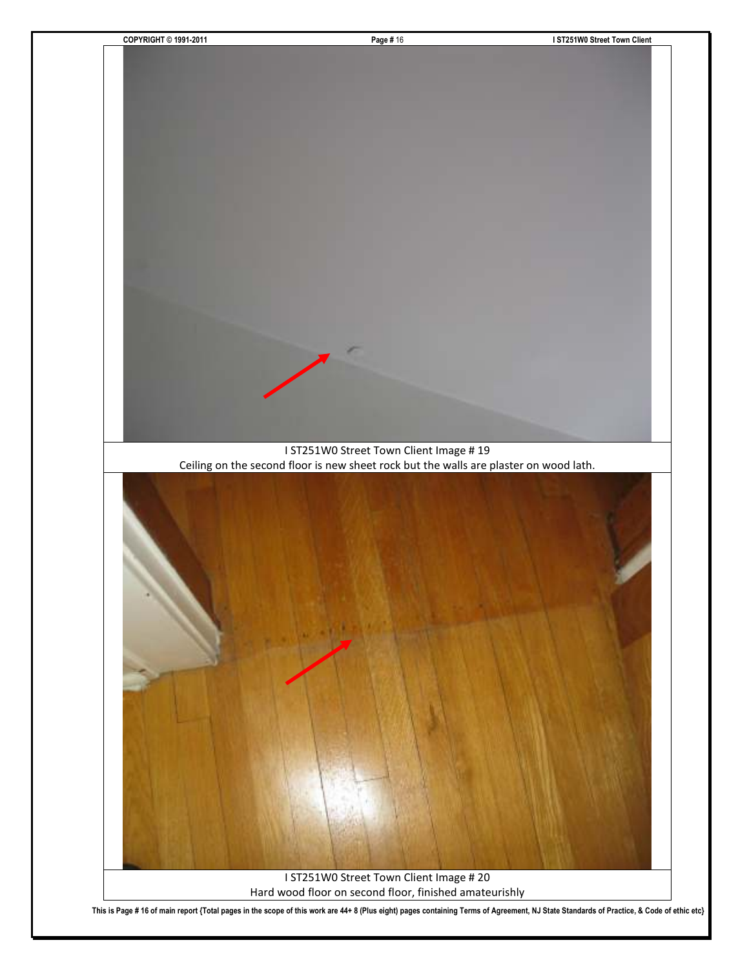

**This is Page # 16 of main report {Total pages in the scope of this work are 44+ 8 (Plus eight) pages containing Terms of Agreement, NJ State Standards of Practice, & Code of ethic etc}**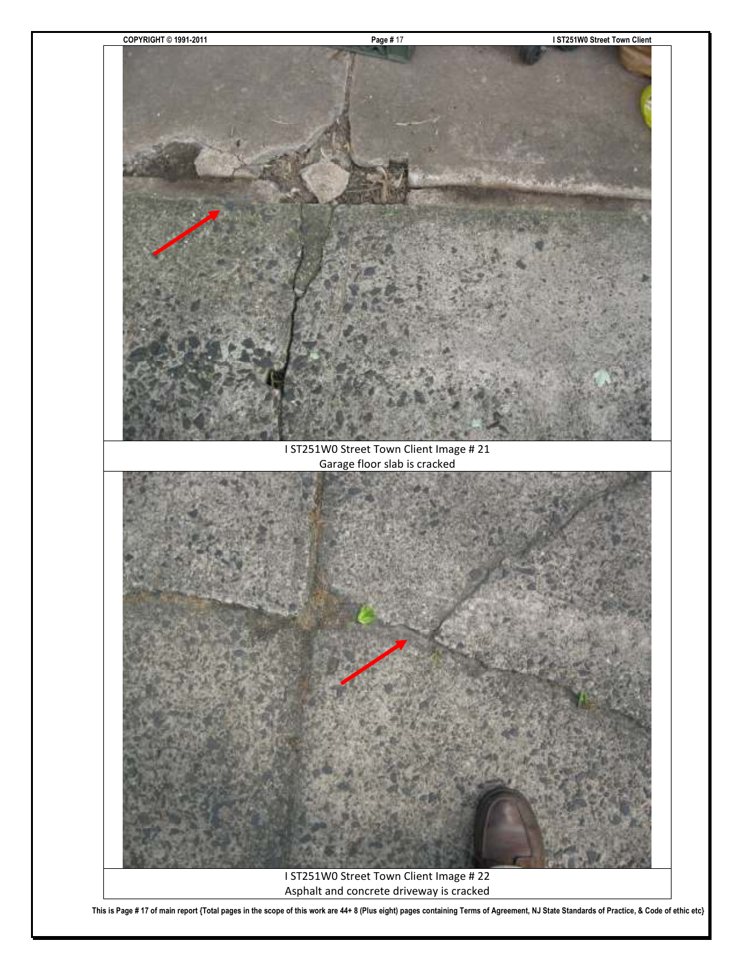

**This is Page # 17 of main report {Total pages in the scope of this work are 44+ 8 (Plus eight) pages containing Terms of Agreement, NJ State Standards of Practice, & Code of ethic etc}**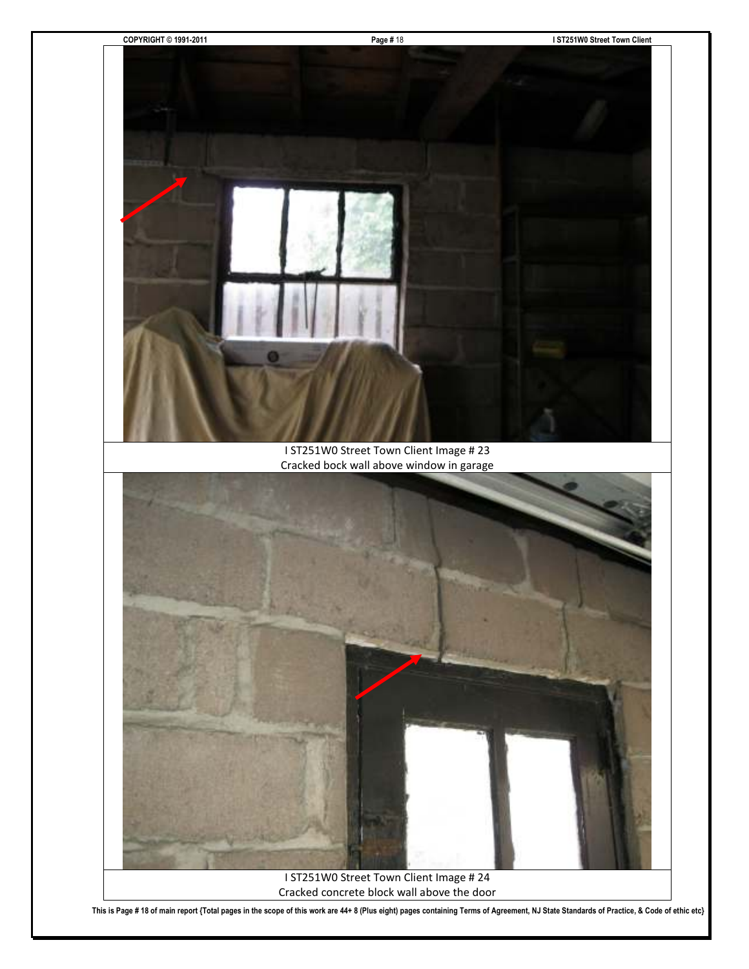

Cracked concrete block wall above the door

**This is Page # 18 of main report {Total pages in the scope of this work are 44+ 8 (Plus eight) pages containing Terms of Agreement, NJ State Standards of Practice, & Code of ethic etc}**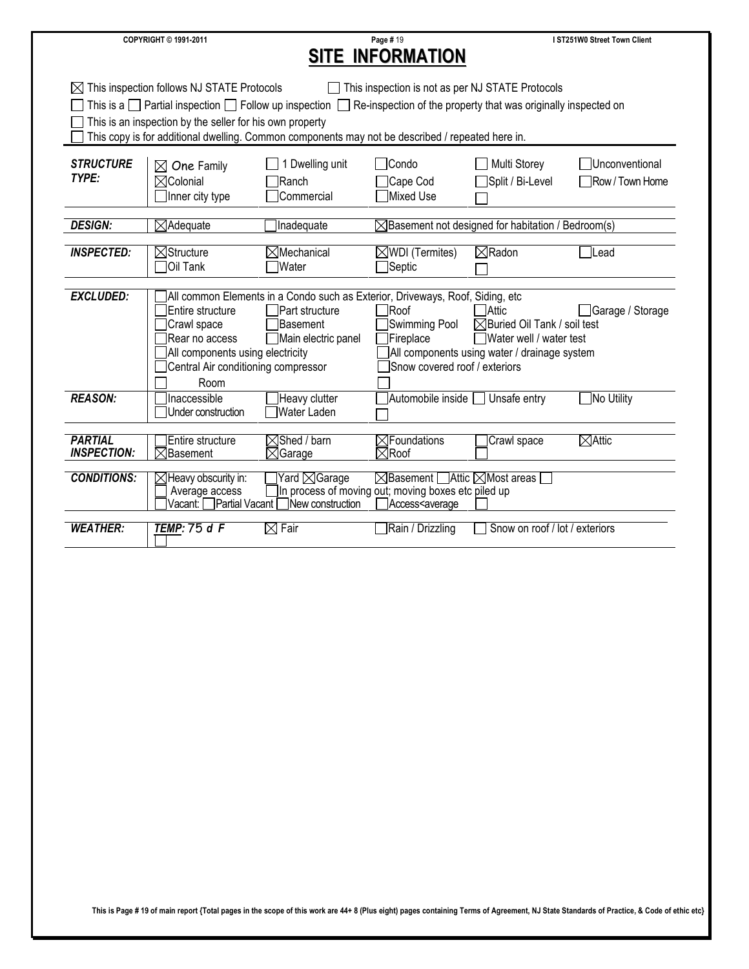|                    | COPYRIGHT © 1991-2011                                                                                                                 |                                                                               | Page #19                                             |                                                               | I ST251W0 Street Town Client |
|--------------------|---------------------------------------------------------------------------------------------------------------------------------------|-------------------------------------------------------------------------------|------------------------------------------------------|---------------------------------------------------------------|------------------------------|
|                    |                                                                                                                                       |                                                                               | <b>SITE INFORMATION</b>                              |                                                               |                              |
|                    |                                                                                                                                       |                                                                               |                                                      |                                                               |                              |
|                    | This inspection follows NJ STATE Protocols                                                                                            |                                                                               | This inspection is not as per NJ STATE Protocols     |                                                               |                              |
|                    | This is a $\Box$ Partial inspection $\Box$ Follow up inspection $\Box$ Re-inspection of the property that was originally inspected on |                                                                               |                                                      |                                                               |                              |
|                    | This is an inspection by the seller for his own property                                                                              |                                                                               |                                                      |                                                               |                              |
|                    | This copy is for additional dwelling. Common components may not be described / repeated here in.                                      |                                                                               |                                                      |                                                               |                              |
|                    |                                                                                                                                       |                                                                               |                                                      |                                                               |                              |
| <b>STRUCTURE</b>   | $\boxtimes$ One Family                                                                                                                | 1 Dwelling unit                                                               | √Condo                                               | Multi Storey                                                  | Unconventional               |
| TYPE:              | $\boxtimes$ Colonial                                                                                                                  | Ranch                                                                         | Cape Cod                                             | Split / Bi-Level                                              | Row / Town Home              |
|                    | Inner city type                                                                                                                       | Commercial                                                                    | Mixed Use                                            |                                                               |                              |
| <b>DESIGN:</b>     |                                                                                                                                       |                                                                               |                                                      |                                                               |                              |
|                    | $\boxtimes$ Adequate                                                                                                                  | Inadequate                                                                    |                                                      | $\boxtimes$ Basement not designed for habitation / Bedroom(s) |                              |
| <b>INSPECTED:</b>  | $\boxtimes$ Structure                                                                                                                 | $\boxtimes$ Mechanical                                                        | $\boxtimes$ WDI (Termites)                           | $\boxtimes$ Radon                                             | Lead                         |
|                    | Oil Tank                                                                                                                              | Water                                                                         | Septic                                               |                                                               |                              |
|                    |                                                                                                                                       |                                                                               |                                                      |                                                               |                              |
| <b>EXCLUDED:</b>   |                                                                                                                                       | All common Elements in a Condo such as Exterior, Driveways, Roof, Siding, etc |                                                      |                                                               |                              |
|                    | Entire structure                                                                                                                      | Part structure                                                                | Roof                                                 | ]Attic                                                        | Garage / Storage             |
|                    | Crawl space                                                                                                                           | Basement                                                                      | Swimming Pool                                        | ⊠Buried Oil Tank / soil test                                  |                              |
|                    | Rear no access                                                                                                                        | Main electric panel                                                           | Fireplace                                            | Water well / water test                                       |                              |
|                    | All components using electricity<br>Central Air conditioning compressor                                                               |                                                                               | Snow covered roof / exteriors                        | All components using water / drainage system                  |                              |
|                    |                                                                                                                                       |                                                                               |                                                      |                                                               |                              |
| <b>REASON:</b>     | Room<br>Inaccessible                                                                                                                  | Heavy clutter                                                                 | Automobile inside □ Unsafe entry                     |                                                               | No Utility                   |
|                    | Under construction                                                                                                                    | Water Laden                                                                   |                                                      |                                                               |                              |
|                    |                                                                                                                                       |                                                                               |                                                      |                                                               |                              |
| <b>PARTIAL</b>     | Entire structure                                                                                                                      | $\times$ Shed / barn                                                          | $\boxtimes$ Foundations                              | Crawl space                                                   | $\boxtimes$ Attic            |
| <b>INSPECTION:</b> | $\boxtimes$ Basement                                                                                                                  | $\boxtimes$ Garage                                                            | $\boxtimes$ Roof                                     |                                                               |                              |
| <b>CONDITIONS:</b> | $\boxtimes$ Heavy obscurity in:                                                                                                       | Yard ⊠Garage                                                                  | $\boxtimes$ Basement   Attic $\boxtimes$ Most areas  |                                                               |                              |
|                    | Average access                                                                                                                        |                                                                               | In process of moving out; moving boxes etc piled up  |                                                               |                              |
|                    | Vacant: Partial Vacant                                                                                                                | New construction                                                              | Access <average< th=""><th></th><th></th></average<> |                                                               |                              |
|                    |                                                                                                                                       |                                                                               |                                                      |                                                               |                              |
| <b>WEATHER:</b>    | <b>TEMP: 75 d F</b>                                                                                                                   | $\bowtie$ Fair                                                                | Rain / Drizzling                                     | Snow on roof / lot / exteriors                                |                              |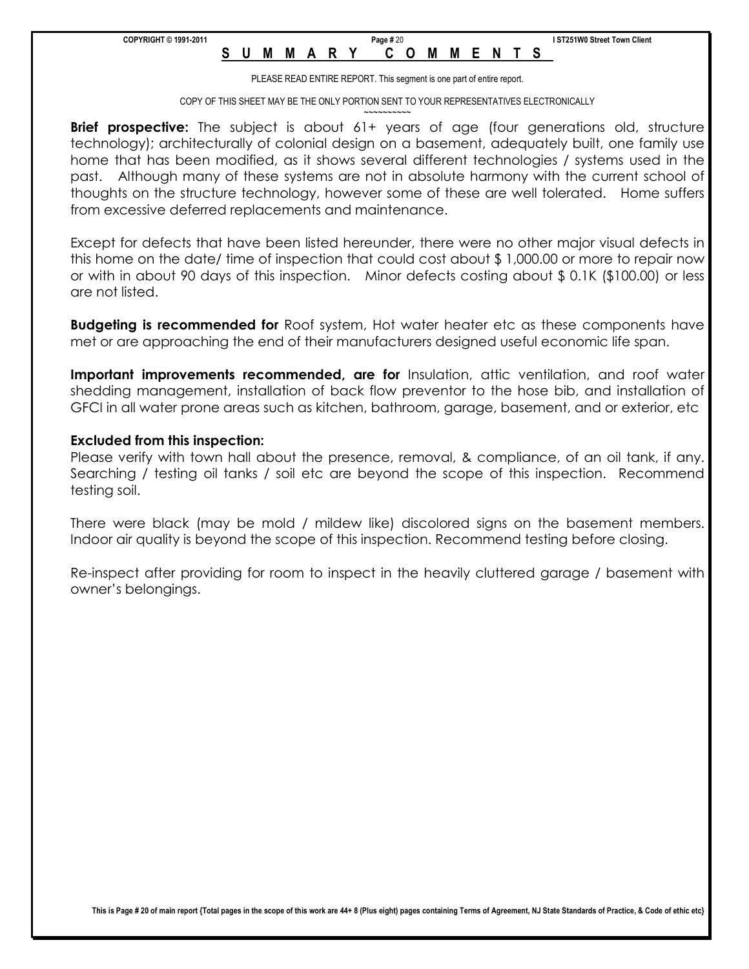#### **COPYRIGHT © 1991-2011 Page #** 20 **I ST251W0 Street Town Client S U M M A R Y C O M M E N T S**

PLEASE READ ENTIRE REPORT. This segment is one part of entire report.

COPY OF THIS SHEET MAY BE THE ONLY PORTION SENT TO YOUR REPRESENTATIVES ELECTRONICALLY ~~~~~~~~~~

**Brief prospective:** The subject is about 61+ years of age (four generations old, structure) technology); architecturally of colonial design on a basement, adequately built, one family use home that has been modified, as it shows several different technologies / systems used in the past. Although many of these systems are not in absolute harmony with the current school of thoughts on the structure technology, however some of these are well tolerated. Home suffers from excessive deferred replacements and maintenance.

Except for defects that have been listed hereunder, there were no other major visual defects in this home on the date/ time of inspection that could cost about \$ 1,000.00 or more to repair now or with in about 90 days of this inspection. Minor defects costing about \$ 0.1K (\$100.00) or less are not listed.

**Budgeting is recommended for** Roof system, Hot water heater etc as these components have met or are approaching the end of their manufacturers designed useful economic life span.

**Important improvements recommended, are for** Insulation, attic ventilation, and roof water shedding management, installation of back flow preventor to the hose bib, and installation of GFCI in all water prone areas such as kitchen, bathroom, garage, basement, and or exterior, etc

## **Excluded from this inspection:**

Please verify with town hall about the presence, removal, & compliance, of an oil tank, if any. Searching / testing oil tanks / soil etc are beyond the scope of this inspection. Recommend testing soil.

There were black (may be mold / mildew like) discolored signs on the basement members. Indoor air quality is beyond the scope of this inspection. Recommend testing before closing.

Re-inspect after providing for room to inspect in the heavily cluttered garage / basement with owner's belongings.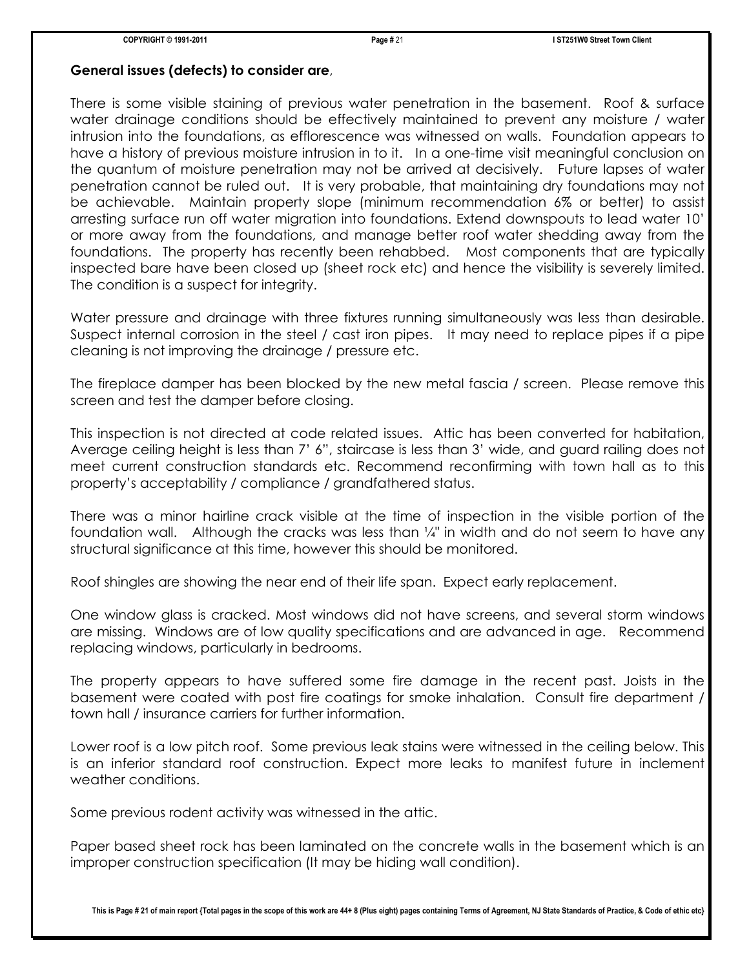## **General issues (defects) to consider are**,

There is some visible staining of previous water penetration in the basement. Roof & surface water drainage conditions should be effectively maintained to prevent any moisture / water intrusion into the foundations, as efflorescence was witnessed on walls. Foundation appears to have a history of previous moisture intrusion in to it. In a one-time visit meaningful conclusion on the quantum of moisture penetration may not be arrived at decisively. Future lapses of water penetration cannot be ruled out. It is very probable, that maintaining dry foundations may not be achievable. Maintain property slope (minimum recommendation 6% or better) to assist arresting surface run off water migration into foundations. Extend downspouts to lead water 10' or more away from the foundations, and manage better roof water shedding away from the foundations. The property has recently been rehabbed. Most components that are typically inspected bare have been closed up (sheet rock etc) and hence the visibility is severely limited. The condition is a suspect for integrity.

Water pressure and drainage with three fixtures running simultaneously was less than desirable. Suspect internal corrosion in the steel / cast iron pipes. It may need to replace pipes if a pipe cleaning is not improving the drainage / pressure etc.

The fireplace damper has been blocked by the new metal fascia / screen. Please remove this screen and test the damper before closing.

This inspection is not directed at code related issues. Attic has been converted for habitation, Average ceiling height is less than 7' 6", staircase is less than 3' wide, and guard railing does not meet current construction standards etc. Recommend reconfirming with town hall as to this property's acceptability / compliance / grandfathered status.

There was a minor hairline crack visible at the time of inspection in the visible portion of the foundation wall. Although the cracks was less than  $\frac{1}{4}$ " in width and do not seem to have any structural significance at this time, however this should be monitored.

Roof shingles are showing the near end of their life span. Expect early replacement.

One window glass is cracked. Most windows did not have screens, and several storm windows are missing. Windows are of low quality specifications and are advanced in age. Recommend replacing windows, particularly in bedrooms.

The property appears to have suffered some fire damage in the recent past. Joists in the basement were coated with post fire coatings for smoke inhalation. Consult fire department / town hall / insurance carriers for further information.

Lower roof is a low pitch roof. Some previous leak stains were witnessed in the ceiling below. This is an inferior standard roof construction. Expect more leaks to manifest future in inclement weather conditions.

Some previous rodent activity was witnessed in the attic.

Paper based sheet rock has been laminated on the concrete walls in the basement which is an improper construction specification (It may be hiding wall condition).

This is Page # 21 of main report {Total pages in the scope of this work are 44+ 8 (Plus eight) pages containing Terms of Agreement, NJ State Standards of Practice, & Code of ethic etc}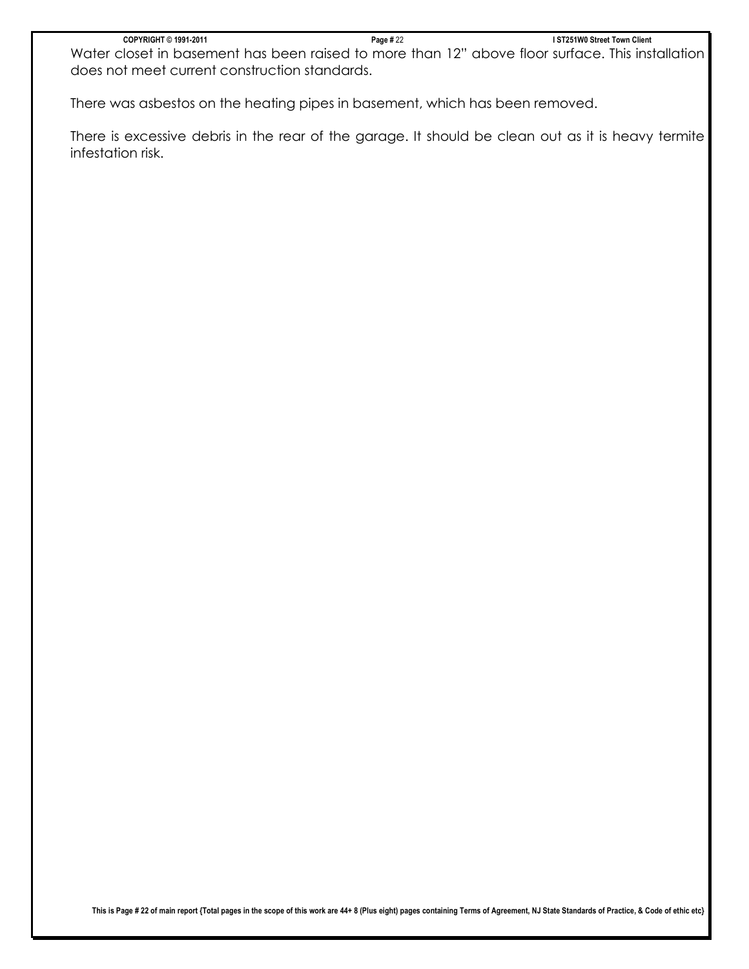There was asbestos on the heating pipes in basement, which has been removed.

There is excessive debris in the rear of the garage. It should be clean out as it is heavy termite infestation risk.

This is Page # 22 of main report {Total pages in the scope of this work are 44+ 8 (Plus eight) pages containing Terms of Agreement, NJ State Standards of Practice, & Code of ethic etc}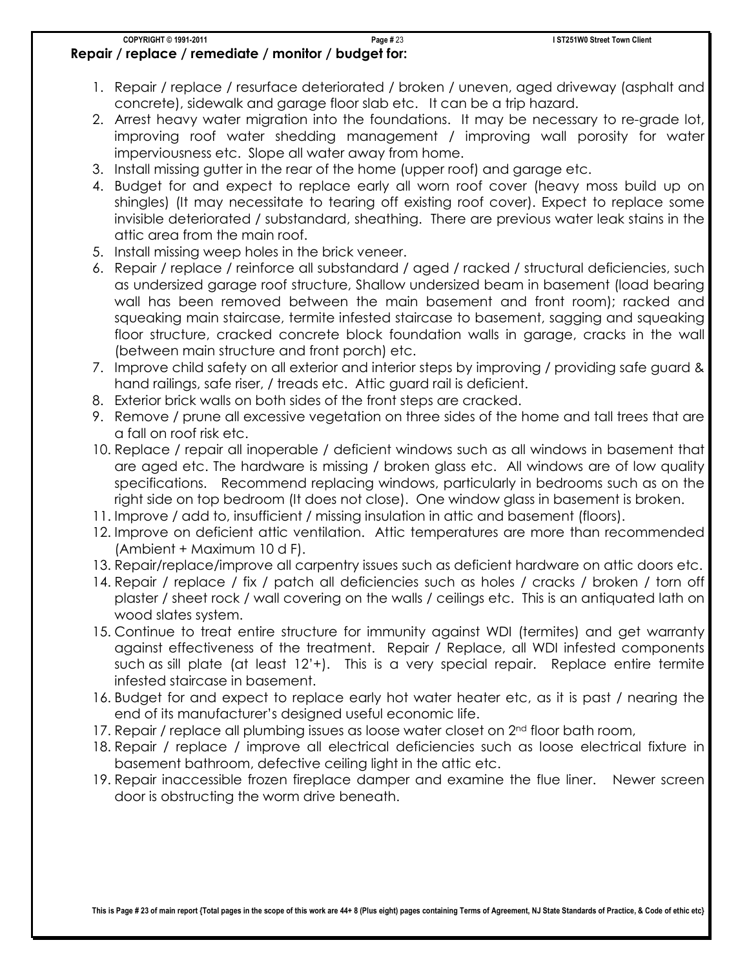## **COPYRIGHT © 1991-2011 Page #** 23 **I ST251W0 Street Town Client Repair / replace / remediate / monitor / budget for:**

- 1. Repair / replace / resurface deteriorated / broken / uneven, aged driveway (asphalt and concrete), sidewalk and garage floor slab etc. It can be a trip hazard.
- 2. Arrest heavy water migration into the foundations. It may be necessary to re-grade lot, improving roof water shedding management / improving wall porosity for water imperviousness etc. Slope all water away from home.
- 3. Install missing gutter in the rear of the home (upper roof) and garage etc.
- 4. Budget for and expect to replace early all worn roof cover (heavy moss build up on shingles) (It may necessitate to tearing off existing roof cover). Expect to replace some invisible deteriorated / substandard, sheathing. There are previous water leak stains in the attic area from the main roof.
- 5. Install missing weep holes in the brick veneer.
- 6. Repair / replace / reinforce all substandard / aged / racked / structural deficiencies, such as undersized garage roof structure, Shallow undersized beam in basement (load bearing wall has been removed between the main basement and front room); racked and squeaking main staircase, termite infested staircase to basement, sagging and squeaking floor structure, cracked concrete block foundation walls in garage, cracks in the wall (between main structure and front porch) etc.
- 7. Improve child safety on all exterior and interior steps by improving / providing safe guard & hand railings, safe riser, / treads etc. Attic guard rail is deficient.
- 8. Exterior brick walls on both sides of the front steps are cracked.
- 9. Remove / prune all excessive vegetation on three sides of the home and tall trees that are a fall on roof risk etc.
- 10. Replace / repair all inoperable / deficient windows such as all windows in basement that are aged etc. The hardware is missing / broken glass etc. All windows are of low quality specifications. Recommend replacing windows, particularly in bedrooms such as on the right side on top bedroom (It does not close). One window glass in basement is broken.
- 11. Improve / add to, insufficient / missing insulation in attic and basement (floors).
- 12. Improve on deficient attic ventilation. Attic temperatures are more than recommended (Ambient + Maximum 10 d F).
- 13. Repair/replace/improve all carpentry issues such as deficient hardware on attic doors etc.
- 14. Repair / replace / fix / patch all deficiencies such as holes / cracks / broken / torn off plaster / sheet rock / wall covering on the walls / ceilings etc. This is an antiquated lath on wood slates system.
- 15. Continue to treat entire structure for immunity against WDI (termites) and get warranty against effectiveness of the treatment. Repair / Replace, all WDI infested components such as sill plate (at least 12'+). This is a very special repair. Replace entire termite infested staircase in basement.
- 16. Budget for and expect to replace early hot water heater etc, as it is past / nearing the end of its manufacturer's designed useful economic life.
- 17. Repair / replace all plumbing issues as loose water closet on  $2<sup>nd</sup>$  floor bath room,
- 18. Repair / replace / improve all electrical deficiencies such as loose electrical fixture in basement bathroom, defective ceiling light in the attic etc.
- 19. Repair inaccessible frozen fireplace damper and examine the flue liner. Newer screen door is obstructing the worm drive beneath.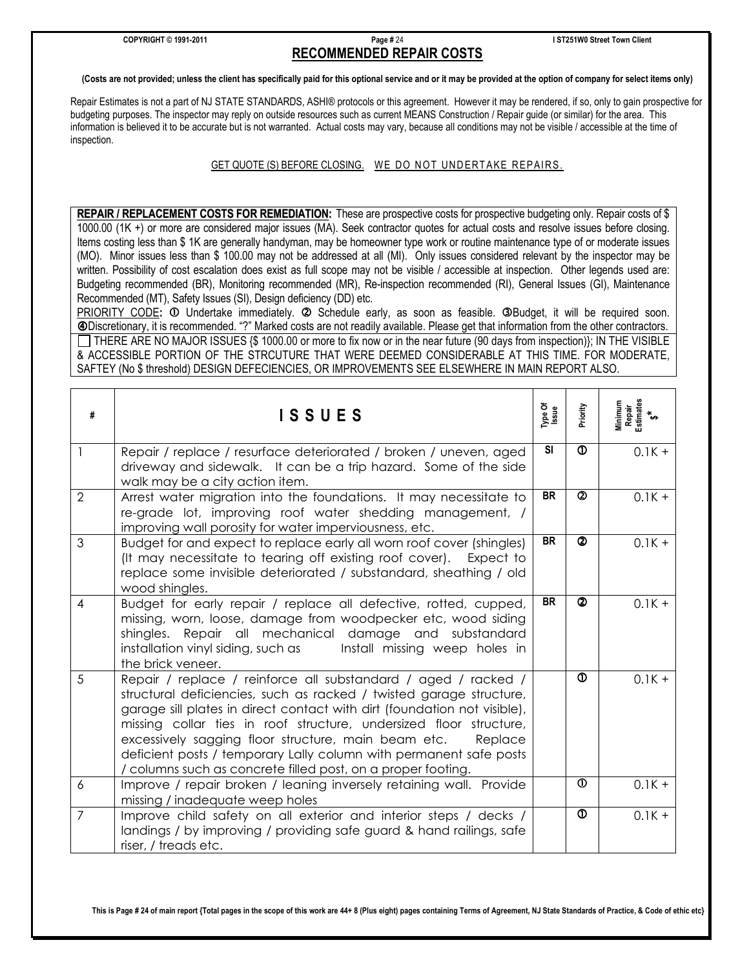## **COPYRIGHT © 1991-2011 Page #** 24 **I ST251W0 Street Town Client RECOMMENDED REPAIR COSTS**

**(Costs are not provided; unless the client has specifically paid for this optional service and or it may be provided at the option of company for select items only)** 

Repair Estimates is not a part of NJ STATE STANDARDS, ASHI® protocols or this agreement. However it may be rendered, if so, only to gain prospective for budgeting purposes. The inspector may reply on outside resources such as current MEANS Construction / Repair guide (or similar) for the area. This information is believed it to be accurate but is not warranted. Actual costs may vary, because all conditions may not be visible / accessible at the time of inspection.

#### GET QUOTE (S) BEFORE CLOSING. WE DO NOT UNDERTAKE REPAIRS.

**REPAIR / REPLACEMENT COSTS FOR REMEDIATION:** These are prospective costs for prospective budgeting only. Repair costs of \$ 1000.00 (1K +) or more are considered major issues (MA). Seek contractor quotes for actual costs and resolve issues before closing. Items costing less than \$ 1K are generally handyman, may be homeowner type work or routine maintenance type of or moderate issues (MO). Minor issues less than \$ 100.00 may not be addressed at all (MI). Only issues considered relevant by the inspector may be written. Possibility of cost escalation does exist as full scope may not be visible / accessible at inspection. Other legends used are: Budgeting recommended (BR), Monitoring recommended (MR), Re-inspection recommended (RI), General Issues (GI), Maintenance Recommended (MT), Safety Issues (SI), Design deficiency (DD) etc.

PRIORITY CODE: ① Undertake immediately. ② Schedule early, as soon as feasible. ③ Budget, it will be required soon. Discretionary, it is recommended. "?" Marked costs are not readily available. Please get that information from the other contractors. THERE ARE NO MAJOR ISSUES {\$1000.00 or more to fix now or in the near future (90 days from inspection)}; IN THE VISIBLE & ACCESSIBLE PORTION OF THE STRCUTURE THAT WERE DEEMED CONSIDERABLE AT THIS TIME. FOR MODERATE, SAFTEY (No \$ threshold) DESIGN DEFECIENCIES, OR IMPROVEMENTS SEE ELSEWHERE IN MAIN REPORT ALSO.

| #              | ISSUES                                                                                                                                                                                                                                                                                                                                                                                                                                                                                          | Type Of<br>Issue | Priority       | Minimum<br>Repair<br>Estimates |
|----------------|-------------------------------------------------------------------------------------------------------------------------------------------------------------------------------------------------------------------------------------------------------------------------------------------------------------------------------------------------------------------------------------------------------------------------------------------------------------------------------------------------|------------------|----------------|--------------------------------|
| 1              | Repair / replace / resurface deteriorated / broken / uneven, aged<br>driveway and sidewalk. It can be a trip hazard. Some of the side<br>walk may be a city action item.                                                                                                                                                                                                                                                                                                                        | <b>SI</b>        | $\Omega$       | $0.1K +$                       |
| $\overline{2}$ | Arrest water migration into the foundations. It may necessitate to<br>re-grade lot, improving roof water shedding management, /<br>improving wall porosity for water imperviousness, etc.                                                                                                                                                                                                                                                                                                       | <b>BR</b>        | ➁              | $0.1K +$                       |
| 3              | Budget for and expect to replace early all worn roof cover (shingles)<br>(It may necessitate to tearing off existing roof cover). Expect to<br>replace some invisible deteriorated / substandard, sheathing / old<br>wood shingles.                                                                                                                                                                                                                                                             | <b>BR</b>        | $\circledcirc$ | $0.1K +$                       |
| $\overline{4}$ | Budget for early repair / replace all defective, rotted, cupped,<br>missing, worn, loose, damage from woodpecker etc, wood siding<br>shingles. Repair all mechanical damage and substandard<br>installation vinyl siding, such as<br>Install missing weep holes in<br>the brick veneer.                                                                                                                                                                                                         | <b>BR</b>        | $\circledcirc$ | $0.1K +$                       |
| 5              | Repair / replace / reinforce all substandard / aged / racked /<br>structural deficiencies, such as racked / twisted garage structure,<br>garage sill plates in direct contact with dirt (foundation not visible),<br>missing collar ties in roof structure, undersized floor structure,<br>excessively sagging floor structure, main beam etc.<br>Replace<br>deficient posts / temporary Lally column with permanent safe posts<br>/ columns such as concrete filled post, on a proper footing. |                  | $\Phi$         | $0.1K +$                       |
| 6              | Improve / repair broken / leaning inversely retaining wall. Provide<br>missing / inadequate weep holes                                                                                                                                                                                                                                                                                                                                                                                          |                  | $^{\circ}$     | $0.1K +$                       |
| $\overline{7}$ | Improve child safety on all exterior and interior steps / decks /<br>landings / by improving / providing safe guard & hand railings, safe<br>riser, / treads etc.                                                                                                                                                                                                                                                                                                                               |                  | $\Phi$         | $0.1K +$                       |

This is Page # 24 of main report {Total pages in the scope of this work are 44+ 8 (Plus eight) pages containing Terms of Agreement, NJ State Standards of Practice, & Code of ethic etc}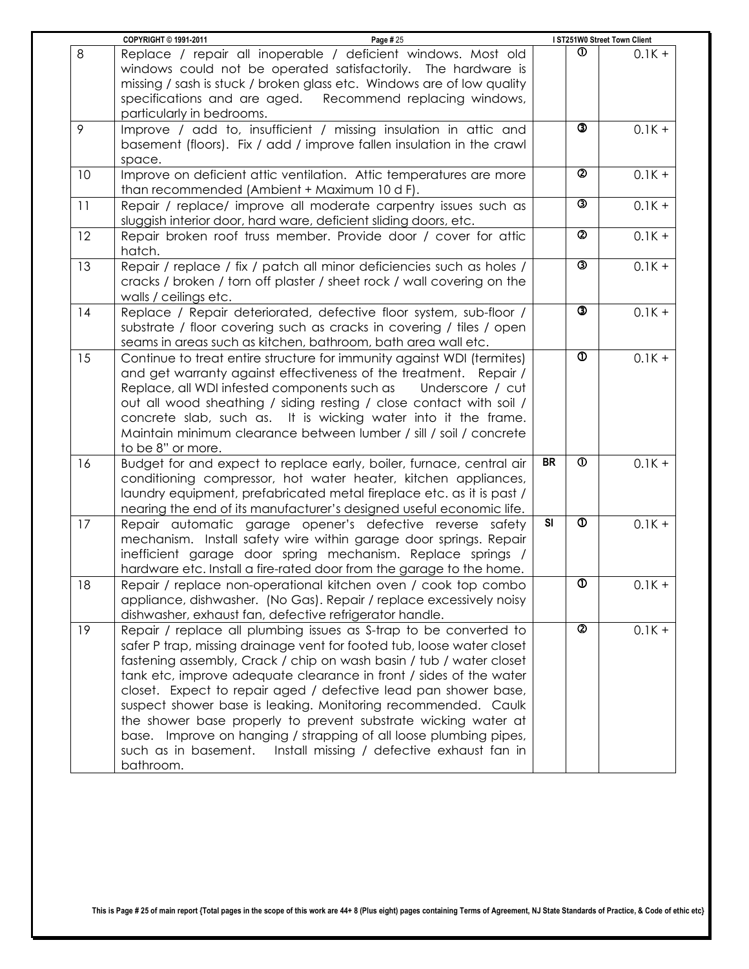|    | COPYRIGHT © 1991-2011<br>Page #25                                                                                                                                                                                                                                                                                                                                                                                                                                                                                                                                                                                                                      |           |                                | I ST251W0 Street Town Client |
|----|--------------------------------------------------------------------------------------------------------------------------------------------------------------------------------------------------------------------------------------------------------------------------------------------------------------------------------------------------------------------------------------------------------------------------------------------------------------------------------------------------------------------------------------------------------------------------------------------------------------------------------------------------------|-----------|--------------------------------|------------------------------|
| 8  | Replace / repair all inoperable / deficient windows. Most old<br>windows could not be operated satisfactorily. The hardware is<br>missing / sash is stuck / broken glass etc. Windows are of low quality<br>Recommend replacing windows,<br>specifications and are aged.<br>particularly in bedrooms.                                                                                                                                                                                                                                                                                                                                                  |           | ⊕                              | $0.1K +$                     |
| 9  | Improve / add to, insufficient / missing insulation in attic and<br>basement (floors). Fix / add / improve fallen insulation in the crawl<br>space.                                                                                                                                                                                                                                                                                                                                                                                                                                                                                                    |           | จ                              | $0.1K +$                     |
| 10 | Improve on deficient attic ventilation. Attic temperatures are more<br>than recommended (Ambient + Maximum 10 d F).                                                                                                                                                                                                                                                                                                                                                                                                                                                                                                                                    |           | $\circledcirc$                 | $0.1K +$                     |
| 11 | Repair / replace/ improve all moderate carpentry issues such as<br>sluggish interior door, hard ware, deficient sliding doors, etc.                                                                                                                                                                                                                                                                                                                                                                                                                                                                                                                    |           | $\circledcirc$                 | $0.1K +$                     |
| 12 | Repair broken roof truss member. Provide door / cover for attic<br>hatch.                                                                                                                                                                                                                                                                                                                                                                                                                                                                                                                                                                              |           | $\circledcirc$                 | $0.1K +$                     |
| 13 | Repair / replace / fix / patch all minor deficiencies such as holes /<br>cracks / broken / torn off plaster / sheet rock / wall covering on the<br>walls / ceilings etc.                                                                                                                                                                                                                                                                                                                                                                                                                                                                               |           | $\odot$                        | $0.1K +$                     |
| 14 | Replace / Repair deteriorated, defective floor system, sub-floor /<br>substrate / floor covering such as cracks in covering / tiles / open<br>seams in areas such as kitchen, bathroom, bath area wall etc.                                                                                                                                                                                                                                                                                                                                                                                                                                            |           | 3                              | $0.1K +$                     |
| 15 | Continue to treat entire structure for immunity against WDI (termites)<br>and get warranty against effectiveness of the treatment. Repair /<br>Replace, all WDI infested components such as<br>Underscore / cut<br>out all wood sheathing / siding resting / close contact with soil /<br>concrete slab, such as. It is wicking water into it the frame.<br>Maintain minimum clearance between lumber / sill / soil / concrete<br>to be 8" or more.                                                                                                                                                                                                    |           | $\Phi$                         | $0.1K +$                     |
| 16 | Budget for and expect to replace early, boiler, furnace, central air<br>conditioning compressor, hot water heater, kitchen appliances,<br>laundry equipment, prefabricated metal fireplace etc. as it is past /<br>nearing the end of its manufacturer's designed useful economic life.                                                                                                                                                                                                                                                                                                                                                                | <b>BR</b> | $\Phi$                         | $0.1K +$                     |
| 17 | Repair automatic garage opener's defective reverse safety<br>mechanism. Install safety wire within garage door springs. Repair<br>inefficient garage door spring mechanism. Replace springs /<br>hardware etc. Install a fire-rated door from the garage to the home.                                                                                                                                                                                                                                                                                                                                                                                  | SI        | $\textcircled{\scriptsize{1}}$ | $0.1K +$                     |
| 18 | Repair / replace non-operational kitchen oven / cook top combo<br>appliance, dishwasher. (No Gas). Repair / replace excessively noisy<br>dishwasher, exhaust fan, defective refrigerator handle.                                                                                                                                                                                                                                                                                                                                                                                                                                                       |           | $\mathbf 0$                    | $0.1K +$                     |
| 19 | Repair / replace all plumbing issues as S-trap to be converted to<br>safer P trap, missing drainage vent for footed tub, loose water closet<br>fastening assembly, Crack / chip on wash basin / tub / water closet<br>tank etc, improve adequate clearance in front / sides of the water<br>closet. Expect to repair aged / defective lead pan shower base,<br>suspect shower base is leaking. Monitoring recommended. Caulk<br>the shower base properly to prevent substrate wicking water at<br>base. Improve on hanging / strapping of all loose plumbing pipes,<br>Install missing / defective exhaust fan in<br>such as in basement.<br>bathroom. |           | $\circledcirc$                 | $0.1K +$                     |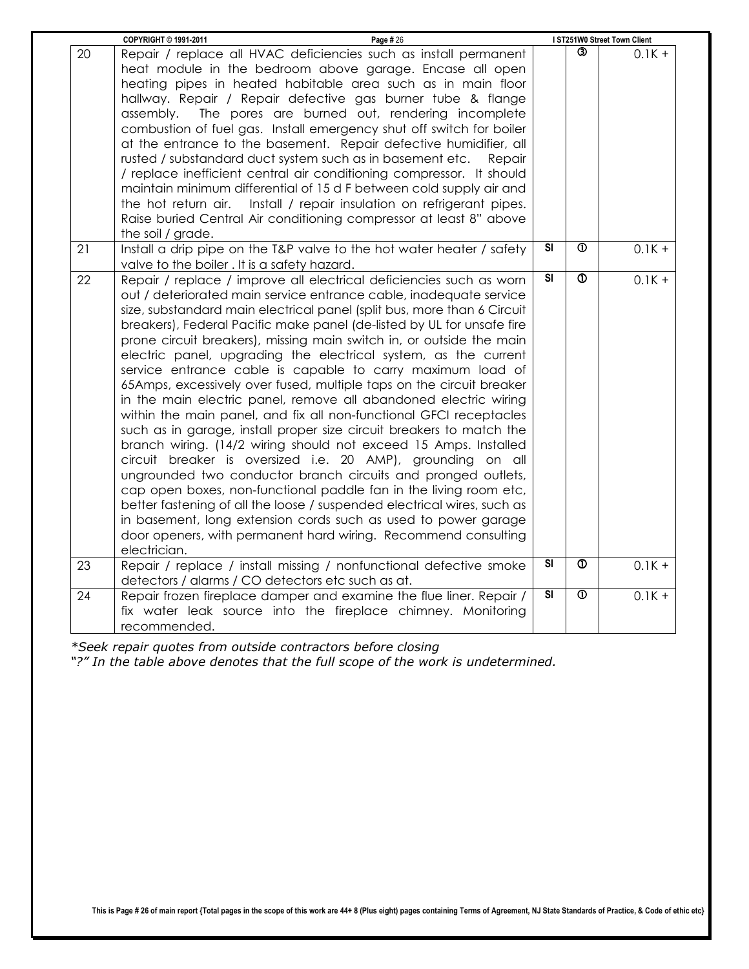|    | COPYRIGHT © 1991-2011<br>Page #26                                                                                                                                                                                                                                                                                                                                                                                                                                                                                                                                                                                                                                                                                                                                                                                                                                                                                                                                                                                                                                                                                                                                                                                                                                                                         |                          |                      | I ST251W0 Street Town Client |
|----|-----------------------------------------------------------------------------------------------------------------------------------------------------------------------------------------------------------------------------------------------------------------------------------------------------------------------------------------------------------------------------------------------------------------------------------------------------------------------------------------------------------------------------------------------------------------------------------------------------------------------------------------------------------------------------------------------------------------------------------------------------------------------------------------------------------------------------------------------------------------------------------------------------------------------------------------------------------------------------------------------------------------------------------------------------------------------------------------------------------------------------------------------------------------------------------------------------------------------------------------------------------------------------------------------------------|--------------------------|----------------------|------------------------------|
| 20 | Repair / replace all HVAC deficiencies such as install permanent<br>heat module in the bedroom above garage. Encase all open<br>heating pipes in heated habitable area such as in main floor<br>hallway. Repair / Repair defective gas burner tube & flange<br>The pores are burned out, rendering incomplete<br>assembly.<br>combustion of fuel gas. Install emergency shut off switch for boiler<br>at the entrance to the basement. Repair defective humidifier, all<br>rusted / substandard duct system such as in basement etc.<br>Repair<br>/ replace inefficient central air conditioning compressor. It should<br>maintain minimum differential of 15 d F between cold supply air and<br>Install / repair insulation on refrigerant pipes.<br>the hot return air.<br>Raise buried Central Air conditioning compressor at least 8" above<br>the soil / grade.                                                                                                                                                                                                                                                                                                                                                                                                                                      |                          | ③                    | $0.1K +$                     |
| 21 | Install a drip pipe on the T&P valve to the hot water heater / safety<br>valve to the boiler. It is a safety hazard.                                                                                                                                                                                                                                                                                                                                                                                                                                                                                                                                                                                                                                                                                                                                                                                                                                                                                                                                                                                                                                                                                                                                                                                      | SI                       | $\Phi$               | $0.1K +$                     |
| 22 | Repair / replace / improve all electrical deficiencies such as worn<br>out / deteriorated main service entrance cable, inadequate service<br>size, substandard main electrical panel (split bus, more than 6 Circuit<br>breakers), Federal Pacific make panel (de-listed by UL for unsafe fire<br>prone circuit breakers), missing main switch in, or outside the main<br>electric panel, upgrading the electrical system, as the current<br>service entrance cable is capable to carry maximum load of<br>65Amps, excessively over fused, multiple taps on the circuit breaker<br>in the main electric panel, remove all abandoned electric wiring<br>within the main panel, and fix all non-functional GFCI receptacles<br>such as in garage, install proper size circuit breakers to match the<br>branch wiring. (14/2 wiring should not exceed 15 Amps. Installed<br>circuit breaker is oversized i.e. 20 AMP), grounding on all<br>ungrounded two conductor branch circuits and pronged outlets,<br>cap open boxes, non-functional paddle fan in the living room etc,<br>better fastening of all the loose / suspended electrical wires, such as<br>in basement, long extension cords such as used to power garage<br>door openers, with permanent hard wiring. Recommend consulting<br>electrician. | $\overline{\mathsf{SI}}$ | $\overline{\bullet}$ | $0.1K +$                     |
| 23 | Repair / replace / install missing / nonfunctional defective smoke<br>detectors / alarms / CO detectors etc such as at.                                                                                                                                                                                                                                                                                                                                                                                                                                                                                                                                                                                                                                                                                                                                                                                                                                                                                                                                                                                                                                                                                                                                                                                   | $\overline{\mathbf{s}}$  | $^{\circ}$           | $0.1K +$                     |
| 24 | Repair frozen fireplace damper and examine the flue liner. Repair /<br>fix water leak source into the fireplace chimney. Monitoring<br>recommended.                                                                                                                                                                                                                                                                                                                                                                                                                                                                                                                                                                                                                                                                                                                                                                                                                                                                                                                                                                                                                                                                                                                                                       | $\overline{\mathsf{SI}}$ | $\overline{\circ}$   | $0.1K +$                     |

*\*Seek repair quotes from outside contractors before closing* 

*"?" In the table above denotes that the full scope of the work is undetermined.*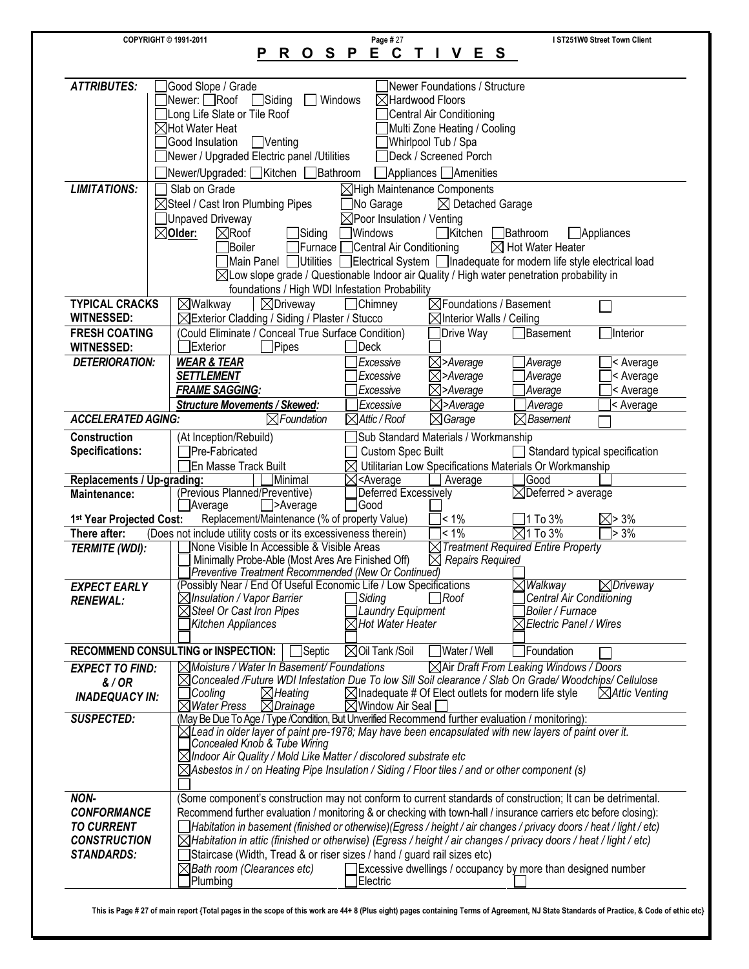| Page # 27<br>COPYRIGHT © 1991-2011<br>I ST251W0 Street Town Client |                                                                                                                                                                                                                   |                     |                                                                            |                                        |                                                                                            |                           |
|--------------------------------------------------------------------|-------------------------------------------------------------------------------------------------------------------------------------------------------------------------------------------------------------------|---------------------|----------------------------------------------------------------------------|----------------------------------------|--------------------------------------------------------------------------------------------|---------------------------|
|                                                                    | R                                                                                                                                                                                                                 | S.<br>P<br>$\Omega$ | E C                                                                        | S<br>v<br>Е.                           |                                                                                            |                           |
|                                                                    |                                                                                                                                                                                                                   |                     |                                                                            |                                        |                                                                                            |                           |
| <b>ATTRIBUTES:</b>                                                 | Good Slope / Grade                                                                                                                                                                                                |                     |                                                                            | Newer Foundations / Structure          |                                                                                            |                           |
|                                                                    | Newer: Roof Siding                                                                                                                                                                                                | Windows             | $\boxtimes$ Hardwood Floors                                                |                                        |                                                                                            |                           |
|                                                                    | Long Life Slate or Tile Roof                                                                                                                                                                                      |                     |                                                                            | Central Air Conditioning               |                                                                                            |                           |
|                                                                    | $\boxtimes$ Hot Water Heat                                                                                                                                                                                        |                     |                                                                            | Multi Zone Heating / Cooling           |                                                                                            |                           |
|                                                                    | □Venting<br>Good Insulation                                                                                                                                                                                       |                     | Whirlpool Tub / Spa                                                        |                                        |                                                                                            |                           |
|                                                                    | Newer / Upgraded Electric panel /Utilities                                                                                                                                                                        |                     |                                                                            | Deck / Screened Porch                  |                                                                                            |                           |
|                                                                    | Newer/Upgraded: <b>■Kitchen</b> Bathroom                                                                                                                                                                          |                     |                                                                            | Appliances Amenities                   |                                                                                            |                           |
| <b>LIMITATIONS:</b>                                                | Slab on Grade                                                                                                                                                                                                     |                     | $\boxtimes$ High Maintenance Components                                    |                                        |                                                                                            |                           |
|                                                                    | $\boxtimes$ Steel / Cast Iron Plumbing Pipes                                                                                                                                                                      |                     | No Garage                                                                  | $\boxtimes$ Detached Garage            |                                                                                            |                           |
|                                                                    | Unpaved Driveway                                                                                                                                                                                                  |                     | $\boxtimes$ Poor Insulation / Venting                                      |                                        |                                                                                            |                           |
|                                                                    | $\boxtimes$ Older:<br>$\boxtimes$ Roof                                                                                                                                                                            | <b>Siding</b>       | Windows                                                                    | □Kitchen                               | Bathroom                                                                                   | <b>∆Appliances</b>        |
|                                                                    | <b>Boiler</b>                                                                                                                                                                                                     |                     | Furnace □ Central Air Conditioning                                         |                                        | $\boxtimes$ Hot Water Heater                                                               |                           |
|                                                                    |                                                                                                                                                                                                                   |                     |                                                                            |                                        | Main Panel □Utilities □Electrical System □Inadequate for modern life style electrical load |                           |
|                                                                    | $\boxtimes$ Low slope grade / Questionable Indoor air Quality / High water penetration probability in                                                                                                             |                     |                                                                            |                                        |                                                                                            |                           |
|                                                                    | foundations / High WDI Infestation Probability                                                                                                                                                                    |                     |                                                                            |                                        |                                                                                            |                           |
| <b>TYPICAL CRACKS</b>                                              | I ⊠Driveway<br>$\overline{\boxtimes}$ Walkway                                                                                                                                                                     |                     | Chimney                                                                    | $\boxtimes$ Foundations / Basement     |                                                                                            |                           |
| <b>WITNESSED:</b>                                                  | $\boxtimes$ Exterior Cladding / Siding / Plaster / Stucco                                                                                                                                                         |                     |                                                                            | $\boxtimes$ Interior Walls / Ceiling   |                                                                                            |                           |
| <b>FRESH COATING</b>                                               | (Could Eliminate / Conceal True Surface Condition)                                                                                                                                                                |                     |                                                                            | Drive Way                              | Basement                                                                                   | Interior                  |
| <b>WITNESSED:</b>                                                  | <b>T</b> Pipes<br>Exterior                                                                                                                                                                                        |                     | Deck                                                                       |                                        |                                                                                            |                           |
| <b>DETERIORATION:</b>                                              | <b>WEAR &amp; TEAR</b>                                                                                                                                                                                            |                     | Excessive                                                                  | $\boxtimes$ >Average                   | Average                                                                                    | < Average                 |
|                                                                    | <b>SETTLEMENT</b>                                                                                                                                                                                                 |                     | Excessive                                                                  | $\boxtimes$ > Average                  |                                                                                            |                           |
|                                                                    | <b>FRAME SAGGING:</b>                                                                                                                                                                                             |                     | Excessive                                                                  |                                        | Average                                                                                    | < Average                 |
|                                                                    |                                                                                                                                                                                                                   |                     |                                                                            | $\boxtimes$ >Average                   | Average                                                                                    | < Average                 |
|                                                                    | <b>Structure Movements / Skewed:</b>                                                                                                                                                                              |                     | Excessive                                                                  | $\boxtimes$ >Average                   | Average                                                                                    | < Average                 |
| <b>ACCELERATED AGING:</b>                                          | $\boxtimes$ Foundation                                                                                                                                                                                            |                     | $\boxtimes$ Attic / Roof                                                   | $\boxtimes$ Garage                     | $\boxtimes$ Basement                                                                       |                           |
| Construction                                                       | (At Inception/Rebuild)                                                                                                                                                                                            |                     |                                                                            | Sub Standard Materials / Workmanship   |                                                                                            |                           |
| <b>Specifications:</b>                                             | Pre-Fabricated                                                                                                                                                                                                    |                     | Custom Spec Built                                                          |                                        | Standard typical specification                                                             |                           |
|                                                                    | En Masse Track Built                                                                                                                                                                                              |                     |                                                                            |                                        | Utilitarian Low Specifications Materials Or Workmanship                                    |                           |
| Replacements / Up-grading:                                         | Minimal                                                                                                                                                                                                           |                     | <b>S</b> <average< th=""><th>Average</th><th>Good</th><th></th></average<> | Average                                | Good                                                                                       |                           |
| Maintenance:                                                       | (Previous Planned/Preventive)                                                                                                                                                                                     |                     | Deferred Excessively                                                       |                                        | $\boxtimes$ Deferred > average                                                             |                           |
|                                                                    | □>Average<br><b>JAverage</b>                                                                                                                                                                                      |                     | Good                                                                       | $< 1\%$                                |                                                                                            |                           |
| 1st Year Projected Cost:<br>There after:                           | Replacement/Maintenance (% of property Value)                                                                                                                                                                     |                     |                                                                            | $< 1\%$                                | 1 To 3%<br>$\boxtimes$ 1 To 3%                                                             | $\boxtimes$ > 3%<br>3%    |
|                                                                    | (Does not include utility costs or its excessiveness therein)<br>None Visible In Accessible & Visible Areas                                                                                                       |                     |                                                                            |                                        | <b>Treatment Required Entire Property</b>                                                  |                           |
| TERMITE (WDI):                                                     | Minimally Probe-Able (Most Ares Are Finished Off)                                                                                                                                                                 |                     |                                                                            | $\boxtimes$<br><b>Repairs Required</b> |                                                                                            |                           |
|                                                                    | Preventive Treatment Recommended (New Or Continued)                                                                                                                                                               |                     |                                                                            |                                        |                                                                                            |                           |
| <b>EXPECT EARLY</b>                                                | (Possibly Near / End Of Useful Economic Life / Low Specifications                                                                                                                                                 |                     |                                                                            |                                        | $\boxtimes$ Walkway                                                                        | $\boxtimes$ Driveway      |
| <b>RENEWAL:</b>                                                    | $\boxtimes$ Insulation / Vapor Barrier                                                                                                                                                                            |                     | Siding                                                                     | Roof                                   | <b>Central Air Conditioning</b>                                                            |                           |
|                                                                    | $\boxtimes$ Steel Or Cast Iron Pipes                                                                                                                                                                              |                     | Laundry Equipment                                                          |                                        | Boiler / Furnace                                                                           |                           |
|                                                                    | Kitchen Appliances                                                                                                                                                                                                |                     | ⊠Hot Water Heater                                                          |                                        | $\boxtimes$ Electric Panel / Wires                                                         |                           |
|                                                                    |                                                                                                                                                                                                                   |                     |                                                                            |                                        |                                                                                            |                           |
|                                                                    | RECOMMEND CONSULTING or INSPECTION:                                                                                                                                                                               | $\Box$ Septic       | $\boxtimes$ Oil Tank /Soil                                                 | Water / Well                           | Foundation                                                                                 |                           |
| <b>EXPECT TO FIND:</b>                                             | <b>NMoisture / Water In Basement/ Foundations</b>                                                                                                                                                                 |                     |                                                                            |                                        | $\boxtimes$ Air Draft From Leaking Windows / Doors                                         |                           |
| & / OR                                                             | ⊠Concealed /Future WDI Infestation Due To low Sill Soil clearance / Slab On Grade/ Woodchips/ Cellulose                                                                                                           |                     |                                                                            |                                        |                                                                                            |                           |
| <b>INADEQUACY IN:</b>                                              | Cooling<br>$\boxtimes$ Heating                                                                                                                                                                                    |                     |                                                                            |                                        | $\boxtimes$ Inadequate # Of Elect outlets for modern life style                            | $\boxtimes$ Attic Venting |
|                                                                    | $\boxtimes$ Water Press<br>$\boxtimes$ Drainage                                                                                                                                                                   |                     | $\boxtimes$ Window Air Seal                                                |                                        |                                                                                            |                           |
| <b>SUSPECTED:</b>                                                  | (May Be Due To Age Type /Condition, But Unverified Recommend further evaluation / monitoring):<br>$\triangle$ Lead in older layer of paint pre-1978; May have been encapsulated with new layers of paint over it. |                     |                                                                            |                                        |                                                                                            |                           |
|                                                                    | Concealed Knob & Tube Wiring                                                                                                                                                                                      |                     |                                                                            |                                        |                                                                                            |                           |
|                                                                    | $\boxtimes$ Indoor Air Quality / Mold Like Matter / discolored substrate etc                                                                                                                                      |                     |                                                                            |                                        |                                                                                            |                           |
|                                                                    | $\boxtimes$ Asbestos in / on Heating Pipe Insulation / Siding / Floor tiles / and or other component (s)                                                                                                          |                     |                                                                            |                                        |                                                                                            |                           |
|                                                                    |                                                                                                                                                                                                                   |                     |                                                                            |                                        |                                                                                            |                           |
| <b>NON-</b>                                                        | (Some component's construction may not conform to current standards of construction; It can be detrimental.                                                                                                       |                     |                                                                            |                                        |                                                                                            |                           |
| <b>CONFORMANCE</b>                                                 | Recommend further evaluation / monitoring & or checking with town-hall / insurance carriers etc before closing):                                                                                                  |                     |                                                                            |                                        |                                                                                            |                           |
| <b>TO CURRENT</b>                                                  | Habitation in basement (finished or otherwise)(Egress / height / air changes / privacy doors / heat / light / etc)                                                                                                |                     |                                                                            |                                        |                                                                                            |                           |
| <b>CONSTRUCTION</b>                                                | $\boxtimes$ Habitation in attic (finished or otherwise) (Egress / height / air changes / privacy doors / heat / light / etc)                                                                                      |                     |                                                                            |                                        |                                                                                            |                           |
| <b>STANDARDS:</b>                                                  | Staircase (Width, Tread & or riser sizes / hand / guard rail sizes etc)                                                                                                                                           |                     |                                                                            |                                        |                                                                                            |                           |
|                                                                    | $\boxtimes$ Bath room (Clearances etc)                                                                                                                                                                            |                     |                                                                            |                                        | Excessive dwellings / occupancy by more than designed number                               |                           |
|                                                                    | Plumbing                                                                                                                                                                                                          |                     | Electric                                                                   |                                        |                                                                                            |                           |
|                                                                    |                                                                                                                                                                                                                   |                     |                                                                            |                                        |                                                                                            |                           |

**This is Page # 27 of main report {Total pages in the scope of this work are 44+ 8 (Plus eight) pages containing Terms of Agreement, NJ State Standards of Practice, & Code of ethic etc}**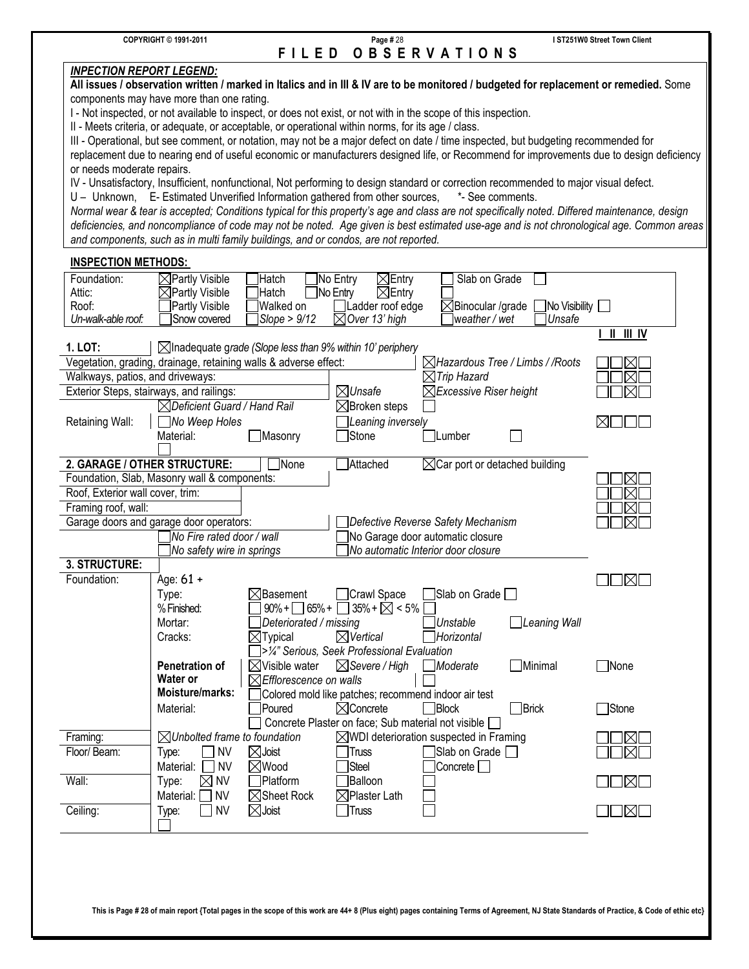|                                  | COPYRIGHT © 1991-2011                                                                                                                 |                                                                       | Page #28                                                 |                                                    |                                             | I ST251W0 Street Town Client                                                                                                                  |
|----------------------------------|---------------------------------------------------------------------------------------------------------------------------------------|-----------------------------------------------------------------------|----------------------------------------------------------|----------------------------------------------------|---------------------------------------------|-----------------------------------------------------------------------------------------------------------------------------------------------|
|                                  |                                                                                                                                       | FILED                                                                 | O                                                        | <b>BSERVATIONS</b>                                 |                                             |                                                                                                                                               |
| <b>INPECTION REPORT LEGEND:</b>  |                                                                                                                                       |                                                                       |                                                          |                                                    |                                             |                                                                                                                                               |
|                                  |                                                                                                                                       |                                                                       |                                                          |                                                    |                                             | All issues / observation written / marked in Italics and in III & IV are to be monitored / budgeted for replacement or remedied. Some         |
|                                  | components may have more than one rating.                                                                                             |                                                                       |                                                          |                                                    |                                             |                                                                                                                                               |
|                                  | I - Not inspected, or not available to inspect, or does not exist, or not with in the scope of this inspection.                       |                                                                       |                                                          |                                                    |                                             |                                                                                                                                               |
|                                  | II - Meets criteria, or adequate, or acceptable, or operational within norms, for its age / class.                                    |                                                                       |                                                          |                                                    |                                             |                                                                                                                                               |
|                                  | III - Operational, but see comment, or notation, may not be a major defect on date / time inspected, but budgeting recommended for    |                                                                       |                                                          |                                                    |                                             |                                                                                                                                               |
|                                  |                                                                                                                                       |                                                                       |                                                          |                                                    |                                             | replacement due to nearing end of useful economic or manufacturers designed life, or Recommend for improvements due to design deficiency      |
| or needs moderate repairs.       | IV - Unsatisfactory, Insufficient, nonfunctional, Not performing to design standard or correction recommended to major visual defect. |                                                                       |                                                          |                                                    |                                             |                                                                                                                                               |
|                                  | U - Unknown, E- Estimated Unverified Information gathered from other sources,                                                         |                                                                       |                                                          |                                                    | *- See comments.                            |                                                                                                                                               |
|                                  |                                                                                                                                       |                                                                       |                                                          |                                                    |                                             | Normal wear & tear is accepted; Conditions typical for this property's age and class are not specifically noted. Differed maintenance, design |
|                                  |                                                                                                                                       |                                                                       |                                                          |                                                    |                                             | deficiencies, and noncompliance of code may not be noted. Age given is best estimated use-age and is not chronological age. Common areas      |
|                                  | and components, such as in multi family buildings, and or condos, are not reported.                                                   |                                                                       |                                                          |                                                    |                                             |                                                                                                                                               |
|                                  |                                                                                                                                       |                                                                       |                                                          |                                                    |                                             |                                                                                                                                               |
| <b>INSPECTION METHODS:</b>       |                                                                                                                                       |                                                                       |                                                          |                                                    |                                             |                                                                                                                                               |
| Foundation:                      | $\boxtimes$ Partly Visible                                                                                                            | Hatch<br>Hatch                                                        | No Entry<br>$\boxtimes$ Entry                            | Slab on Grade                                      |                                             |                                                                                                                                               |
| Attic:<br>Roof:                  | $\boxtimes$ Partly Visible<br>Partly Visible                                                                                          | Walked on                                                             | $\Box$ No Entry<br>$\boxtimes$ Entry<br>Ladder roof edge | $\boxtimes$ Binocular /grade                       | $\Box$ No Visibility $\Box$                 |                                                                                                                                               |
| Un-walk-able roof:               | Snow covered                                                                                                                          | Slope > 9/12                                                          | $\boxtimes$ Over 13' high                                | weather / wet                                      | Unsafe                                      |                                                                                                                                               |
|                                  |                                                                                                                                       |                                                                       |                                                          |                                                    |                                             | $  $ $  $ $  $ $ $                                                                                                                            |
| 1. LOT:                          |                                                                                                                                       | $\boxtimes$ Inadequate grade (Slope less than 9% within 10' periphery |                                                          |                                                    |                                             |                                                                                                                                               |
|                                  | Vegetation, grading, drainage, retaining walls & adverse effect:                                                                      |                                                                       |                                                          |                                                    | $\boxtimes$ Hazardous Tree / Limbs / /Roots |                                                                                                                                               |
| Walkways, patios, and driveways: |                                                                                                                                       |                                                                       |                                                          | $\boxtimes$ Trip Hazard                            |                                             |                                                                                                                                               |
|                                  | Exterior Steps, stairways, and railings:                                                                                              |                                                                       | $\boxtimes$ Unsafe                                       | $\boxtimes$ Excessive Riser height                 |                                             |                                                                                                                                               |
|                                  | <b>NDeficient Guard / Hand Rail</b>                                                                                                   |                                                                       | $\boxtimes$ Broken steps                                 |                                                    |                                             |                                                                                                                                               |
| Retaining Wall:                  | $\Box$ No Weep Holes                                                                                                                  |                                                                       | Leaning inversely                                        |                                                    |                                             |                                                                                                                                               |
|                                  | Material:                                                                                                                             | JMasonry                                                              | Stone                                                    | Lumber                                             |                                             |                                                                                                                                               |
| 2. GARAGE / OTHER STRUCTURE:     |                                                                                                                                       | None                                                                  | <b>Attached</b>                                          |                                                    | $\boxtimes$ Car port or detached building   |                                                                                                                                               |
|                                  | Foundation, Slab, Masonry wall & components:                                                                                          |                                                                       |                                                          |                                                    |                                             |                                                                                                                                               |
| Roof, Exterior wall cover, trim: |                                                                                                                                       |                                                                       |                                                          |                                                    |                                             | ⋉                                                                                                                                             |
| Framing roof, wall:              |                                                                                                                                       |                                                                       |                                                          |                                                    |                                             |                                                                                                                                               |
|                                  | Garage doors and garage door operators:                                                                                               |                                                                       |                                                          | Defective Reverse Safety Mechanism                 |                                             |                                                                                                                                               |
|                                  | No Fire rated door / wall                                                                                                             |                                                                       |                                                          | No Garage door automatic closure                   |                                             |                                                                                                                                               |
|                                  | No safety wire in springs                                                                                                             |                                                                       |                                                          | No automatic Interior door closure                 |                                             |                                                                                                                                               |
| 3. STRUCTURE:                    |                                                                                                                                       |                                                                       |                                                          |                                                    |                                             |                                                                                                                                               |
| Foundation:                      | Age: 61 +                                                                                                                             |                                                                       |                                                          |                                                    |                                             | $\Box \boxtimes \Box$                                                                                                                         |
|                                  | Type:                                                                                                                                 | $\boxtimes$ Basement                                                  | Crawl Space                                              | $\Box$ Slab on Grade $\Box$                        |                                             |                                                                                                                                               |
|                                  | % Finished:                                                                                                                           |                                                                       | $90\% + \Box 65\% + \Box 35\% + \Box 5\%$                |                                                    |                                             |                                                                                                                                               |
|                                  | Mortar:                                                                                                                               | Deteriorated / missing                                                | $\boxtimes$ Vertical                                     | Unstable                                           | $\Box$ Leaning Wall                         |                                                                                                                                               |
|                                  | Cracks:                                                                                                                               | $\boxtimes$ Typical                                                   | 7>1/4" Serious, Seek Professional Evaluation             | Horizontal                                         |                                             |                                                                                                                                               |
|                                  | <b>Penetration of</b>                                                                                                                 | $\boxtimes$ Visible water                                             | $\boxtimes$ Severe / High                                | Moderate                                           | Minimal                                     | $\Box$ None                                                                                                                                   |
|                                  | Water or                                                                                                                              | $\boxtimes$ Efflorescence on walls                                    |                                                          |                                                    |                                             |                                                                                                                                               |
|                                  | Moisture/marks:                                                                                                                       |                                                                       | Colored mold like patches; recommend indoor air test     |                                                    |                                             |                                                                                                                                               |
|                                  | Material:                                                                                                                             | Poured                                                                | $\boxtimes$ Concrete                                     | <b>Block</b>                                       | $\Box$ Brick                                | Stone                                                                                                                                         |
|                                  |                                                                                                                                       |                                                                       | Concrete Plaster on face; Sub material not visible       |                                                    |                                             |                                                                                                                                               |
| Framing:                         | $\boxtimes$ Unbolted frame to foundation                                                                                              |                                                                       |                                                          | $\boxtimes$ WDI deterioration suspected in Framing |                                             |                                                                                                                                               |
| Floor/Beam:                      | ] NV<br>Type:                                                                                                                         | $\boxtimes$ Joist                                                     | Truss                                                    | $\Box$ Slab on Grade $\Box$                        |                                             |                                                                                                                                               |
|                                  | Material:<br>$\Box$ NV                                                                                                                | $\boxtimes$ Wood                                                      | Steel                                                    | Concrete $\Box$                                    |                                             |                                                                                                                                               |
| Wall:                            | $\boxtimes$ NV<br>Type:                                                                                                               | $\Box$ Platform                                                       | Balloon                                                  |                                                    |                                             |                                                                                                                                               |
|                                  | Material:<br><b>NV</b>                                                                                                                | $\boxtimes$ Sheet Rock                                                | $\boxtimes$ Plaster Lath                                 |                                                    |                                             |                                                                                                                                               |
| Ceiling:                         | <b>NV</b><br>Type:                                                                                                                    | $\boxtimes$ Joist                                                     | Truss                                                    |                                                    |                                             | IXII                                                                                                                                          |
|                                  |                                                                                                                                       |                                                                       |                                                          |                                                    |                                             |                                                                                                                                               |
|                                  |                                                                                                                                       |                                                                       |                                                          |                                                    |                                             |                                                                                                                                               |

**This is Page # 28 of main report {Total pages in the scope of this work are 44+ 8 (Plus eight) pages containing Terms of Agreement, NJ State Standards of Practice, & Code of ethic etc}**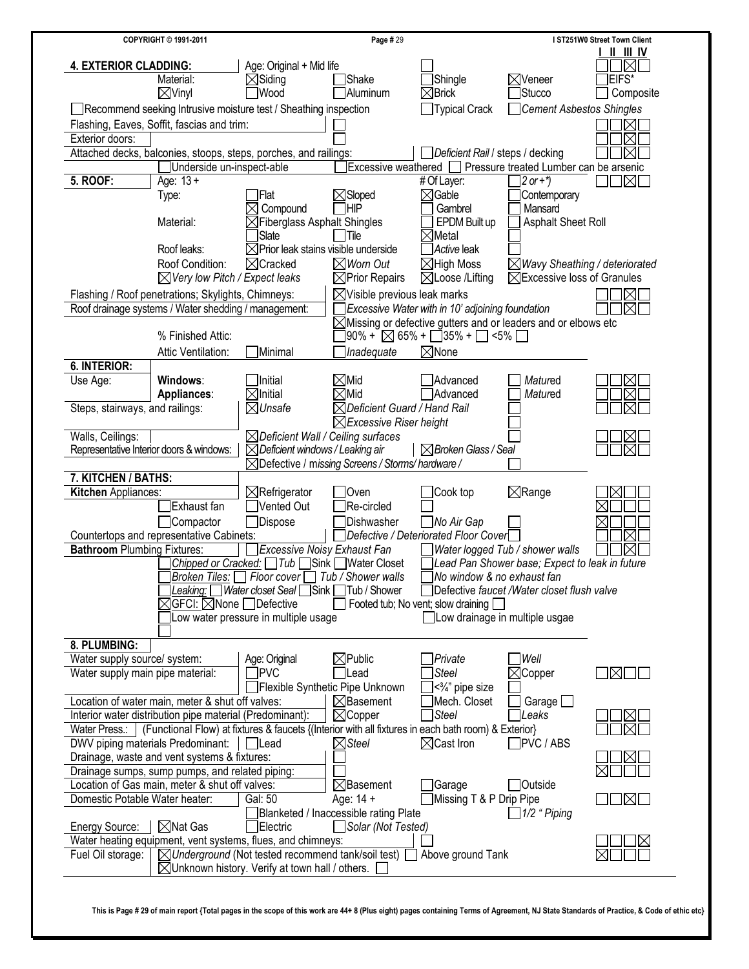| COPYRIGHT © 1991-2011                                            |                                                                                                     | Page #29                                                             |                                                                                                                              |                                                | I ST251W0 Street Town Client |
|------------------------------------------------------------------|-----------------------------------------------------------------------------------------------------|----------------------------------------------------------------------|------------------------------------------------------------------------------------------------------------------------------|------------------------------------------------|------------------------------|
|                                                                  |                                                                                                     |                                                                      |                                                                                                                              |                                                | 11 111 IV                    |
| <b>4. EXTERIOR CLADDING:</b>                                     | Age: Original + Mid life                                                                            |                                                                      |                                                                                                                              |                                                | I⊠                           |
| Material:                                                        | $\boxtimes$ Siding                                                                                  | <b>Shake</b>                                                         | Shingle                                                                                                                      | $\boxtimes$ Veneer                             | EIFS*                        |
| $\boxtimes$ Vinyl                                                | Wood                                                                                                | Aluminum                                                             | $\boxtimes$ Brick                                                                                                            | Stucco                                         | Composite                    |
| Recommend seeking Intrusive moisture test / Sheathing inspection |                                                                                                     |                                                                      | Typical Crack                                                                                                                | <b>Cement Asbestos Shingles</b>                |                              |
| Flashing, Eaves, Soffit, fascias and trim:                       |                                                                                                     |                                                                      |                                                                                                                              |                                                |                              |
|                                                                  |                                                                                                     |                                                                      |                                                                                                                              |                                                | $\boxtimes$                  |
| Exterior doors:                                                  |                                                                                                     |                                                                      |                                                                                                                              |                                                |                              |
| Attached decks, balconies, stoops, steps, porches, and railings: |                                                                                                     |                                                                      | Deficient Rail / steps / decking                                                                                             |                                                |                              |
|                                                                  | Underside un-inspect-able                                                                           | Excessive weathered                                                  |                                                                                                                              | Pressure treated Lumber can be arsenic         |                              |
| 5. ROOF:<br>Age: $13 +$                                          |                                                                                                     |                                                                      | $\overline{\text{#Of}}$ Layer:                                                                                               | $2 or +\sqrt[4]{ }$                            | IM                           |
| Type:                                                            | Flat                                                                                                | $\boxtimes$ Sloped                                                   | $\boxtimes$ Gable                                                                                                            | Contemporary                                   |                              |
|                                                                  | Compound                                                                                            | ∃HIP                                                                 | Gambrel                                                                                                                      | Mansard                                        |                              |
| Material:                                                        | $\boxtimes$ Fiberglass Asphalt Shingles                                                             |                                                                      | EPDM Built up                                                                                                                | Asphalt Sheet Roll                             |                              |
|                                                                  | Slate                                                                                               | <b>Tile</b>                                                          | $\bowtie$ Metal                                                                                                              |                                                |                              |
| Roof leaks:                                                      | $\boxtimes$ Prior leak stains visible underside                                                     |                                                                      | Active leak                                                                                                                  |                                                |                              |
| Roof Condition:                                                  | $\boxtimes$ Cracked                                                                                 | $\boxtimes$ Worn Out                                                 | $\boxtimes$ High Moss                                                                                                        | $\boxtimes$ Wavy Sheathing / deteriorated      |                              |
|                                                                  | $\boxtimes$ Very low Pitch / Expect leaks                                                           | $\boxtimes$ Prior Repairs                                            | $\boxtimes$ Loose /Lifting                                                                                                   | $\boxtimes$ Excessive loss of Granules         |                              |
| Flashing / Roof penetrations; Skylights, Chimneys:               |                                                                                                     | $\boxtimes$ Visible previous leak marks                              |                                                                                                                              |                                                |                              |
| Roof drainage systems / Water shedding / management:             |                                                                                                     |                                                                      | Excessive Water with in 10' adjoining foundation                                                                             |                                                |                              |
|                                                                  |                                                                                                     |                                                                      | $\boxtimes$ Missing or defective gutters and or leaders and or elbows etc                                                    |                                                |                              |
| % Finished Attic:                                                |                                                                                                     |                                                                      | $\overline{1}90\%$ + $\overline{\bigcirc}$ 65% + $\overline{\bigcirc}$ 35% + $\overline{\bigcirc}$ <5% $\overline{\bigcirc}$ |                                                |                              |
|                                                                  |                                                                                                     |                                                                      | $\boxtimes$ None                                                                                                             |                                                |                              |
| Attic Ventilation:<br>6. INTERIOR:                               | Minimal                                                                                             | Inadequate                                                           |                                                                                                                              |                                                |                              |
|                                                                  |                                                                                                     |                                                                      |                                                                                                                              |                                                |                              |
| Use Age:<br>Windows:                                             | Initial                                                                                             | $\boxtimes$ Mid                                                      | Advanced                                                                                                                     | Matured                                        |                              |
| Appliances:                                                      | $\boxtimes$ Initial                                                                                 | $\boxtimes$ Mid                                                      | Advanced                                                                                                                     | Matured                                        |                              |
| Steps, stairways, and railings:                                  | $\boxtimes$ Unsafe                                                                                  | $\times$ Deficient Guard / Hand Rail                                 |                                                                                                                              |                                                |                              |
|                                                                  |                                                                                                     | $\boxtimes$ Excessive Riser height                                   |                                                                                                                              |                                                |                              |
| Walls, Ceilings:                                                 | ⊠Deficient Wall / Ceiling surfaces                                                                  |                                                                      |                                                                                                                              |                                                |                              |
| Representative Interior doors & windows:                         | $\boxtimes$ Deficient windows / Leaking air                                                         |                                                                      | $\boxtimes$ Broken Glass / Seal                                                                                              |                                                |                              |
|                                                                  |                                                                                                     | $\boxtimes$ Defective / m <i>issing Screens</i> / Storms/ hardware / |                                                                                                                              |                                                |                              |
| 7. KITCHEN / BATHS:                                              |                                                                                                     |                                                                      |                                                                                                                              |                                                |                              |
| Kitchen Appliances:                                              | $\boxtimes$ Refrigerator                                                                            | lOven                                                                | Cook top                                                                                                                     | $\boxtimes$ Range                              |                              |
| Exhaust fan                                                      | Vented Out                                                                                          | Re-circled                                                           |                                                                                                                              |                                                |                              |
| Compactor                                                        | $\Box$ Dispose                                                                                      | Dishwasher                                                           | No Air Gap                                                                                                                   |                                                |                              |
| Countertops and representative Cabinets:                         |                                                                                                     |                                                                      | Defective / Deteriorated Floor Cover                                                                                         |                                                |                              |
| <b>Bathroom Plumbing Fixtures:</b>                               | <b>Excessive Noisy Exhaust Fan</b>                                                                  |                                                                      |                                                                                                                              | Water logged Tub / shower walls                |                              |
|                                                                  | Chipped or Cracked: Tub Sink Water Closet                                                           |                                                                      |                                                                                                                              | Lead Pan Shower base; Expect to leak in future |                              |
|                                                                  | Broken Tiles: □ Floor cover □ Tub / Shower walls                                                    |                                                                      | \No window & no exhaust fan                                                                                                  |                                                |                              |
| Leaking:                                                         | Water closet Seal Sink Tub / Shower                                                                 |                                                                      |                                                                                                                              | Defective faucet /Water closet flush valve     |                              |
|                                                                  | $GFCI:$ Mone Defective                                                                              |                                                                      | Footed tub; No vent; slow draining                                                                                           |                                                |                              |
|                                                                  | Low water pressure in multiple usage                                                                |                                                                      |                                                                                                                              | Low drainage in multiple usgae                 |                              |
|                                                                  |                                                                                                     |                                                                      |                                                                                                                              |                                                |                              |
| 8. PLUMBING:                                                     |                                                                                                     |                                                                      |                                                                                                                              |                                                |                              |
|                                                                  | Age: Original                                                                                       |                                                                      |                                                                                                                              |                                                |                              |
| Water supply source/ system:                                     |                                                                                                     | $\boxtimes$ Public                                                   | Private                                                                                                                      | Well                                           |                              |
| Water supply main pipe material:                                 | <b>TPVC</b>                                                                                         | □Lead                                                                | <b>Steel</b>                                                                                                                 | $\boxtimes$ Copper                             |                              |
|                                                                  |                                                                                                     | Flexible Synthetic Pipe Unknown                                      | <3/ <sub>4</sub> " pipe size                                                                                                 |                                                |                              |
| Location of water main, meter & shut off valves:                 |                                                                                                     | $\boxtimes$ Basement                                                 | Mech. Closet                                                                                                                 | Garage $\Box$                                  |                              |
| Interior water distribution pipe material (Predominant):         |                                                                                                     | $\boxtimes$ Copper                                                   | Steel                                                                                                                        | Leaks                                          |                              |
| Water Press.:                                                    | (Functional Flow) at fixtures & faucets {(Interior with all fixtures in each bath room) & Exterior} |                                                                      |                                                                                                                              |                                                |                              |
| DWV piping materials Predominant:   Lead                         |                                                                                                     | $\boxtimes$ Steel                                                    | $\boxtimes$ Cast Iron                                                                                                        | $\Box$ PVC / ABS                               |                              |
| Drainage, waste and vent systems & fixtures:                     |                                                                                                     |                                                                      |                                                                                                                              |                                                |                              |
| Drainage sumps, sump pumps, and related piping:                  |                                                                                                     |                                                                      |                                                                                                                              |                                                |                              |
| Location of Gas main, meter & shut off valves:                   |                                                                                                     | $\boxtimes$ Basement                                                 | Garage                                                                                                                       | Outside                                        |                              |
| Domestic Potable Water heater:                                   | Gal: 50                                                                                             | Age: 14 +                                                            | Missing T & P Drip Pipe                                                                                                      |                                                |                              |
|                                                                  |                                                                                                     | Blanketed / Inaccessible rating Plate                                |                                                                                                                              | $\Box$ 1/2 " Piping                            |                              |
| Energy Source:<br>$\boxtimes$ Nat Gas                            | Electric                                                                                            | Solar (Not Tested)                                                   |                                                                                                                              |                                                |                              |
| Water heating equipment, vent systems, flues, and chimneys:      |                                                                                                     |                                                                      |                                                                                                                              |                                                |                              |
| Fuel Oil storage:                                                | ⊠Underground (Not tested recommend tank/soil test)   Above ground Tank                              |                                                                      |                                                                                                                              |                                                |                              |
|                                                                  | $\boxtimes$ Unknown history. Verify at town hall / others.                                          |                                                                      |                                                                                                                              |                                                |                              |
|                                                                  |                                                                                                     |                                                                      |                                                                                                                              |                                                |                              |

**This is Page # 29 of main report {Total pages in the scope of this work are 44+ 8 (Plus eight) pages containing Terms of Agreement, NJ State Standards of Practice, & Code of ethic etc}**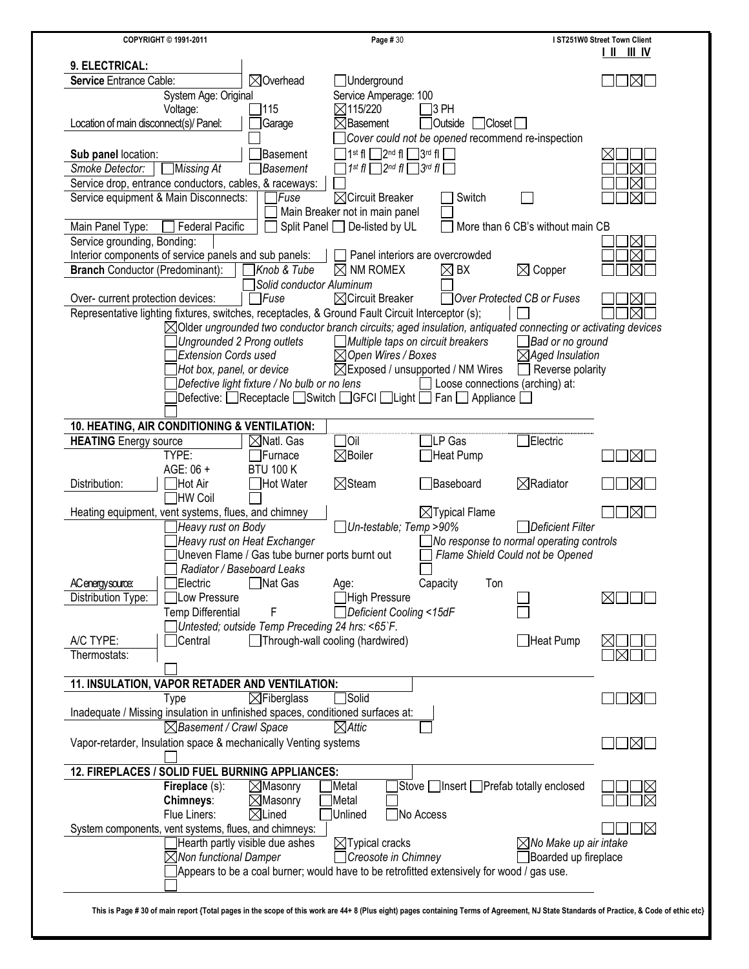| COPYRIGHT © 1991-2011                                                                            | Page #30                                                                                                                 | I ST251W0 Street Town Client             |
|--------------------------------------------------------------------------------------------------|--------------------------------------------------------------------------------------------------------------------------|------------------------------------------|
|                                                                                                  |                                                                                                                          | III III IV                               |
| 9. ELECTRICAL:<br>Service Entrance Cable:                                                        |                                                                                                                          |                                          |
| $\boxtimes$ Overhead<br>System Age: Original                                                     | Underground<br>Service Amperage: 100                                                                                     |                                          |
| 7115<br>Voltage:                                                                                 | ⊠115/220<br>13 PH                                                                                                        |                                          |
| Location of main disconnect(s)/ Panel:<br>Garage                                                 | $\boxtimes$ Basement<br><b>Outside</b>                                                                                   | □Closet                                  |
|                                                                                                  | Cover could not be opened recommend re-inspection                                                                        |                                          |
| Sub panel location:<br>Basement                                                                  | $1st$ fl $\Box$ 2 <sup>nd</sup> fl $\Box$ 3 <sup>rd</sup> fl $\Box$                                                      |                                          |
| Missing At<br>Smoke Detector:<br>Basement                                                        | 1st fl $\Box$ 2nd fl $\Box$ 3rd fl $\Box$                                                                                |                                          |
| Service drop, entrance conductors, cables, & raceways:                                           |                                                                                                                          |                                          |
| Service equipment & Main Disconnects:<br>Fuse                                                    | <b>⊠Circuit Breaker</b><br>Switch                                                                                        |                                          |
|                                                                                                  | Main Breaker not in main panel                                                                                           |                                          |
| Main Panel Type:<br><b>Federal Pacific</b>                                                       | Split Panel □ De-listed by UL                                                                                            | More than 6 CB's without main CB         |
| Service grounding, Bonding:                                                                      |                                                                                                                          |                                          |
| Interior components of service panels and sub panels:                                            | Panel interiors are overcrowded                                                                                          |                                          |
| <b>Branch</b> Conductor (Predominant):<br>Knob & Tube                                            | $\boxtimes$ NM ROMEX<br>$\boxtimes$ BX                                                                                   | $\boxtimes$ Copper                       |
|                                                                                                  | Solid conductor Aluminum                                                                                                 |                                          |
| $\Box$ Fuse<br>Over- current protection devices:                                                 | $\boxtimes$ Circuit Breaker                                                                                              | Over Protected CB or Fuses               |
| Representative lighting fixtures, switches, receptacles, & Ground Fault Circuit Interceptor (s); |                                                                                                                          |                                          |
|                                                                                                  | $\boxtimes$ Older ungrounded two conductor branch circuits; aged insulation, antiquated connecting or activating devices |                                          |
| Ungrounded 2 Prong outlets                                                                       | $\Box$ Multiple taps on circuit breakers                                                                                 | $\Box$ Bad or no ground                  |
| <b>Extension Cords used</b>                                                                      | $\boxtimes$ Open Wires / Boxes                                                                                           | $\boxtimes$ Aged Insulation              |
| Hot box, panel, or device                                                                        | $\boxtimes$ Exposed / unsupported / NM Wires                                                                             | $\Box$ Reverse polarity                  |
| Defective light fixture / No bulb or no lens                                                     |                                                                                                                          | Loose connections (arching) at:          |
|                                                                                                  | Defective: □Receptacle □Switch □GFCI □Light □ Fan □ Appliance □                                                          |                                          |
|                                                                                                  |                                                                                                                          |                                          |
| 10. HEATING, AIR CONDITIONING & VENTILATION:                                                     |                                                                                                                          |                                          |
| $\boxtimes$ Natl. Gas<br><b>HEATING</b> Energy source                                            | 70il<br>LP Gas                                                                                                           | Electric                                 |
| TYPE:<br><b>Furnace</b>                                                                          | $\boxtimes$ Boiler<br>Heat Pump                                                                                          | $\times$                                 |
| AGE: 06 +<br><b>BTU 100 K</b>                                                                    |                                                                                                                          |                                          |
| Distribution:<br> Hot Air<br>Hot Water                                                           | $\boxtimes$ Steam<br>Baseboard                                                                                           | ⊠Radiator<br>$\times$                    |
| <b>HW Coil</b>                                                                                   | $\boxtimes$ Typical Flame                                                                                                | 110                                      |
| Heating equipment, vent systems, flues, and chimney<br>Heavy rust on Body                        | $\Box$ Un-testable; Temp >90%                                                                                            | Deficient Filter                         |
| Heavy rust on Heat Exchanger                                                                     |                                                                                                                          | No response to normal operating controls |
| Uneven Flame / Gas tube burner ports burnt out                                                   |                                                                                                                          | Flame Shield Could not be Opened         |
| Radiator / Baseboard Leaks                                                                       |                                                                                                                          |                                          |
| <b>Electric</b> Mat Gas<br>AC energy source:                                                     | Capacity<br>Age:<br>Ton                                                                                                  |                                          |
| Distribution Type:<br>Low Pressure                                                               | High Pressure                                                                                                            |                                          |
| <b>Temp Differential</b><br>F                                                                    | Deficient Cooling <15dF                                                                                                  |                                          |
| Untested; outside Temp Preceding 24 hrs: <65`F.                                                  |                                                                                                                          |                                          |
| A/C TYPE:<br> Central                                                                            | Through-wall cooling (hardwired)                                                                                         | ∃Heat Pump                               |
| Thermostats:                                                                                     |                                                                                                                          |                                          |
|                                                                                                  |                                                                                                                          |                                          |
| 11. INSULATION, VAPOR RETADER AND VENTILATION:                                                   |                                                                                                                          |                                          |
| $\boxtimes$ Fiberglass<br>Type                                                                   | $\sqsupset$ Solid                                                                                                        | IXC                                      |
| Inadequate / Missing insulation in unfinished spaces, conditioned surfaces at:                   |                                                                                                                          |                                          |
| $\boxtimes$ Basement / Crawl Space                                                               | $\boxtimes$ Attic                                                                                                        |                                          |
| Vapor-retarder, Insulation space & mechanically Venting systems                                  |                                                                                                                          | I⊠L                                      |
|                                                                                                  |                                                                                                                          |                                          |
| 12. FIREPLACES / SOLID FUEL BURNING APPLIANCES:                                                  |                                                                                                                          |                                          |
| Fireplace (s):<br>$\overline{\boxtimes}$ Masonry                                                 | Metal<br>Stove   Insert   Prefab totally enclosed                                                                        |                                          |
| $\boxtimes$ Masonry<br>Chimneys:                                                                 | Metal                                                                                                                    |                                          |
| Flue Liners:<br>$\boxtimes$ Lined                                                                | Unlined<br>No Access                                                                                                     |                                          |
| System components, vent systems, flues, and chimneys:                                            |                                                                                                                          | ⋉                                        |
| Hearth partly visible due ashes                                                                  | $\boxtimes$ Typical cracks                                                                                               | $\boxtimes$ No Make up air intake        |
| $\boxtimes$ Non functional Damper                                                                | Creosote in Chimney                                                                                                      | Boarded up fireplace                     |
|                                                                                                  | Appears to be a coal burner; would have to be retrofitted extensively for wood / gas use.                                |                                          |
|                                                                                                  |                                                                                                                          |                                          |
|                                                                                                  |                                                                                                                          |                                          |

**This is Page # 30 of main report {Total pages in the scope of this work are 44+ 8 (Plus eight) pages containing Terms of Agreement, NJ State Standards of Practice, & Code of ethic etc}**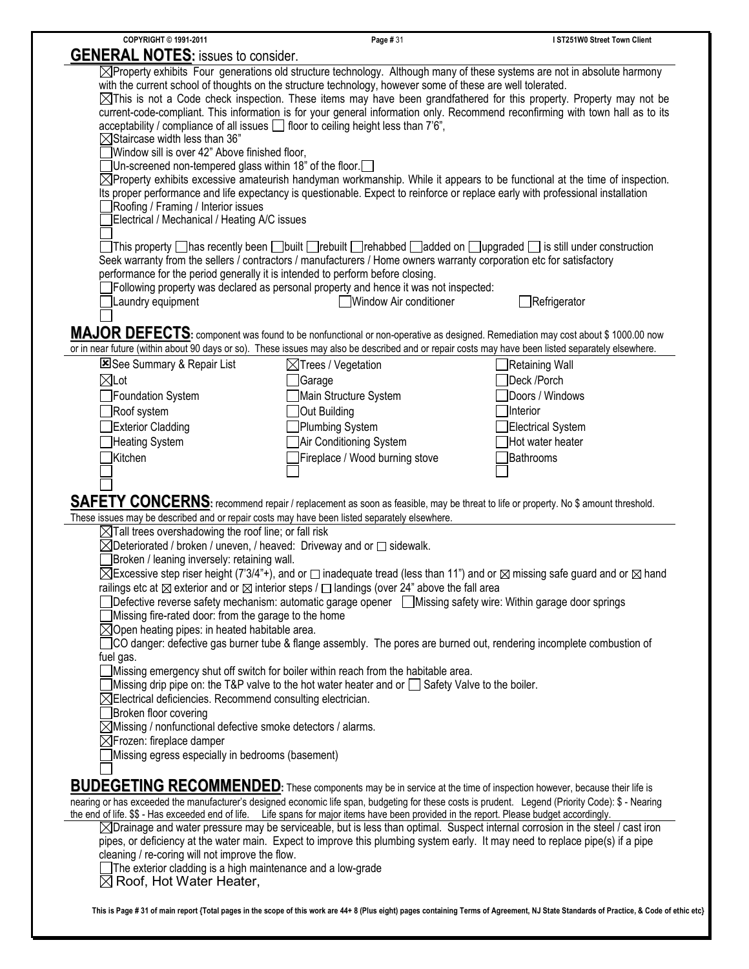| COPYRIGHT © 1991-2011                                                                                                                                                                                                                                                                                                                                                                                                         | Page #31                                                                                                                                                                                                                                                                                                                                                                                                                                                                                                                                                                                                                                                                                                                                                                                           | I ST251W0 Street Town Client                                                                                                                                                             |
|-------------------------------------------------------------------------------------------------------------------------------------------------------------------------------------------------------------------------------------------------------------------------------------------------------------------------------------------------------------------------------------------------------------------------------|----------------------------------------------------------------------------------------------------------------------------------------------------------------------------------------------------------------------------------------------------------------------------------------------------------------------------------------------------------------------------------------------------------------------------------------------------------------------------------------------------------------------------------------------------------------------------------------------------------------------------------------------------------------------------------------------------------------------------------------------------------------------------------------------------|------------------------------------------------------------------------------------------------------------------------------------------------------------------------------------------|
| <b>GENERAL NOTES:</b> issues to consider.                                                                                                                                                                                                                                                                                                                                                                                     |                                                                                                                                                                                                                                                                                                                                                                                                                                                                                                                                                                                                                                                                                                                                                                                                    |                                                                                                                                                                                          |
| acceptability / compliance of all issues $\Box$ floor to ceiling height less than 7'6",<br>$\boxtimes$ Staircase width less than 36"<br>Window sill is over 42" Above finished floor,<br>]Un-screened non-tempered glass within 18" of the floor. $\square$<br>Roofing / Framing / Interior issues<br>Electrical / Mechanical / Heating A/C issues                                                                            | $\boxtimes$ Property exhibits Four generations old structure technology. Although many of these systems are not in absolute harmony<br>with the current school of thoughts on the structure technology, however some of these are well tolerated.<br>$\boxtimes$ This is not a Code check inspection. These items may have been grandfathered for this property. Property may not be<br>current-code-compliant. This information is for your general information only. Recommend reconfirming with town hall as to its<br>$\boxtimes$ Property exhibits excessive amateurish handyman workmanship. While it appears to be functional at the time of inspection.<br>Its proper performance and life expectancy is questionable. Expect to reinforce or replace early with professional installation |                                                                                                                                                                                          |
| performance for the period generally it is intended to perform before closing.                                                                                                                                                                                                                                                                                                                                                | This property Dhas recently been Dbuilt Drebuilt Drehabbed Dadded on Dupgraded Dis still under construction<br>Seek warranty from the sellers / contractors / manufacturers / Home owners warranty corporation etc for satisfactory<br>Following property was declared as personal property and hence it was not inspected:                                                                                                                                                                                                                                                                                                                                                                                                                                                                        |                                                                                                                                                                                          |
| Laundry equipment                                                                                                                                                                                                                                                                                                                                                                                                             | Window Air conditioner                                                                                                                                                                                                                                                                                                                                                                                                                                                                                                                                                                                                                                                                                                                                                                             | $\Box$ Refrigerator                                                                                                                                                                      |
| MAJOR DEFECTS: component was found to be nonfunctional or non-operative as designed. Remediation may cost about \$ 1000.00 now<br>or in near future (within about 90 days or so). These issues may also be described and or repair costs may have been listed separately elsewhere.                                                                                                                                           |                                                                                                                                                                                                                                                                                                                                                                                                                                                                                                                                                                                                                                                                                                                                                                                                    |                                                                                                                                                                                          |
| <b>ES</b> See Summary & Repair List                                                                                                                                                                                                                                                                                                                                                                                           | $\boxtimes$ Trees / Vegetation                                                                                                                                                                                                                                                                                                                                                                                                                                                                                                                                                                                                                                                                                                                                                                     | ∏Retaining Wall                                                                                                                                                                          |
| $\boxtimes$ Lot                                                                                                                                                                                                                                                                                                                                                                                                               | Garage                                                                                                                                                                                                                                                                                                                                                                                                                                                                                                                                                                                                                                                                                                                                                                                             | Deck /Porch                                                                                                                                                                              |
| □Foundation System                                                                                                                                                                                                                                                                                                                                                                                                            | Main Structure System                                                                                                                                                                                                                                                                                                                                                                                                                                                                                                                                                                                                                                                                                                                                                                              | Doors / Windows                                                                                                                                                                          |
| $\exists$ Roof system                                                                                                                                                                                                                                                                                                                                                                                                         | Out Building                                                                                                                                                                                                                                                                                                                                                                                                                                                                                                                                                                                                                                                                                                                                                                                       | Interior                                                                                                                                                                                 |
| Exterior Cladding                                                                                                                                                                                                                                                                                                                                                                                                             | Plumbing System                                                                                                                                                                                                                                                                                                                                                                                                                                                                                                                                                                                                                                                                                                                                                                                    | Electrical System                                                                                                                                                                        |
| ∃Heating System                                                                                                                                                                                                                                                                                                                                                                                                               | Air Conditioning System                                                                                                                                                                                                                                                                                                                                                                                                                                                                                                                                                                                                                                                                                                                                                                            | Hot water heater                                                                                                                                                                         |
| ∏Kitchen                                                                                                                                                                                                                                                                                                                                                                                                                      | Fireplace / Wood burning stove                                                                                                                                                                                                                                                                                                                                                                                                                                                                                                                                                                                                                                                                                                                                                                     | Bathrooms                                                                                                                                                                                |
|                                                                                                                                                                                                                                                                                                                                                                                                                               |                                                                                                                                                                                                                                                                                                                                                                                                                                                                                                                                                                                                                                                                                                                                                                                                    |                                                                                                                                                                                          |
|                                                                                                                                                                                                                                                                                                                                                                                                                               |                                                                                                                                                                                                                                                                                                                                                                                                                                                                                                                                                                                                                                                                                                                                                                                                    |                                                                                                                                                                                          |
| SAFETY CONCERNS: recommend repair / replacement as soon as feasible, may be threat to life or property. No \$ amount threshold.<br>These issues may be described and or repair costs may have been listed separately elsewhere.                                                                                                                                                                                               |                                                                                                                                                                                                                                                                                                                                                                                                                                                                                                                                                                                                                                                                                                                                                                                                    |                                                                                                                                                                                          |
| $\boxtimes$ Tall trees overshadowing the roof line; or fall risk                                                                                                                                                                                                                                                                                                                                                              |                                                                                                                                                                                                                                                                                                                                                                                                                                                                                                                                                                                                                                                                                                                                                                                                    |                                                                                                                                                                                          |
| $\boxtimes$ Deteriorated / broken / uneven, / heaved: Driveway and or $\Box$ sidewalk.                                                                                                                                                                                                                                                                                                                                        |                                                                                                                                                                                                                                                                                                                                                                                                                                                                                                                                                                                                                                                                                                                                                                                                    |                                                                                                                                                                                          |
| Broken / leaning inversely: retaining wall.                                                                                                                                                                                                                                                                                                                                                                                   |                                                                                                                                                                                                                                                                                                                                                                                                                                                                                                                                                                                                                                                                                                                                                                                                    |                                                                                                                                                                                          |
|                                                                                                                                                                                                                                                                                                                                                                                                                               | $\boxtimes$ Excessive step riser height (7'3/4"+), and or $\Box$ inadequate tread (less than 11") and or $\boxtimes$ missing safe guard and or $\boxtimes$ hand                                                                                                                                                                                                                                                                                                                                                                                                                                                                                                                                                                                                                                    |                                                                                                                                                                                          |
|                                                                                                                                                                                                                                                                                                                                                                                                                               | railings etc at $\boxtimes$ exterior and or $\boxtimes$ interior steps / $\Box$ landings (over 24" above the fall area<br>Defective reverse safety mechanism: automatic garage opener ⅠMissing safety wire: Within garage door springs                                                                                                                                                                                                                                                                                                                                                                                                                                                                                                                                                             |                                                                                                                                                                                          |
| Missing fire-rated door: from the garage to the home                                                                                                                                                                                                                                                                                                                                                                          |                                                                                                                                                                                                                                                                                                                                                                                                                                                                                                                                                                                                                                                                                                                                                                                                    |                                                                                                                                                                                          |
| $\boxtimes$ Open heating pipes: in heated habitable area.                                                                                                                                                                                                                                                                                                                                                                     |                                                                                                                                                                                                                                                                                                                                                                                                                                                                                                                                                                                                                                                                                                                                                                                                    |                                                                                                                                                                                          |
| fuel gas.                                                                                                                                                                                                                                                                                                                                                                                                                     | CO danger: defective gas burner tube & flange assembly. The pores are burned out, rendering incomplete combustion of                                                                                                                                                                                                                                                                                                                                                                                                                                                                                                                                                                                                                                                                               |                                                                                                                                                                                          |
|                                                                                                                                                                                                                                                                                                                                                                                                                               | Missing emergency shut off switch for boiler within reach from the habitable area.                                                                                                                                                                                                                                                                                                                                                                                                                                                                                                                                                                                                                                                                                                                 |                                                                                                                                                                                          |
|                                                                                                                                                                                                                                                                                                                                                                                                                               | Missing drip pipe on: the T&P valve to the hot water heater and or $\Box$ Safety Valve to the boiler.                                                                                                                                                                                                                                                                                                                                                                                                                                                                                                                                                                                                                                                                                              |                                                                                                                                                                                          |
| $\boxtimes$ Electrical deficiencies. Recommend consulting electrician.                                                                                                                                                                                                                                                                                                                                                        |                                                                                                                                                                                                                                                                                                                                                                                                                                                                                                                                                                                                                                                                                                                                                                                                    |                                                                                                                                                                                          |
| Broken floor covering                                                                                                                                                                                                                                                                                                                                                                                                         |                                                                                                                                                                                                                                                                                                                                                                                                                                                                                                                                                                                                                                                                                                                                                                                                    |                                                                                                                                                                                          |
| $\boxtimes$ Missing / nonfunctional defective smoke detectors / alarms.<br>$\boxtimes$ Frozen: fireplace damper                                                                                                                                                                                                                                                                                                               |                                                                                                                                                                                                                                                                                                                                                                                                                                                                                                                                                                                                                                                                                                                                                                                                    |                                                                                                                                                                                          |
| Missing egress especially in bedrooms (basement)                                                                                                                                                                                                                                                                                                                                                                              |                                                                                                                                                                                                                                                                                                                                                                                                                                                                                                                                                                                                                                                                                                                                                                                                    |                                                                                                                                                                                          |
|                                                                                                                                                                                                                                                                                                                                                                                                                               |                                                                                                                                                                                                                                                                                                                                                                                                                                                                                                                                                                                                                                                                                                                                                                                                    |                                                                                                                                                                                          |
| <b>BUDEGETING RECOMMENDED:</b> These components may be in service at the time of inspection however, because their life is<br>nearing or has exceeded the manufacturer's designed economic life span, budgeting for these costs is prudent. Legend (Priority Code): \$ - Nearing<br>the end of life. \$\$ - Has exceeded end of life. Life spans for major items have been provided in the report. Please budget accordingly. |                                                                                                                                                                                                                                                                                                                                                                                                                                                                                                                                                                                                                                                                                                                                                                                                    |                                                                                                                                                                                          |
| cleaning / re-coring will not improve the flow.<br>The exterior cladding is a high maintenance and a low-grade                                                                                                                                                                                                                                                                                                                | ⊠Drainage and water pressure may be serviceable, but is less than optimal. Suspect internal corrosion in the steel / cast iron<br>pipes, or deficiency at the water main. Expect to improve this plumbing system early. It may need to replace pipe(s) if a pipe                                                                                                                                                                                                                                                                                                                                                                                                                                                                                                                                   |                                                                                                                                                                                          |
| $\boxtimes$ Roof, Hot Water Heater,                                                                                                                                                                                                                                                                                                                                                                                           |                                                                                                                                                                                                                                                                                                                                                                                                                                                                                                                                                                                                                                                                                                                                                                                                    | This is Page # 31 of main report {Total pages in the scope of this work are 44+ 8 (Plus eight) pages containing Terms of Agreement, NJ State Standards of Practice, & Code of ethic etc} |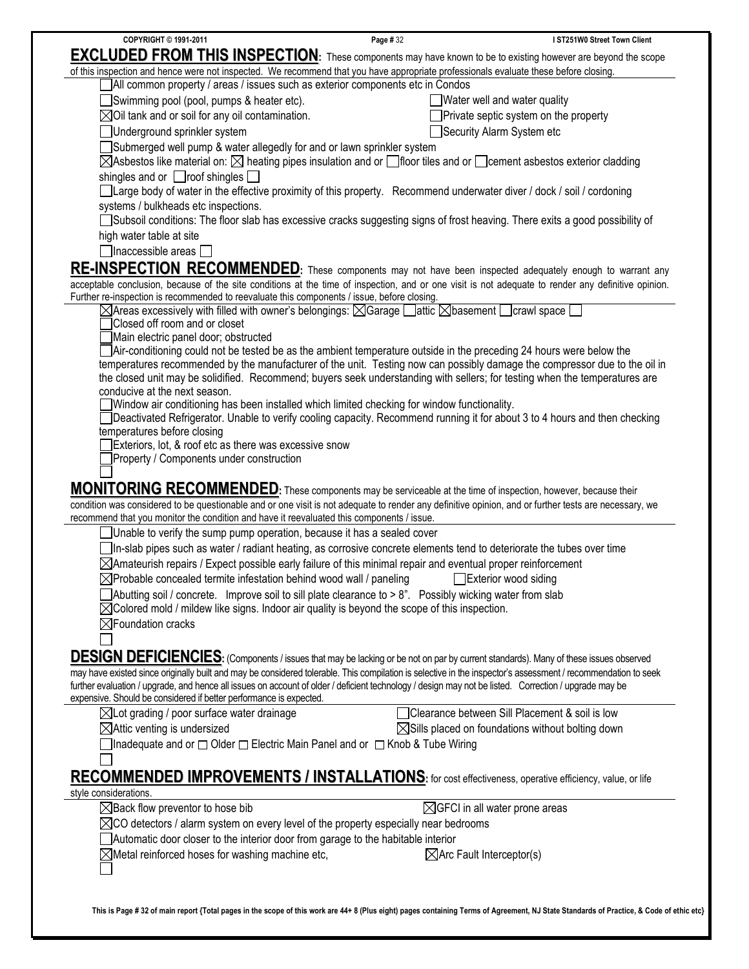| COPYRIGHT © 1991-2011                                                                                                                                                                                                                                                                                       | Page #32                             | I ST251W0 Street Town Client                                 |
|-------------------------------------------------------------------------------------------------------------------------------------------------------------------------------------------------------------------------------------------------------------------------------------------------------------|--------------------------------------|--------------------------------------------------------------|
| <b>EXCLUDED FROM THIS INSPECTION:</b> These components may have known to be to existing however are beyond the scope                                                                                                                                                                                        |                                      |                                                              |
| of this inspection and hence were not inspected. We recommend that you have appropriate professionals evaluate these before closing.                                                                                                                                                                        |                                      |                                                              |
| ]All common property / areas / issues such as exterior components etc in Condos                                                                                                                                                                                                                             |                                      |                                                              |
| Swimming pool (pool, pumps & heater etc).                                                                                                                                                                                                                                                                   |                                      | Water well and water quality                                 |
| $\boxtimes$ Oil tank and or soil for any oil contamination.                                                                                                                                                                                                                                                 |                                      | Private septic system on the property                        |
| Underground sprinkler system                                                                                                                                                                                                                                                                                |                                      | Security Alarm System etc                                    |
| Submerged well pump & water allegedly for and or lawn sprinkler system                                                                                                                                                                                                                                      |                                      |                                                              |
| $\boxtimes$ Asbestos like material on: $\boxtimes$ heating pipes insulation and or $\Box$ floor tiles and or $\Box$ cement asbestos exterior cladding                                                                                                                                                       |                                      |                                                              |
| shingles and or $\Box$ roof shingles $\Box$                                                                                                                                                                                                                                                                 |                                      |                                                              |
| Large body of water in the effective proximity of this property. Recommend underwater diver / dock / soil / cordoning                                                                                                                                                                                       |                                      |                                                              |
| systems / bulkheads etc inspections.                                                                                                                                                                                                                                                                        |                                      |                                                              |
| Subsoil conditions: The floor slab has excessive cracks suggesting signs of frost heaving. There exits a good possibility of                                                                                                                                                                                |                                      |                                                              |
| high water table at site                                                                                                                                                                                                                                                                                    |                                      |                                                              |
| $\Box$ Inaccessible areas $\Box$                                                                                                                                                                                                                                                                            |                                      |                                                              |
| RE-INSPECTION RECOMMENDED: These components may not have been inspected adequately enough to warrant any                                                                                                                                                                                                    |                                      |                                                              |
| acceptable conclusion, because of the site conditions at the time of inspection, and or one visit is not adequate to render any definitive opinion.                                                                                                                                                         |                                      |                                                              |
| Further re-inspection is recommended to reevaluate this components / issue, before closing.<br>$\boxtimes$ Areas excessively with filled with owner's belongings: $\boxtimes$ Garage $\Box$ attic $\boxtimes$ basement $\Box$ crawl space $\Box$                                                            |                                      |                                                              |
| Closed off room and or closet                                                                                                                                                                                                                                                                               |                                      |                                                              |
| Main electric panel door; obstructed                                                                                                                                                                                                                                                                        |                                      |                                                              |
| Air-conditioning could not be tested be as the ambient temperature outside in the preceding 24 hours were below the                                                                                                                                                                                         |                                      |                                                              |
| temperatures recommended by the manufacturer of the unit. Testing now can possibly damage the compressor due to the oil in                                                                                                                                                                                  |                                      |                                                              |
| the closed unit may be solidified. Recommend; buyers seek understanding with sellers; for testing when the temperatures are                                                                                                                                                                                 |                                      |                                                              |
| conducive at the next season.<br>Window air conditioning has been installed which limited checking for window functionality.                                                                                                                                                                                |                                      |                                                              |
| Deactivated Refrigerator. Unable to verify cooling capacity. Recommend running it for about 3 to 4 hours and then checking                                                                                                                                                                                  |                                      |                                                              |
| temperatures before closing                                                                                                                                                                                                                                                                                 |                                      |                                                              |
| Exteriors, lot, & roof etc as there was excessive snow                                                                                                                                                                                                                                                      |                                      |                                                              |
| Property / Components under construction                                                                                                                                                                                                                                                                    |                                      |                                                              |
|                                                                                                                                                                                                                                                                                                             |                                      |                                                              |
| <b>MONITORING RECOMMENDED:</b> These components may be serviceable at the time of inspection, however, because their                                                                                                                                                                                        |                                      |                                                              |
| condition was considered to be questionable and or one visit is not adequate to render any definitive opinion, and or further tests are necessary, we                                                                                                                                                       |                                      |                                                              |
| recommend that you monitor the condition and have it reevaluated this components / issue.                                                                                                                                                                                                                   |                                      |                                                              |
| Unable to verify the sump pump operation, because it has a sealed cover                                                                                                                                                                                                                                     |                                      |                                                              |
| In-slab pipes such as water / radiant heating, as corrosive concrete elements tend to deteriorate the tubes over time                                                                                                                                                                                       |                                      |                                                              |
| $\boxtimes$ Amateurish repairs / Expect possible early failure of this minimal repair and eventual proper reinforcement<br>⊠Probable concealed termite infestation behind wood wall / paneling<br>□Exterior wood siding                                                                                     |                                      |                                                              |
| Abutting soil / concrete. Improve soil to sill plate clearance to > 8". Possibly wicking water from slab                                                                                                                                                                                                    |                                      |                                                              |
| $\boxtimes$ Colored mold / mildew like signs. Indoor air quality is beyond the scope of this inspection.                                                                                                                                                                                                    |                                      |                                                              |
| $\bowtie$ Foundation cracks                                                                                                                                                                                                                                                                                 |                                      |                                                              |
|                                                                                                                                                                                                                                                                                                             |                                      |                                                              |
|                                                                                                                                                                                                                                                                                                             |                                      |                                                              |
| <b>DESIGN DEFICIENCIES:</b> (Components / issues that may be lacking or be not on par by current standards). Many of these issues observed<br>may have existed since originally built and may be considered tolerable. This compilation is selective in the inspector's assessment / recommendation to seek |                                      |                                                              |
| further evaluation / upgrade, and hence all issues on account of older / deficient technology / design may not be listed. Correction / upgrade may be                                                                                                                                                       |                                      |                                                              |
| expensive. Should be considered if better performance is expected.                                                                                                                                                                                                                                          |                                      |                                                              |
| $\boxtimes$ Lot grading / poor surface water drainage                                                                                                                                                                                                                                                       |                                      | TClearance between Sill Placement & soil is low              |
| $\boxtimes$ Attic venting is undersized                                                                                                                                                                                                                                                                     |                                      | $\boxtimes$ Sills placed on foundations without bolting down |
| ]Inadequate and or □ Older □ Electric Main Panel and or □ Knob & Tube Wiring                                                                                                                                                                                                                                |                                      |                                                              |
|                                                                                                                                                                                                                                                                                                             |                                      |                                                              |
| <b>RECOMMENDED IMPROVEMENTS / INSTALLATIONS:</b> for cost effectiveness, operative efficiency, value, or life                                                                                                                                                                                               |                                      |                                                              |
| style considerations.                                                                                                                                                                                                                                                                                       |                                      |                                                              |
| $\boxtimes$ Back flow preventor to hose bib                                                                                                                                                                                                                                                                 |                                      | $\boxtimes$ GFCI in all water prone areas                    |
| $\boxtimes$ CO detectors / alarm system on every level of the property especially near bedrooms                                                                                                                                                                                                             |                                      |                                                              |
| Automatic door closer to the interior door from garage to the habitable interior                                                                                                                                                                                                                            |                                      |                                                              |
| $\boxtimes$ Metal reinforced hoses for washing machine etc,                                                                                                                                                                                                                                                 | $\boxtimes$ Arc Fault Interceptor(s) |                                                              |
|                                                                                                                                                                                                                                                                                                             |                                      |                                                              |
|                                                                                                                                                                                                                                                                                                             |                                      |                                                              |
|                                                                                                                                                                                                                                                                                                             |                                      |                                                              |

**This is Page # 32 of main report {Total pages in the scope of this work are 44+ 8 (Plus eight) pages containing Terms of Agreement, NJ State Standards of Practice, & Code of ethic etc}**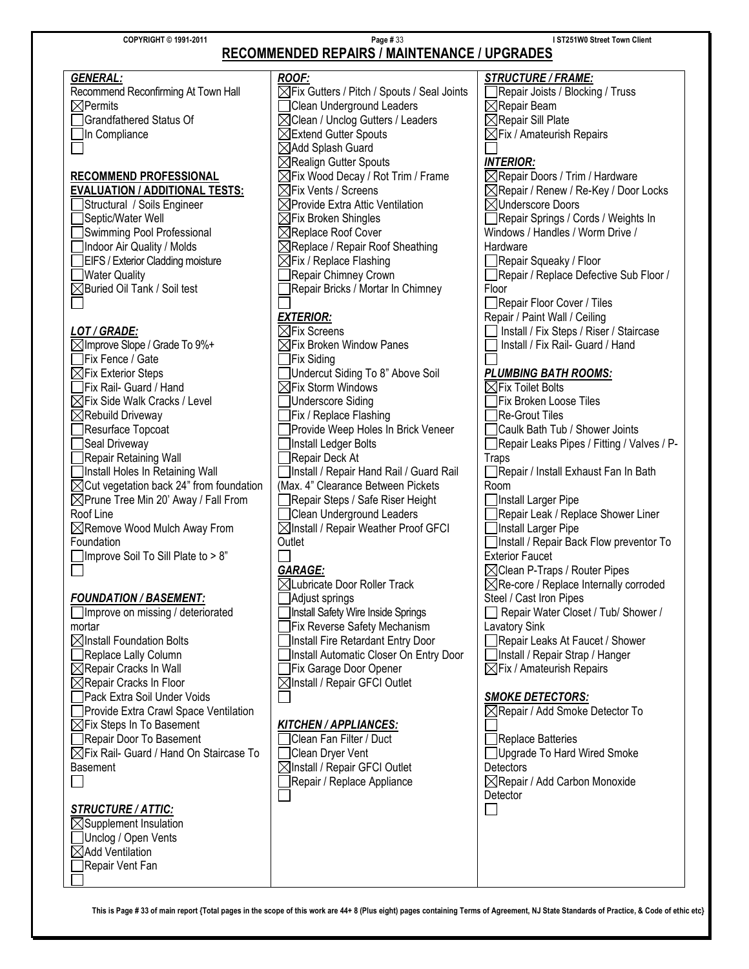## *GENERAL:*

Recommend Reconfirming At Town Hall  $\boxtimes$ Permits Grandfathered Status Of **□In Compliance** 

#### **RECOMMEND PROFESSIONAL EVALUATION / ADDITIONAL TESTS:**

Structural / Soils Engineer **Septic/Water Well** Swimming Pool Professional Indoor Air Quality / Molds EIFS / Exterior Cladding moisture Water Quality  $\boxtimes$ Buried Oil Tank / Soil test

## *LOT / GRADE:*

Improve Slope / Grade To 9%+ Fix Fence / Gate  $\boxtimes$ Fix Exterior Steps Fix Rail- Guard / Hand  $\boxtimes$ Fix Side Walk Cracks / Level  $\boxtimes$ Rebuild Driveway Resurface Topcoat Seal Driveway Repair Retaining Wall  $⊓$ Install Holes In Retaining Wall  $\overline{\boxtimes}$ Cut vegetation back 24" from foundation  $\boxtimes$ Prune Tree Min 20' Away / Fall From Roof Line Remove Wood Mulch Away From Foundation  $\Box$ Improve Soil To Sill Plate to > 8"

## *FOUNDATION / BASEMENT:*

Improve on missing / deteriorated mortar  $\boxtimes$ Install Foundation Bolts Replace Lally Column  $\boxtimes$ Repair Cracks In Wall Repair Cracks In Floor Pack Extra Soil Under Voids Provide Extra Crawl Space Ventilation  $\overline{\boxtimes}$ Fix Steps In To Basement Repair Door To Basement  $\boxtimes$ Fix Rail- Guard / Hand On Staircase To **Basement** П

## *STRUCTURE / ATTIC:*

 $\overline{\boxtimes}$ Supplement Insulation Unclog / Open Vents  $\boxtimes$ Add Ventilation Repair Vent Fan

- *ROOF:* **Seal Joints / Pitch / Spouts / Seal Joints** Clean Underground Leaders  $\boxtimes$ Clean / Unclog Gutters / Leaders  $\overline{\boxtimes}$  Extend Gutter Spouts Add Splash Guard  $\boxtimes$ Realign Gutter Spouts  $\overline{\boxtimes}$ Fix Wood Decay / Rot Trim / Frame  $\boxtimes$ Fix Vents / Screens  $\boxtimes$ Provide Extra Attic Ventilation  $\boxtimes$ Fix Broken Shingles Replace Roof Cover  $\boxtimes$ Replace / Repair Roof Sheathing  $\boxtimes$ Fix / Replace Flashing Repair Chimney Crown Repair Bricks / Mortar In Chimney *EXTERIOR:*  $\overline{\mathsf{M}}$ Fix Screens  $\boxtimes$ Fix Broken Window Panes  $\Box$ Fix Siding Undercut Siding To 8" Above Soil  $\overline{\boxtimes}$ Fix Storm Windows Underscore Siding  $\Box$ Fix / Replace Flashing **Provide Weep Holes In Brick Veneer** □Install Ledger Bolts Repair Deck At Install / Repair Hand Rail / Guard Rail (Max. 4" Clearance Between Pickets Repair Steps / Safe Riser Height □Clean Underground Leaders  $\boxtimes$ Install / Repair Weather Proof GFCI **Outlet** *GARAGE:* Lubricate Door Roller Track Adjust springs Install Safety Wire Inside Springs Fix Reverse Safety Mechanism
	- Install Fire Retardant Entry Door Install Automatic Closer On Entry Door
	- Fix Garage Door Opener
	- $\boxtimes$ Install / Repair GFCI Outlet

## *KITCHEN / APPLIANCES:*

Clean Fan Filter / Duct Clean Dryer Vent  $\boxtimes$ Install / Repair GFCI Outlet Repair / Replace Appliance

## *STRUCTURE / FRAME:* Repair Joists / Blocking / Truss  $\overline{\boxtimes}$ Repair Beam  $\boxtimes$ Repair Sill Plate  $\overline{\boxtimes}$ Fix / Amateurish Repairs *INTERIOR:*  $\overline{\boxtimes}$ Repair Doors / Trim / Hardware Repair / Renew / Re-Key / Door Locks Underscore Doors Repair Springs / Cords / Weights In Windows / Handles / Worm Drive / Hardware Repair Squeaky / Floor Repair / Replace Defective Sub Floor / Floor Repair Floor Cover / Tiles

Repair / Paint Wall / Ceiling Install / Fix Steps / Riser / Staircase Install / Fix Rail- Guard / Hand

## *PLUMBING BATH ROOMS:*

 $\overline{\boxtimes}$ Fix Toilet Bolts Fix Broken Loose Tiles Re-Grout Tiles Caulk Bath Tub / Shower Joints Repair Leaks Pipes / Fitting / Valves / P-Traps Repair / Install Exhaust Fan In Bath Room **□Install Larger Pipe** Repair Leak / Replace Shower Liner Install Larger Pipe Install / Repair Back Flow preventor To Exterior Faucet  $\boxtimes$ Clean P-Traps / Router Pipes  $\boxtimes$ Re-core / Replace Internally corroded Steel / Cast Iron Pipes Repair Water Closet / Tub/ Shower / Lavatory Sink Repair Leaks At Faucet / Shower Install / Repair Strap / Hanger  $\boxtimes$ Fix / Amateurish Repairs

## *SMOKE DETECTORS:*

- $\boxtimes$ Repair / Add Smoke Detector To
- Replace Batteries Upgrade To Hard Wired Smoke **Detectors** Repair / Add Carbon Monoxide **Detector** П

**This is Page # 33 of main report {Total pages in the scope of this work are 44+ 8 (Plus eight) pages containing Terms of Agreement, NJ State Standards of Practice, & Code of ethic etc}**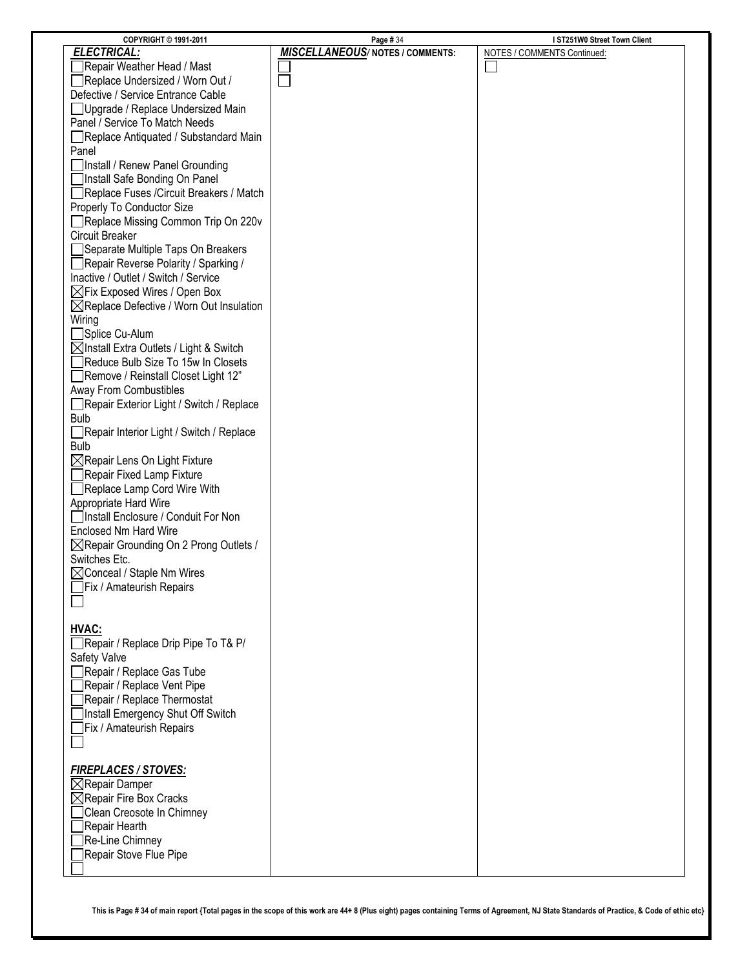| COPYRIGHT © 1991-2011                              | Page #34                             | I ST251W0 Street Town Client |  |
|----------------------------------------------------|--------------------------------------|------------------------------|--|
| <b>ELECTRICAL:</b>                                 | <b>MISCELLANEOUS/NOTES/COMMENTS:</b> | NOTES / COMMENTS Continued:  |  |
| Repair Weather Head / Mast                         |                                      |                              |  |
| Replace Undersized / Worn Out /                    |                                      |                              |  |
| Defective / Service Entrance Cable                 |                                      |                              |  |
|                                                    |                                      |                              |  |
| □ Upgrade / Replace Undersized Main                |                                      |                              |  |
| Panel / Service To Match Needs                     |                                      |                              |  |
| Replace Antiquated / Substandard Main              |                                      |                              |  |
| Panel                                              |                                      |                              |  |
| Install / Renew Panel Grounding                    |                                      |                              |  |
| Install Safe Bonding On Panel                      |                                      |                              |  |
| Replace Fuses / Circuit Breakers / Match           |                                      |                              |  |
| Properly To Conductor Size                         |                                      |                              |  |
|                                                    |                                      |                              |  |
| Replace Missing Common Trip On 220v                |                                      |                              |  |
| <b>Circuit Breaker</b>                             |                                      |                              |  |
| Separate Multiple Taps On Breakers                 |                                      |                              |  |
| □ Repair Reverse Polarity / Sparking /             |                                      |                              |  |
| Inactive / Outlet / Switch / Service               |                                      |                              |  |
| $\boxtimes$ Fix Exposed Wires / Open Box           |                                      |                              |  |
| ⊠Replace Defective / Worn Out Insulation           |                                      |                              |  |
| Wiring                                             |                                      |                              |  |
| □Splice Cu-Alum                                    |                                      |                              |  |
|                                                    |                                      |                              |  |
| $\boxtimes$ Install Extra Outlets / Light & Switch |                                      |                              |  |
| Reduce Bulb Size To 15w In Closets                 |                                      |                              |  |
| Remove / Reinstall Closet Light 12"                |                                      |                              |  |
| Away From Combustibles                             |                                      |                              |  |
| Repair Exterior Light / Switch / Replace           |                                      |                              |  |
| <b>Bulb</b>                                        |                                      |                              |  |
| Repair Interior Light / Switch / Replace           |                                      |                              |  |
| <b>Bulb</b>                                        |                                      |                              |  |
| $\boxtimes$ Repair Lens On Light Fixture           |                                      |                              |  |
| Repair Fixed Lamp Fixture                          |                                      |                              |  |
|                                                    |                                      |                              |  |
| Replace Lamp Cord Wire With                        |                                      |                              |  |
| Appropriate Hard Wire                              |                                      |                              |  |
| □Install Enclosure / Conduit For Non               |                                      |                              |  |
| Enclosed Nm Hard Wire                              |                                      |                              |  |
| $\boxtimes$ Repair Grounding On 2 Prong Outlets /  |                                      |                              |  |
| Switches Etc.                                      |                                      |                              |  |
| ⊠Conceal / Staple Nm Wires                         |                                      |                              |  |
| Fix / Amateurish Repairs                           |                                      |                              |  |
|                                                    |                                      |                              |  |
|                                                    |                                      |                              |  |
|                                                    |                                      |                              |  |
| HVAC:                                              |                                      |                              |  |
| Repair / Replace Drip Pipe To T& P/                |                                      |                              |  |
| Safety Valve                                       |                                      |                              |  |
| Repair / Replace Gas Tube                          |                                      |                              |  |
| Repair / Replace Vent Pipe                         |                                      |                              |  |
| Repair / Replace Thermostat                        |                                      |                              |  |
| Install Emergency Shut Off Switch                  |                                      |                              |  |
| Fix / Amateurish Repairs                           |                                      |                              |  |
|                                                    |                                      |                              |  |
|                                                    |                                      |                              |  |
|                                                    |                                      |                              |  |
| <u> FIREPLACES / STOVES:</u>                       |                                      |                              |  |
| $\boxtimes$ Repair Damper                          |                                      |                              |  |
| $\boxtimes$ Repair Fire Box Cracks                 |                                      |                              |  |
| Clean Creosote In Chimney                          |                                      |                              |  |
| Repair Hearth                                      |                                      |                              |  |
| Re-Line Chimney                                    |                                      |                              |  |
| Repair Stove Flue Pipe                             |                                      |                              |  |
|                                                    |                                      |                              |  |
|                                                    |                                      |                              |  |

**This is Page # 34 of main report {Total pages in the scope of this work are 44+ 8 (Plus eight) pages containing Terms of Agreement, NJ State Standards of Practice, & Code of ethic etc}**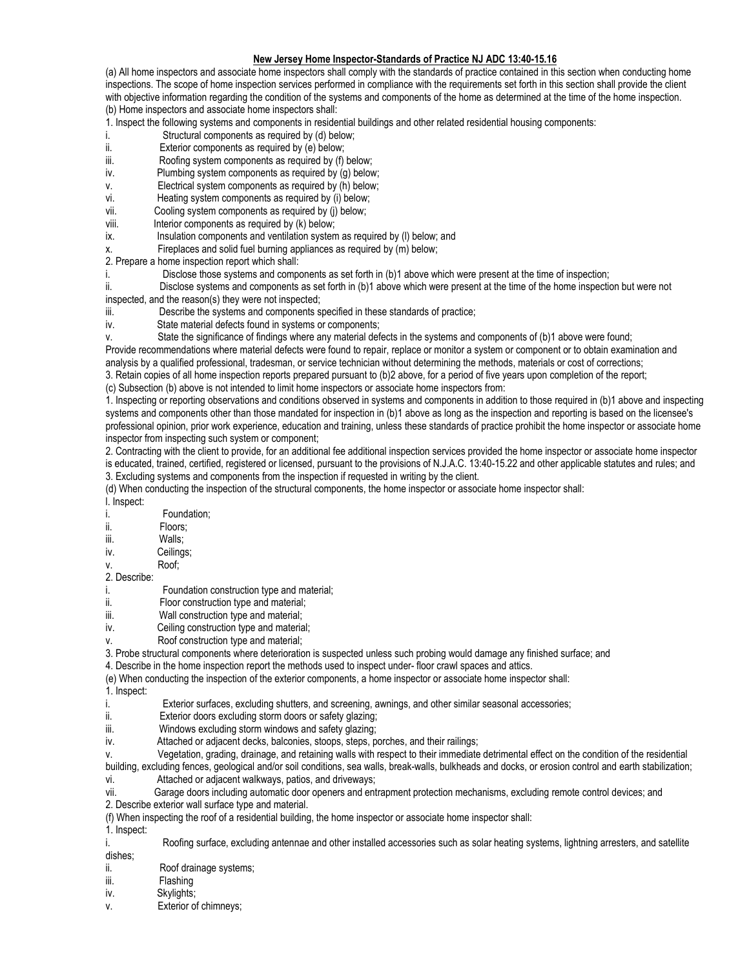#### **New Jersey Home Inspector-Standards of Practice NJ ADC 13:40-15.16**

(a) All home inspectors and associate home inspectors shall comply with the standards of practice contained in this section when conducting home inspections. The scope of home inspection services performed in compliance with the requirements set forth in this section shall provide the client with objective information regarding the condition of the systems and components of the home as determined at the time of the home inspection. (b) Home inspectors and associate home inspectors shall:

1. Inspect the following systems and components in residential buildings and other related residential housing components:

- i. Structural components as required by (d) below;
- ii. Exterior components as required by (e) below;
- iii. Roofing system components as required by (f) below;
- iv. Plumbing system components as required by (g) below;
- v. Electrical system components as required by (h) below;
- vi. Heating system components as required by (i) below;
- vii. Cooling system components as required by (j) below;
- viii. Interior components as required by (k) below;
- ix. Insulation components and ventilation system as required by (I) below; and
- x. Fireplaces and solid fuel burning appliances as required by (m) below;

2. Prepare a home inspection report which shall:

i. Disclose those systems and components as set forth in (b)1 above which were present at the time of inspection;

ii. Disclose systems and components as set forth in (b)1 above which were present at the time of the home inspection but were not inspected, and the reason(s) they were not inspected;

- iii. Describe the systems and components specified in these standards of practice;
- iv. State material defects found in systems or components;
- v. State the significance of findings where any material defects in the systems and components of (b)1 above were found;

Provide recommendations where material defects were found to repair, replace or monitor a system or component or to obtain examination and analysis by a qualified professional, tradesman, or service technician without determining the methods, materials or cost of corrections;

- 3. Retain copies of all home inspection reports prepared pursuant to (b)2 above, for a period of five years upon completion of the report;
- (c) Subsection (b) above is not intended to limit home inspectors or associate home inspectors from:

1. Inspecting or reporting observations and conditions observed in systems and components in addition to those required in (b)1 above and inspecting systems and components other than those mandated for inspection in (b)1 above as long as the inspection and reporting is based on the licensee's professional opinion, prior work experience, education and training, unless these standards of practice prohibit the home inspector or associate home inspector from inspecting such system or component;

2. Contracting with the client to provide, for an additional fee additional inspection services provided the home inspector or associate home inspector is educated, trained, certified, registered or licensed, pursuant to the provisions of N.J.A.C. 13:40-15.22 and other applicable statutes and rules; and

3. Excluding systems and components from the inspection if requested in writing by the client.

(d) When conducting the inspection of the structural components, the home inspector or associate home inspector shall:

- l. Inspect:
- i. Foundation;<br>ii. Floors;
- Floors;
- iii. Walls;
- iv. Ceilings;

v. Roof;

2. Describe:

i. Foundation construction type and material;

- ii. Floor construction type and material;
- iii. Wall construction type and material;
- iv. Ceiling construction type and material;
- v. Roof construction type and material;

3. Probe structural components where deterioration is suspected unless such probing would damage any finished surface; and

4. Describe in the home inspection report the methods used to inspect under- floor crawl spaces and attics.

- (e) When conducting the inspection of the exterior components, a home inspector or associate home inspector shall:
- 1. Inspect:
- i. Exterior surfaces, excluding shutters, and screening, awnings, and other similar seasonal accessories;
- ii. Exterior doors excluding storm doors or safety glazing;
- iii. Windows excluding storm windows and safety glazing;
- iv. Attached or adjacent decks, balconies, stoops, steps, porches, and their railings;
- v. Vegetation, grading, drainage, and retaining walls with respect to their immediate detrimental effect on the condition of the residential building, excluding fences, geological and/or soil conditions, sea walls, break-walls, bulkheads and docks, or erosion control and earth stabilization;
- vi. Attached or adjacent walkways, patios, and driveways;
- vii. Garage doors including automatic door openers and entrapment protection mechanisms, excluding remote control devices; and
- 2. Describe exterior wall surface type and material.
- (f) When inspecting the roof of a residential building, the home inspector or associate home inspector shall:
- 1. Inspect:

i. Roofing surface, excluding antennae and other installed accessories such as solar heating systems, lightning arresters, and satellite dishes;

- ii. Roof drainage systems;
- iii. Flashing
- iv. Skylights;
- v. Exterior of chimneys;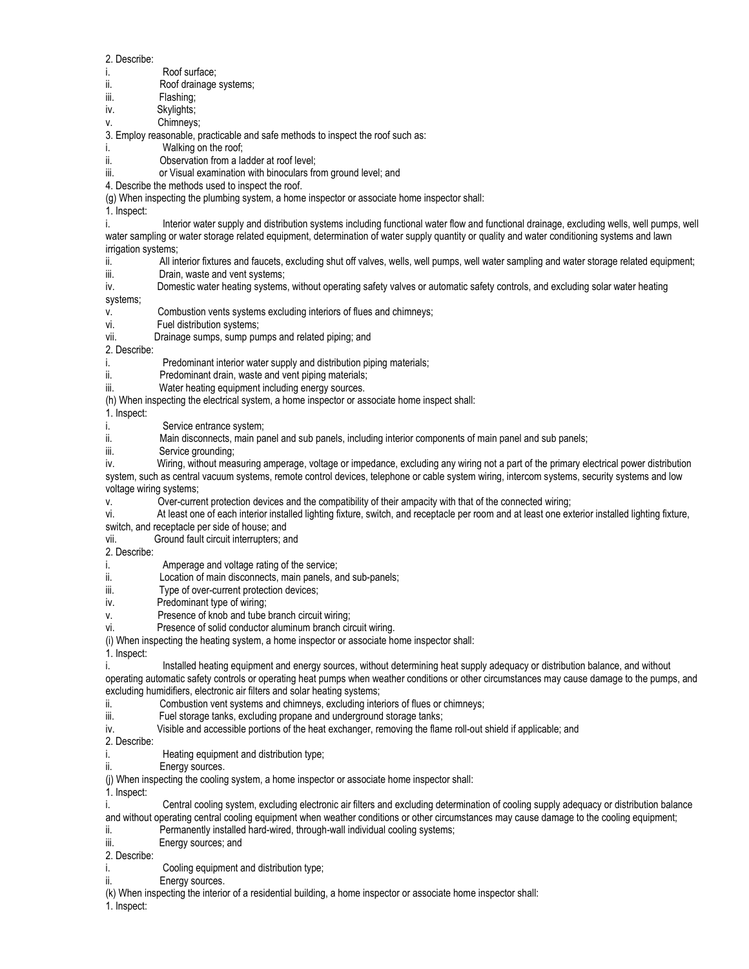2. Describe:

- i. Roof surface;<br>ii. Roof drainage
- Roof drainage systems;
- iii. Flashing;
- iv. Skylights;
- v. Chimneys;

3. Employ reasonable, practicable and safe methods to inspect the roof such as:

- i. Walking on the roof;
- ii. Observation from a ladder at roof level;

iii. or Visual examination with binoculars from ground level; and

4. Describe the methods used to inspect the roof.

(g) When inspecting the plumbing system, a home inspector or associate home inspector shall:

1. Inspect:

i. Interior water supply and distribution systems including functional water flow and functional drainage, excluding wells, well pumps, well water sampling or water storage related equipment, determination of water supply quantity or quality and water conditioning systems and lawn irrigation systems;

- ii. All interior fixtures and faucets, excluding shut off valves, wells, well pumps, well water sampling and water storage related equipment; iii. Drain, waste and vent systems;
- 
- iv. Domestic water heating systems, without operating safety valves or automatic safety controls, and excluding solar water heating systems;
- v. Combustion vents systems excluding interiors of flues and chimneys;
- vi. Fuel distribution systems;
- vii. Drainage sumps, sump pumps and related piping; and

2. Describe:

- i. Predominant interior water supply and distribution piping materials;
- ii. Predominant drain, waste and vent piping materials;
- iii. Water heating equipment including energy sources.

(h) When inspecting the electrical system, a home inspector or associate home inspect shall:

1. Inspect:

- i. Service entrance system;
- ii. Main disconnects, main panel and sub panels, including interior components of main panel and sub panels;
- iii. Service grounding;
- iv. Wiring, without measuring amperage, voltage or impedance, excluding any wiring not a part of the primary electrical power distribution system, such as central vacuum systems, remote control devices, telephone or cable system wiring, intercom systems, security systems and low voltage wiring systems;
- v. Over-current protection devices and the compatibility of their ampacity with that of the connected wiring;
- vi. At least one of each interior installed lighting fixture, switch, and receptacle per room and at least one exterior installed lighting fixture, switch, and receptacle per side of house; and
- vii. Ground fault circuit interrupters; and
- 2. Describe:
- i. Amperage and voltage rating of the service;
- ii. Location of main disconnects, main panels, and sub-panels;
- iii. Type of over-current protection devices;
- iv. Predominant type of wiring;
- v. Presence of knob and tube branch circuit wiring;
- vi. Presence of solid conductor aluminum branch circuit wiring.
- (i) When inspecting the heating system, a home inspector or associate home inspector shall:

1. Inspect:

i. Installed heating equipment and energy sources, without determining heat supply adequacy or distribution balance, and without operating automatic safety controls or operating heat pumps when weather conditions or other circumstances may cause damage to the pumps, and excluding humidifiers, electronic air filters and solar heating systems;

- ii. Combustion vent systems and chimneys, excluding interiors of flues or chimneys;
- iii. Fuel storage tanks, excluding propane and underground storage tanks;
- iv. Visible and accessible portions of the heat exchanger, removing the flame roll-out shield if applicable; and
- 2. Describe:
- i. Heating equipment and distribution type;
- ii. Energy sources.
- (j) When inspecting the cooling system, a home inspector or associate home inspector shall:
- 1. Inspect:
- i. Central cooling system, excluding electronic air filters and excluding determination of cooling supply adequacy or distribution balance and without operating central cooling equipment when weather conditions or other circumstances may cause damage to the cooling equipment;
- ii. Permanently installed hard-wired, through-wall individual cooling systems;
- iii. Energy sources; and
- 2. Describe:
- i. Cooling equipment and distribution type;
- ii. Energy sources.
- (k) When inspecting the interior of a residential building, a home inspector or associate home inspector shall:
- 1. Inspect: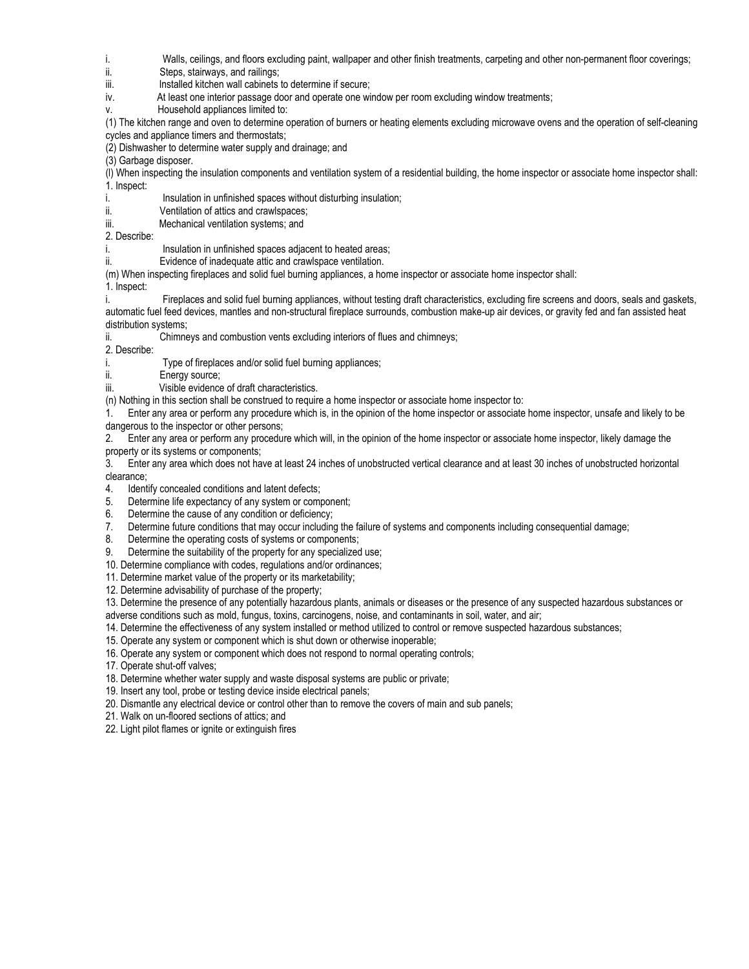- i. Walls, ceilings, and floors excluding paint, wallpaper and other finish treatments, carpeting and other non-permanent floor coverings;
- ii. Steps, stairways, and railings;
- iii. Installed kitchen wall cabinets to determine if secure;
- iv. At least one interior passage door and operate one window per room excluding window treatments;
- v. Household appliances limited to:

(1) The kitchen range and oven to determine operation of burners or heating elements excluding microwave ovens and the operation of self-cleaning cycles and appliance timers and thermostats;

- (2) Dishwasher to determine water supply and drainage; and
- (3) Garbage disposer.

(l) When inspecting the insulation components and ventilation system of a residential building, the home inspector or associate home inspector shall: 1. Inspect:

- i. Insulation in unfinished spaces without disturbing insulation;
- ii. Ventilation of attics and crawlspaces;
- iii. Mechanical ventilation systems; and
- 2. Describe:
- i. Insulation in unfinished spaces adjacent to heated areas;
- ii. Evidence of inadequate attic and crawlspace ventilation.
- (m) When inspecting fireplaces and solid fuel burning appliances, a home inspector or associate home inspector shall:

1. Inspect:

i. Fireplaces and solid fuel burning appliances, without testing draft characteristics, excluding fire screens and doors, seals and gaskets, automatic fuel feed devices, mantles and non-structural fireplace surrounds, combustion make-up air devices, or gravity fed and fan assisted heat distribution systems;

- ii. Chimneys and combustion vents excluding interiors of flues and chimneys;
- 2. Describe:
- i. Type of fireplaces and/or solid fuel burning appliances;
- ii. Energy source;
- iii. Visible evidence of draft characteristics.
- (n) Nothing in this section shall be construed to require a home inspector or associate home inspector to:

1. Enter any area or perform any procedure which is, in the opinion of the home inspector or associate home inspector, unsafe and likely to be dangerous to the inspector or other persons;

2. Enter any area or perform any procedure which will, in the opinion of the home inspector or associate home inspector, likely damage the property or its systems or components;

3. Enter any area which does not have at least 24 inches of unobstructed vertical clearance and at least 30 inches of unobstructed horizontal clearance;

- 4. Identify concealed conditions and latent defects;
- 5. Determine life expectancy of any system or component;
- 6. Determine the cause of any condition or deficiency;
- 7. Determine future conditions that may occur including the failure of systems and components including consequential damage;
- 8. Determine the operating costs of systems or components;
- 9. Determine the suitability of the property for any specialized use;
- 10. Determine compliance with codes, regulations and/or ordinances;
- 11. Determine market value of the property or its marketability;
- 12. Determine advisability of purchase of the property;

13. Determine the presence of any potentially hazardous plants, animals or diseases or the presence of any suspected hazardous substances or

- adverse conditions such as mold, fungus, toxins, carcinogens, noise, and contaminants in soil, water, and air;
- 14. Determine the effectiveness of any system installed or method utilized to control or remove suspected hazardous substances;
- 15. Operate any system or component which is shut down or otherwise inoperable;
- 16. Operate any system or component which does not respond to normal operating controls;
- 17. Operate shut-off valves;
- 18. Determine whether water supply and waste disposal systems are public or private;
- 19. Insert any tool, probe or testing device inside electrical panels;
- 20. Dismantle any electrical device or control other than to remove the covers of main and sub panels;
- 21. Walk on un-floored sections of attics; and
- 22. Light pilot flames or ignite or extinguish fires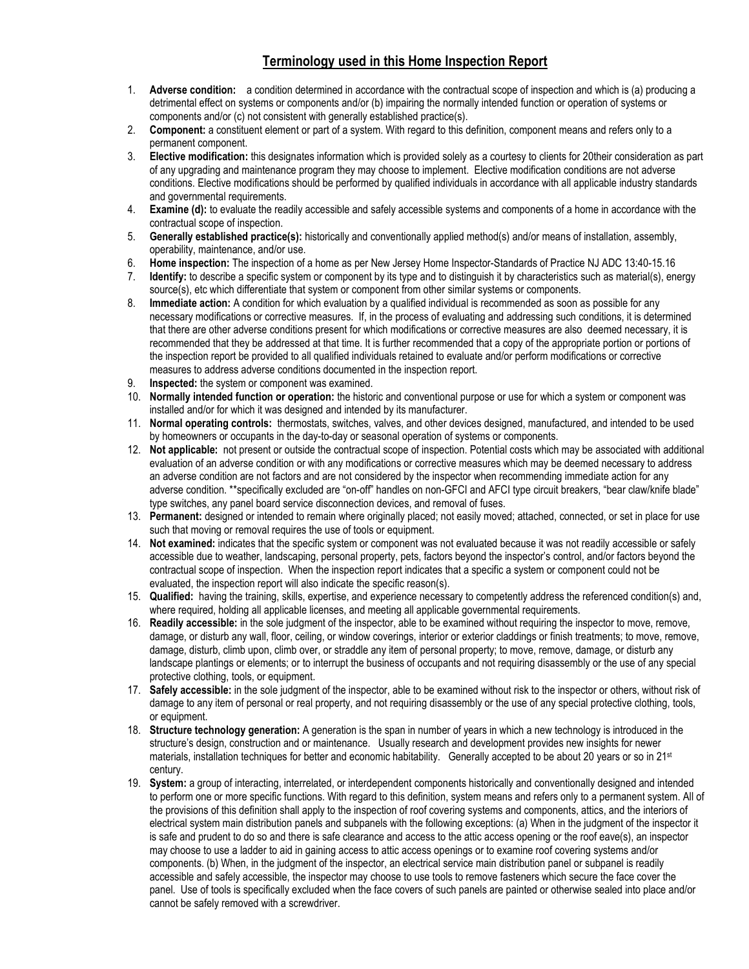## **Terminology used in this Home Inspection Report**

- 1. **Adverse condition:** a condition determined in accordance with the contractual scope of inspection and which is (a) producing a detrimental effect on systems or components and/or (b) impairing the normally intended function or operation of systems or components and/or (c) not consistent with generally established practice(s).
- 2. **Component:** a constituent element or part of a system. With regard to this definition, component means and refers only to a permanent component.
- 3. **Elective modification:** this designates information which is provided solely as a courtesy to clients for 20their consideration as part of any upgrading and maintenance program they may choose to implement. Elective modification conditions are not adverse conditions. Elective modifications should be performed by qualified individuals in accordance with all applicable industry standards and governmental requirements.
- 4. **Examine (d):** to evaluate the readily accessible and safely accessible systems and components of a home in accordance with the contractual scope of inspection.
- 5. **Generally established practice(s):** historically and conventionally applied method(s) and/or means of installation, assembly, operability, maintenance, and/or use.
- 6. **Home inspection:** The inspection of a home as per New Jersey Home Inspector-Standards of Practice NJ ADC 13:40-15.16
- 7. **Identify:** to describe a specific system or component by its type and to distinguish it by characteristics such as material(s), energy source(s), etc which differentiate that system or component from other similar systems or components.
- 8. **Immediate action:** A condition for which evaluation by a qualified individual is recommended as soon as possible for any necessary modifications or corrective measures. If, in the process of evaluating and addressing such conditions, it is determined that there are other adverse conditions present for which modifications or corrective measures are also deemed necessary, it is recommended that they be addressed at that time. It is further recommended that a copy of the appropriate portion or portions of the inspection report be provided to all qualified individuals retained to evaluate and/or perform modifications or corrective measures to address adverse conditions documented in the inspection report.
- 9. **Inspected:** the system or component was examined.
- 10. **Normally intended function or operation:** the historic and conventional purpose or use for which a system or component was installed and/or for which it was designed and intended by its manufacturer.
- 11. **Normal operating controls:** thermostats, switches, valves, and other devices designed, manufactured, and intended to be used by homeowners or occupants in the day-to-day or seasonal operation of systems or components.
- 12. **Not applicable:** not present or outside the contractual scope of inspection. Potential costs which may be associated with additional evaluation of an adverse condition or with any modifications or corrective measures which may be deemed necessary to address an adverse condition are not factors and are not considered by the inspector when recommending immediate action for any adverse condition. \*\*specifically excluded are "on-off" handles on non-GFCI and AFCI type circuit breakers, "bear claw/knife blade" type switches, any panel board service disconnection devices, and removal of fuses.
- 13. **Permanent:** designed or intended to remain where originally placed; not easily moved; attached, connected, or set in place for use such that moving or removal requires the use of tools or equipment.
- 14. **Not examined:** indicates that the specific system or component was not evaluated because it was not readily accessible or safely accessible due to weather, landscaping, personal property, pets, factors beyond the inspector's control, and/or factors beyond the contractual scope of inspection. When the inspection report indicates that a specific a system or component could not be evaluated, the inspection report will also indicate the specific reason(s).
- 15. **Qualified:** having the training, skills, expertise, and experience necessary to competently address the referenced condition(s) and, where required, holding all applicable licenses, and meeting all applicable governmental requirements.
- 16. **Readily accessible:** in the sole judgment of the inspector, able to be examined without requiring the inspector to move, remove, damage, or disturb any wall, floor, ceiling, or window coverings, interior or exterior claddings or finish treatments; to move, remove, damage, disturb, climb upon, climb over, or straddle any item of personal property; to move, remove, damage, or disturb any landscape plantings or elements; or to interrupt the business of occupants and not requiring disassembly or the use of any special protective clothing, tools, or equipment.
- 17. **Safely accessible:** in the sole judgment of the inspector, able to be examined without risk to the inspector or others, without risk of damage to any item of personal or real property, and not requiring disassembly or the use of any special protective clothing, tools, or equipment.
- 18. **Structure technology generation:** A generation is the span in number of years in which a new technology is introduced in the structure's design, construction and or maintenance. Usually research and development provides new insights for newer materials, installation techniques for better and economic habitability. Generally accepted to be about 20 years or so in 21st century.
- 19. **System:** a group of interacting, interrelated, or interdependent components historically and conventionally designed and intended to perform one or more specific functions. With regard to this definition, system means and refers only to a permanent system. All of the provisions of this definition shall apply to the inspection of roof covering systems and components, attics, and the interiors of electrical system main distribution panels and subpanels with the following exceptions: (a) When in the judgment of the inspector it is safe and prudent to do so and there is safe clearance and access to the attic access opening or the roof eave(s), an inspector may choose to use a ladder to aid in gaining access to attic access openings or to examine roof covering systems and/or components. (b) When, in the judgment of the inspector, an electrical service main distribution panel or subpanel is readily accessible and safely accessible, the inspector may choose to use tools to remove fasteners which secure the face cover the panel. Use of tools is specifically excluded when the face covers of such panels are painted or otherwise sealed into place and/or cannot be safely removed with a screwdriver.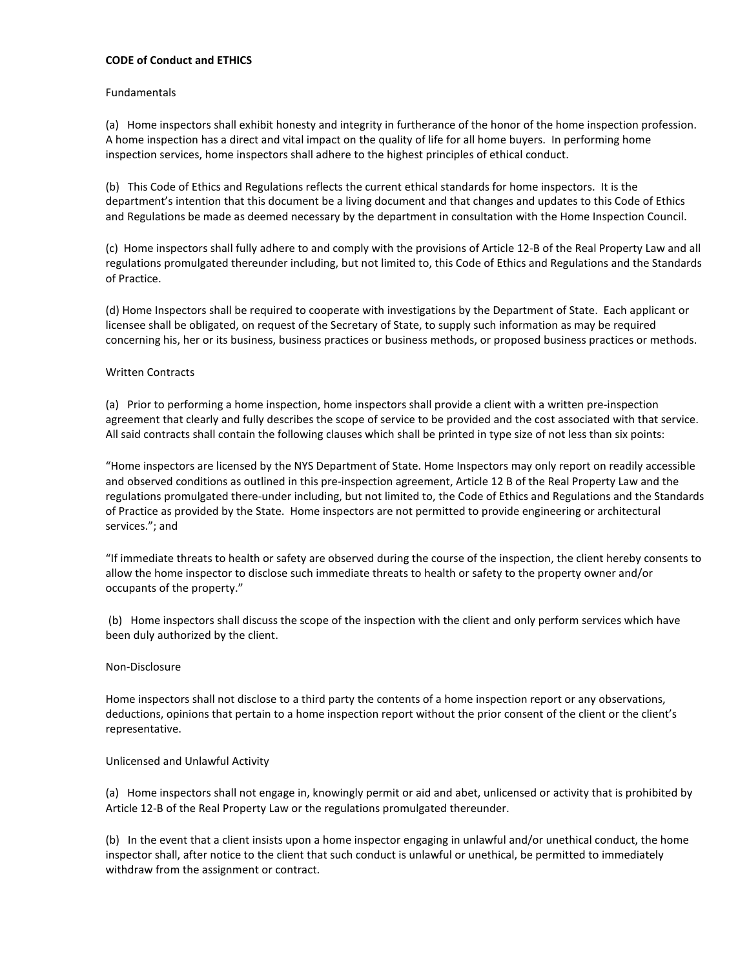#### **CODE of Conduct and ETHICS**

### Fundamentals

(a) Home inspectors shall exhibit honesty and integrity in furtherance of the honor of the home inspection profession. A home inspection has a direct and vital impact on the quality of life for all home buyers. In performing home inspection services, home inspectors shall adhere to the highest principles of ethical conduct.

(b) This Code of Ethics and Regulations reflects the current ethical standards for home inspectors. It is the department's intention that this document be a living document and that changes and updates to this Code of Ethics and Regulations be made as deemed necessary by the department in consultation with the Home Inspection Council.

(c) Home inspectors shall fully adhere to and comply with the provisions of Article 12-B of the Real Property Law and all regulations promulgated thereunder including, but not limited to, this Code of Ethics and Regulations and the Standards of Practice.

(d) Home Inspectors shall be required to cooperate with investigations by the Department of State. Each applicant or licensee shall be obligated, on request of the Secretary of State, to supply such information as may be required concerning his, her or its business, business practices or business methods, or proposed business practices or methods.

### Written Contracts

(a) Prior to performing a home inspection, home inspectors shall provide a client with a written pre-inspection agreement that clearly and fully describes the scope of service to be provided and the cost associated with that service. All said contracts shall contain the following clauses which shall be printed in type size of not less than six points:

"Home inspectors are licensed by the NYS Department of State. Home Inspectors may only report on readily accessible and observed conditions as outlined in this pre-inspection agreement, Article 12 B of the Real Property Law and the regulations promulgated there-under including, but not limited to, the Code of Ethics and Regulations and the Standards of Practice as provided by the State. Home inspectors are not permitted to provide engineering or architectural services."; and

"If immediate threats to health or safety are observed during the course of the inspection, the client hereby consents to allow the home inspector to disclose such immediate threats to health or safety to the property owner and/or occupants of the property."

 (b) Home inspectors shall discuss the scope of the inspection with the client and only perform services which have been duly authorized by the client.

#### Non-Disclosure

Home inspectors shall not disclose to a third party the contents of a home inspection report or any observations, deductions, opinions that pertain to a home inspection report without the prior consent of the client or the client's representative.

#### Unlicensed and Unlawful Activity

(a) Home inspectors shall not engage in, knowingly permit or aid and abet, unlicensed or activity that is prohibited by Article 12-B of the Real Property Law or the regulations promulgated thereunder.

(b) In the event that a client insists upon a home inspector engaging in unlawful and/or unethical conduct, the home inspector shall, after notice to the client that such conduct is unlawful or unethical, be permitted to immediately withdraw from the assignment or contract.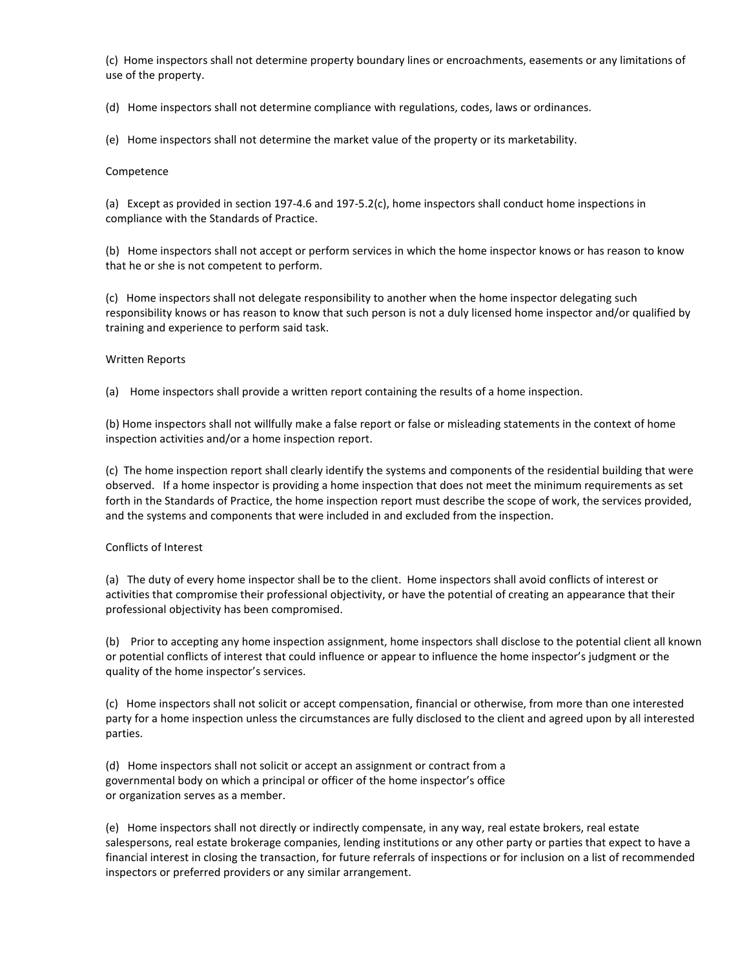(c) Home inspectors shall not determine property boundary lines or encroachments, easements or any limitations of use of the property.

(d) Home inspectors shall not determine compliance with regulations, codes, laws or ordinances.

(e) Home inspectors shall not determine the market value of the property or its marketability.

#### Competence

(a) Except as provided in section 197-4.6 and 197-5.2(c), home inspectors shall conduct home inspections in compliance with the Standards of Practice.

(b) Home inspectors shall not accept or perform services in which the home inspector knows or has reason to know that he or she is not competent to perform.

(c) Home inspectors shall not delegate responsibility to another when the home inspector delegating such responsibility knows or has reason to know that such person is not a duly licensed home inspector and/or qualified by training and experience to perform said task.

#### Written Reports

(a) Home inspectors shall provide a written report containing the results of a home inspection.

(b) Home inspectors shall not willfully make a false report or false or misleading statements in the context of home inspection activities and/or a home inspection report.

(c) The home inspection report shall clearly identify the systems and components of the residential building that were observed. If a home inspector is providing a home inspection that does not meet the minimum requirements as set forth in the Standards of Practice, the home inspection report must describe the scope of work, the services provided, and the systems and components that were included in and excluded from the inspection.

#### Conflicts of Interest

(a) The duty of every home inspector shall be to the client. Home inspectors shall avoid conflicts of interest or activities that compromise their professional objectivity, or have the potential of creating an appearance that their professional objectivity has been compromised.

(b) Prior to accepting any home inspection assignment, home inspectors shall disclose to the potential client all known or potential conflicts of interest that could influence or appear to influence the home inspector's judgment or the quality of the home inspector's services.

(c) Home inspectors shall not solicit or accept compensation, financial or otherwise, from more than one interested party for a home inspection unless the circumstances are fully disclosed to the client and agreed upon by all interested parties.

(d) Home inspectors shall not solicit or accept an assignment or contract from a governmental body on which a principal or officer of the home inspector's office or organization serves as a member.

(e) Home inspectors shall not directly or indirectly compensate, in any way, real estate brokers, real estate salespersons, real estate brokerage companies, lending institutions or any other party or parties that expect to have a financial interest in closing the transaction, for future referrals of inspections or for inclusion on a list of recommended inspectors or preferred providers or any similar arrangement.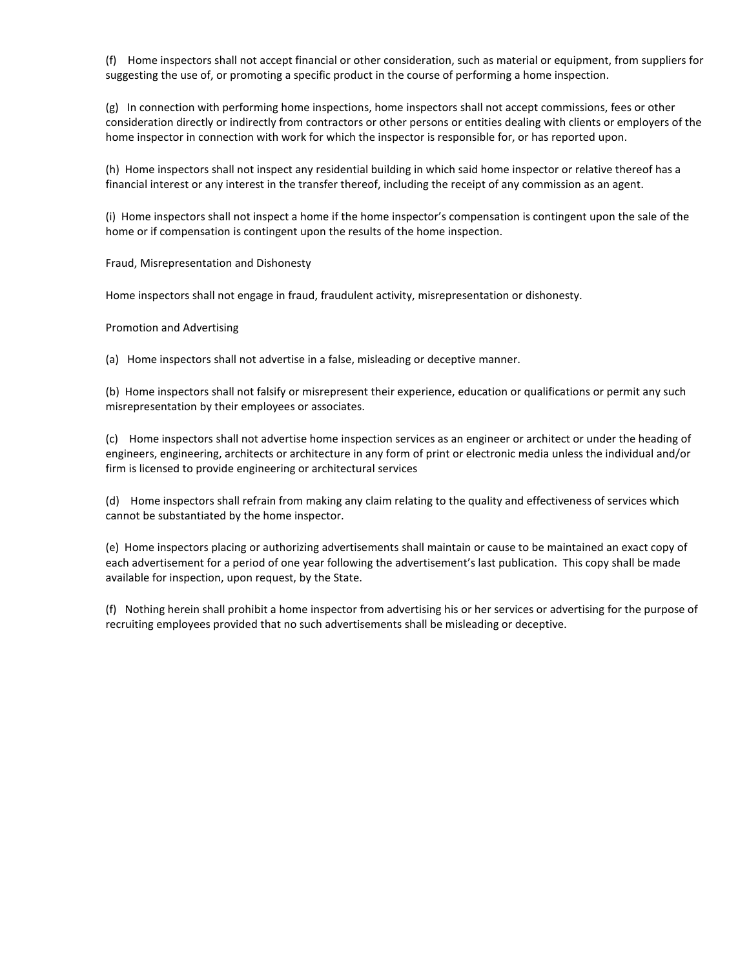(f) Home inspectors shall not accept financial or other consideration, such as material or equipment, from suppliers for suggesting the use of, or promoting a specific product in the course of performing a home inspection.

(g) In connection with performing home inspections, home inspectors shall not accept commissions, fees or other consideration directly or indirectly from contractors or other persons or entities dealing with clients or employers of the home inspector in connection with work for which the inspector is responsible for, or has reported upon.

(h) Home inspectors shall not inspect any residential building in which said home inspector or relative thereof has a financial interest or any interest in the transfer thereof, including the receipt of any commission as an agent.

(i) Home inspectors shall not inspect a home if the home inspector's compensation is contingent upon the sale of the home or if compensation is contingent upon the results of the home inspection.

Fraud, Misrepresentation and Dishonesty

Home inspectors shall not engage in fraud, fraudulent activity, misrepresentation or dishonesty.

Promotion and Advertising

(a) Home inspectors shall not advertise in a false, misleading or deceptive manner.

(b) Home inspectors shall not falsify or misrepresent their experience, education or qualifications or permit any such misrepresentation by their employees or associates.

(c) Home inspectors shall not advertise home inspection services as an engineer or architect or under the heading of engineers, engineering, architects or architecture in any form of print or electronic media unless the individual and/or firm is licensed to provide engineering or architectural services

(d) Home inspectors shall refrain from making any claim relating to the quality and effectiveness of services which cannot be substantiated by the home inspector.

(e) Home inspectors placing or authorizing advertisements shall maintain or cause to be maintained an exact copy of each advertisement for a period of one year following the advertisement's last publication. This copy shall be made available for inspection, upon request, by the State.

(f) Nothing herein shall prohibit a home inspector from advertising his or her services or advertising for the purpose of recruiting employees provided that no such advertisements shall be misleading or deceptive.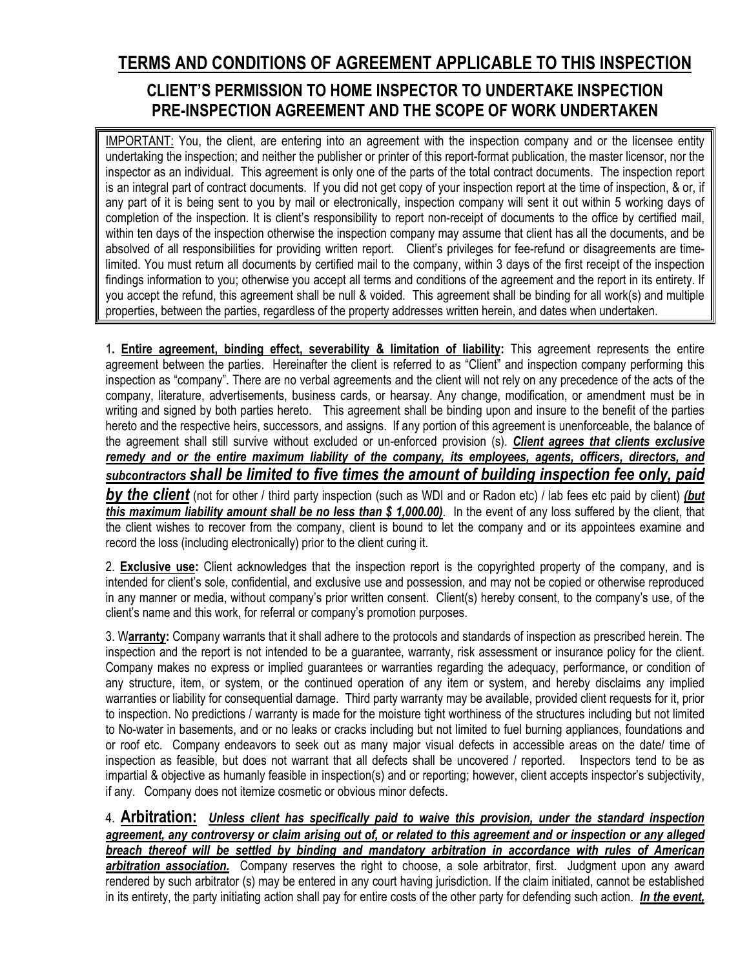# **TERMS AND CONDITIONS OF AGREEMENT APPLICABLE TO THIS INSPECTION**

# **CLIENT'S PERMISSION TO HOME INSPECTOR TO UNDERTAKE INSPECTION PRE-INSPECTION AGREEMENT AND THE SCOPE OF WORK UNDERTAKEN**

IMPORTANT: You, the client, are entering into an agreement with the inspection company and or the licensee entity undertaking the inspection; and neither the publisher or printer of this report-format publication, the master licensor, nor the inspector as an individual. This agreement is only one of the parts of the total contract documents. The inspection report is an integral part of contract documents. If you did not get copy of your inspection report at the time of inspection, & or, if any part of it is being sent to you by mail or electronically, inspection company will sent it out within 5 working days of completion of the inspection. It is client's responsibility to report non-receipt of documents to the office by certified mail, within ten days of the inspection otherwise the inspection company may assume that client has all the documents, and be absolved of all responsibilities for providing written report. Client's privileges for fee-refund or disagreements are timelimited. You must return all documents by certified mail to the company, within 3 days of the first receipt of the inspection findings information to you; otherwise you accept all terms and conditions of the agreement and the report in its entirety. If you accept the refund, this agreement shall be null & voided. This agreement shall be binding for all work(s) and multiple properties, between the parties, regardless of the property addresses written herein, and dates when undertaken.

1**. Entire agreement, binding effect, severability & limitation of liability:** This agreement represents the entire agreement between the parties. Hereinafter the client is referred to as "Client" and inspection company performing this inspection as "company". There are no verbal agreements and the client will not rely on any precedence of the acts of the company, literature, advertisements, business cards, or hearsay. Any change, modification, or amendment must be in writing and signed by both parties hereto. This agreement shall be binding upon and insure to the benefit of the parties hereto and the respective heirs, successors, and assigns. If any portion of this agreement is unenforceable, the balance of the agreement shall still survive without excluded or un-enforced provision (s). *Client agrees that clients exclusive remedy and or the entire maximum liability of the company, its employees, agents, officers, directors, and subcontractors shall be limited to five times the amount of building inspection fee only, paid* 

*by the client* (not for other / third party inspection (such as WDI and or Radon etc) / lab fees etc paid by client) *(but this maximum liability amount shall be no less than \$ 1,000.00)*. In the event of any loss suffered by the client, that the client wishes to recover from the company, client is bound to let the company and or its appointees examine and record the loss (including electronically) prior to the client curing it.

2. **Exclusive use:** Client acknowledges that the inspection report is the copyrighted property of the company, and is intended for client's sole, confidential, and exclusive use and possession, and may not be copied or otherwise reproduced in any manner or media, without company's prior written consent. Client(s) hereby consent, to the company's use, of the client's name and this work, for referral or company's promotion purposes.

3. W**arranty:** Company warrants that it shall adhere to the protocols and standards of inspection as prescribed herein. The inspection and the report is not intended to be a guarantee, warranty, risk assessment or insurance policy for the client. Company makes no express or implied guarantees or warranties regarding the adequacy, performance, or condition of any structure, item, or system, or the continued operation of any item or system, and hereby disclaims any implied warranties or liability for consequential damage. Third party warranty may be available, provided client requests for it, prior to inspection. No predictions / warranty is made for the moisture tight worthiness of the structures including but not limited to No-water in basements, and or no leaks or cracks including but not limited to fuel burning appliances, foundations and or roof etc. Company endeavors to seek out as many major visual defects in accessible areas on the date/ time of inspection as feasible, but does not warrant that all defects shall be uncovered / reported. Inspectors tend to be as impartial & objective as humanly feasible in inspection(s) and or reporting; however, client accepts inspector's subjectivity, if any. Company does not itemize cosmetic or obvious minor defects.

4. **Arbitration:** *Unless client has specifically paid to waive this provision, under the standard inspection agreement, any controversy or claim arising out of, or related to this agreement and or inspection or any alleged breach thereof will be settled by binding and mandatory arbitration in accordance with rules of American arbitration association.* Company reserves the right to choose, a sole arbitrator, first. Judgment upon any award rendered by such arbitrator (s) may be entered in any court having jurisdiction. If the claim initiated, cannot be established in its entirety, the party initiating action shall pay for entire costs of the other party for defending such action. *In the event,*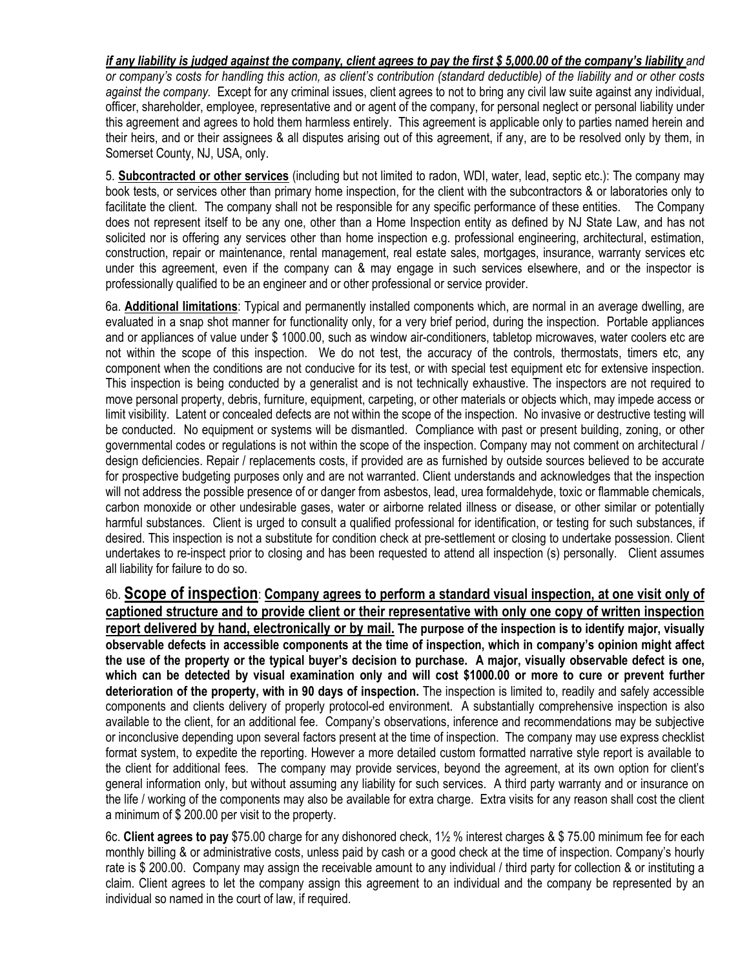*if any liability is judged against the company, client agrees to pay the first \$ 5,000.00 of the company's liability and or company's costs for handling this action, as client's contribution (standard deductible) of the liability and or other costs against the company.* Except for any criminal issues, client agrees to not to bring any civil law suite against any individual, officer, shareholder, employee, representative and or agent of the company, for personal neglect or personal liability under this agreement and agrees to hold them harmless entirely. This agreement is applicable only to parties named herein and their heirs, and or their assignees & all disputes arising out of this agreement, if any, are to be resolved only by them, in Somerset County, NJ, USA, only.

5. **Subcontracted or other services** (including but not limited to radon, WDI, water, lead, septic etc.): The company may book tests, or services other than primary home inspection, for the client with the subcontractors & or laboratories only to facilitate the client. The company shall not be responsible for any specific performance of these entities. The Company does not represent itself to be any one, other than a Home Inspection entity as defined by NJ State Law, and has not solicited nor is offering any services other than home inspection e.g. professional engineering, architectural, estimation, construction, repair or maintenance, rental management, real estate sales, mortgages, insurance, warranty services etc under this agreement, even if the company can & may engage in such services elsewhere, and or the inspector is professionally qualified to be an engineer and or other professional or service provider.

6a. **Additional limitations**: Typical and permanently installed components which, are normal in an average dwelling, are evaluated in a snap shot manner for functionality only, for a very brief period, during the inspection. Portable appliances and or appliances of value under \$ 1000.00, such as window air-conditioners, tabletop microwaves, water coolers etc are not within the scope of this inspection. We do not test, the accuracy of the controls, thermostats, timers etc, any component when the conditions are not conducive for its test, or with special test equipment etc for extensive inspection. This inspection is being conducted by a generalist and is not technically exhaustive. The inspectors are not required to move personal property, debris, furniture, equipment, carpeting, or other materials or objects which, may impede access or limit visibility. Latent or concealed defects are not within the scope of the inspection. No invasive or destructive testing will be conducted. No equipment or systems will be dismantled. Compliance with past or present building, zoning, or other governmental codes or regulations is not within the scope of the inspection. Company may not comment on architectural / design deficiencies. Repair / replacements costs, if provided are as furnished by outside sources believed to be accurate for prospective budgeting purposes only and are not warranted. Client understands and acknowledges that the inspection will not address the possible presence of or danger from asbestos, lead, urea formaldehyde, toxic or flammable chemicals, carbon monoxide or other undesirable gases, water or airborne related illness or disease, or other similar or potentially harmful substances. Client is urged to consult a qualified professional for identification, or testing for such substances, if desired. This inspection is not a substitute for condition check at pre-settlement or closing to undertake possession. Client undertakes to re-inspect prior to closing and has been requested to attend all inspection (s) personally. Client assumes all liability for failure to do so.

6b. **Scope of inspection**: **Company agrees to perform a standard visual inspection, at one visit only of captioned structure and to provide client or their representative with only one copy of written inspection report delivered by hand, electronically or by mail. The purpose of the inspection is to identify major, visually observable defects in accessible components at the time of inspection, which in company's opinion might affect the use of the property or the typical buyer's decision to purchase. A major, visually observable defect is one, which can be detected by visual examination only and will cost \$1000.00 or more to cure or prevent further deterioration of the property, with in 90 days of inspection.** The inspection is limited to, readily and safely accessible components and clients delivery of properly protocol-ed environment. A substantially comprehensive inspection is also available to the client, for an additional fee. Company's observations, inference and recommendations may be subjective or inconclusive depending upon several factors present at the time of inspection. The company may use express checklist format system, to expedite the reporting. However a more detailed custom formatted narrative style report is available to the client for additional fees. The company may provide services, beyond the agreement, at its own option for client's general information only, but without assuming any liability for such services. A third party warranty and or insurance on the life / working of the components may also be available for extra charge. Extra visits for any reason shall cost the client a minimum of \$ 200.00 per visit to the property.

6c. **Client agrees to pay** \$75.00 charge for any dishonored check, 1½ % interest charges & \$ 75.00 minimum fee for each monthly billing & or administrative costs, unless paid by cash or a good check at the time of inspection. Company's hourly rate is \$ 200.00. Company may assign the receivable amount to any individual / third party for collection & or instituting a claim. Client agrees to let the company assign this agreement to an individual and the company be represented by an individual so named in the court of law, if required.